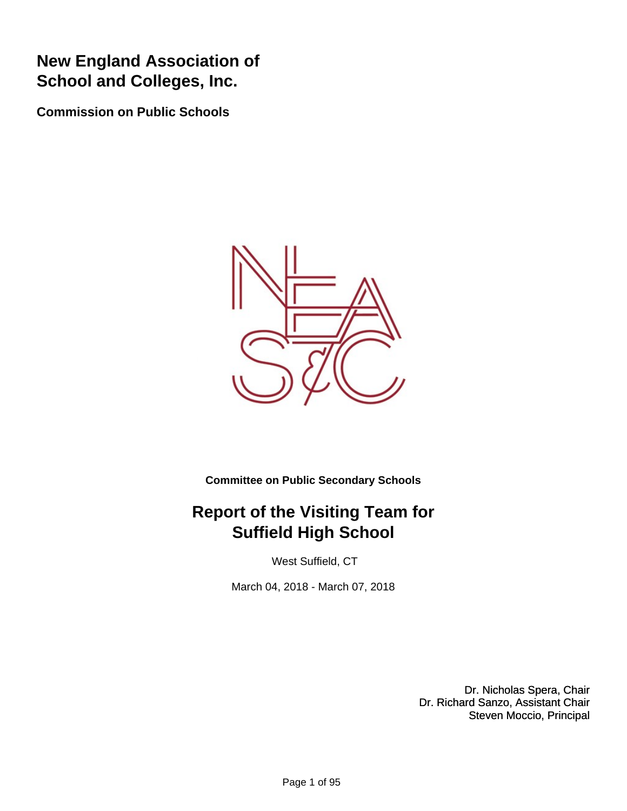## **New England Association of School and Colleges, Inc.**

**Commission on Public Schools**



**Committee on Public Secondary Schools**

## **Report of the Visiting Team for Suffield High School**

West Suffield, CT

March 04, 2018 - March 07, 2018

Dr. Nicholas Spera, Chair Dr. Richard Sanzo, Assistant Chair Steven Moccio, Principal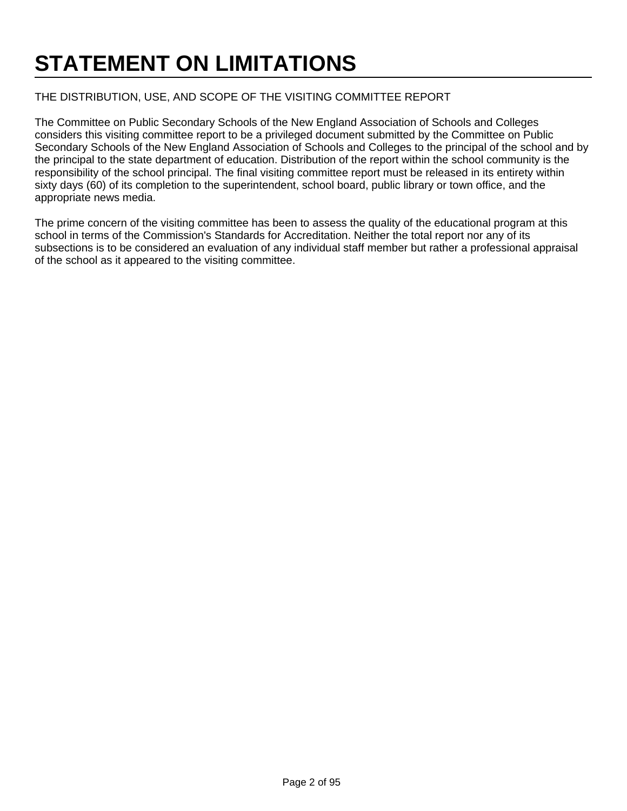# **STATEMENT ON LIMITATIONS**

#### THE DISTRIBUTION, USE, AND SCOPE OF THE VISITING COMMITTEE REPORT

The Committee on Public Secondary Schools of the New England Association of Schools and Colleges considers this visiting committee report to be a privileged document submitted by the Committee on Public Secondary Schools of the New England Association of Schools and Colleges to the principal of the school and by the principal to the state department of education. Distribution of the report within the school community is the responsibility of the school principal. The final visiting committee report must be released in its entirety within sixty days (60) of its completion to the superintendent, school board, public library or town office, and the appropriate news media.

The prime concern of the visiting committee has been to assess the quality of the educational program at this school in terms of the Commission's Standards for Accreditation. Neither the total report nor any of its subsections is to be considered an evaluation of any individual staff member but rather a professional appraisal of the school as it appeared to the visiting committee.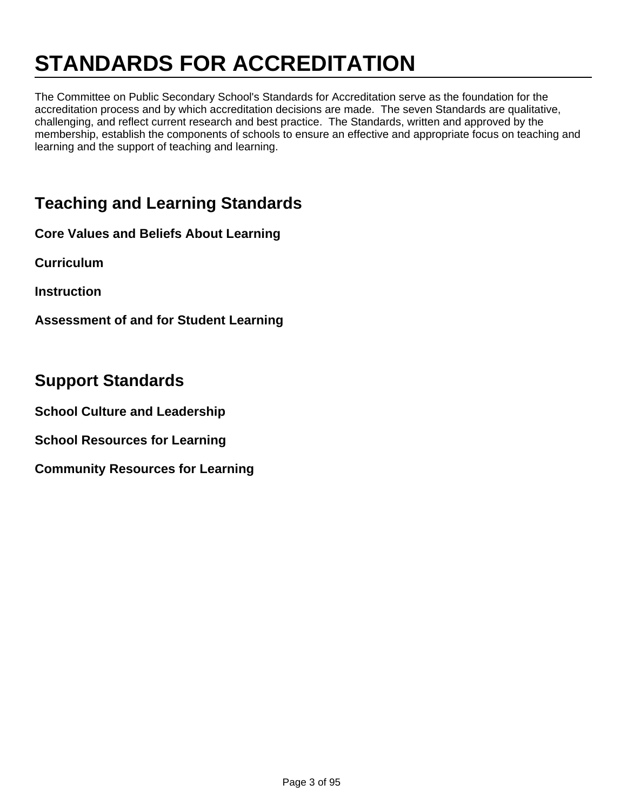# **STANDARDS FOR ACCREDITATION**

The Committee on Public Secondary School's Standards for Accreditation serve as the foundation for the accreditation process and by which accreditation decisions are made. The seven Standards are qualitative, challenging, and reflect current research and best practice. The Standards, written and approved by the membership, establish the components of schools to ensure an effective and appropriate focus on teaching and learning and the support of teaching and learning.

## **Teaching and Learning Standards**

**Core Values and Beliefs About Learning**

**Curriculum**

**Instruction**

**Assessment of and for Student Learning**

#### **Support Standards**

**School Culture and Leadership**

**School Resources for Learning**

**Community Resources for Learning**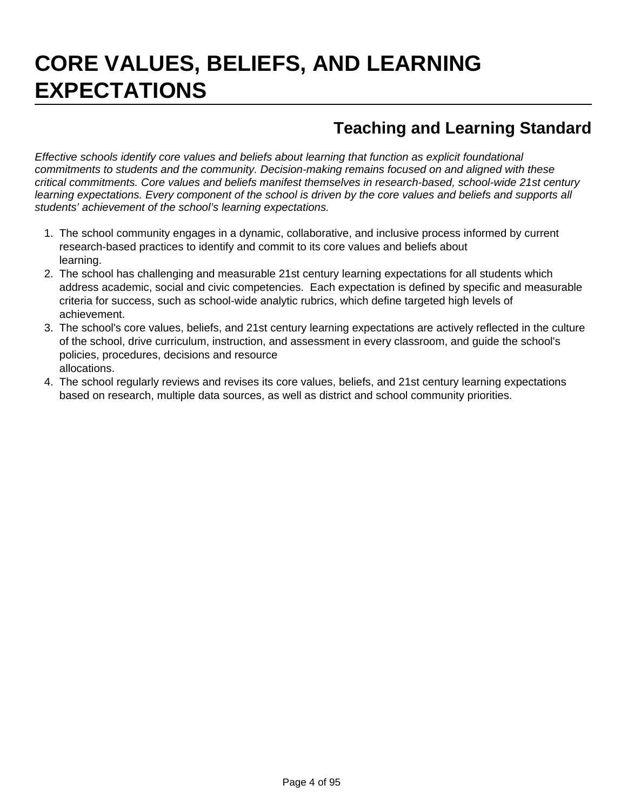# **CORE VALUES, BELIEFS, AND LEARNING EXPECTATIONS**

## **Teaching and Learning Standard**

Effective schools identify core values and beliefs about learning that function as explicit foundational commitments to students and the community. Decision-making remains focused on and aligned with these critical commitments. Core values and beliefs manifest themselves in research-based, school-wide 21st century learning expectations. Every component of the school is driven by the core values and beliefs and supports all students' achievement of the school's learning expectations.

- 1. The school community engages in a dynamic, collaborative, and inclusive process informed by current research-based practices to identify and commit to its core values and beliefs about learning.
- 2. The school has challenging and measurable 21st century learning expectations for all students which address academic, social and civic competencies. Each expectation is defined by specific and measurable criteria for success, such as school-wide analytic rubrics, which define targeted high levels of achievement.
- 3. The school's core values, beliefs, and 21st century learning expectations are actively reflected in the culture of the school, drive curriculum, instruction, and assessment in every classroom, and guide the school's policies, procedures, decisions and resource allocations.
- 4. The school regularly reviews and revises its core values, beliefs, and 21st century learning expectations based on research, multiple data sources, as well as district and school community priorities.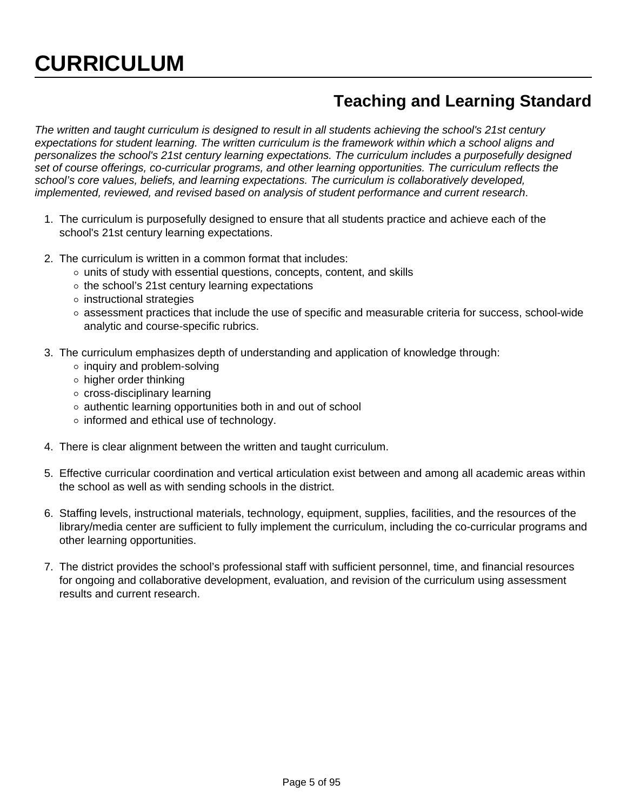# **CURRICULUM**

### **Teaching and Learning Standard**

The written and taught curriculum is designed to result in all students achieving the school's 21st century expectations for student learning. The written curriculum is the framework within which a school aligns and personalizes the school's 21st century learning expectations. The curriculum includes a purposefully designed set of course offerings, co-curricular programs, and other learning opportunities. The curriculum reflects the school's core values, beliefs, and learning expectations. The curriculum is collaboratively developed, implemented, reviewed, and revised based on analysis of student performance and current research.

- 1. The curriculum is purposefully designed to ensure that all students practice and achieve each of the school's 21st century learning expectations.
- 2. The curriculum is written in a common format that includes:
	- $\circ$  units of study with essential questions, concepts, content, and skills
	- $\circ$  the school's 21st century learning expectations
	- $\circ$  instructional strategies
	- $\circ$  assessment practices that include the use of specific and measurable criteria for success, school-wide analytic and course-specific rubrics.
- 3. The curriculum emphasizes depth of understanding and application of knowledge through:
	- $\circ$  inquiry and problem-solving
	- higher order thinking
	- cross-disciplinary learning
	- $\circ$  authentic learning opportunities both in and out of school
	- $\circ$  informed and ethical use of technology.
- 4. There is clear alignment between the written and taught curriculum.
- 5. Effective curricular coordination and vertical articulation exist between and among all academic areas within the school as well as with sending schools in the district.
- 6. Staffing levels, instructional materials, technology, equipment, supplies, facilities, and the resources of the library/media center are sufficient to fully implement the curriculum, including the co-curricular programs and other learning opportunities.
- 7. The district provides the school's professional staff with sufficient personnel, time, and financial resources for ongoing and collaborative development, evaluation, and revision of the curriculum using assessment results and current research.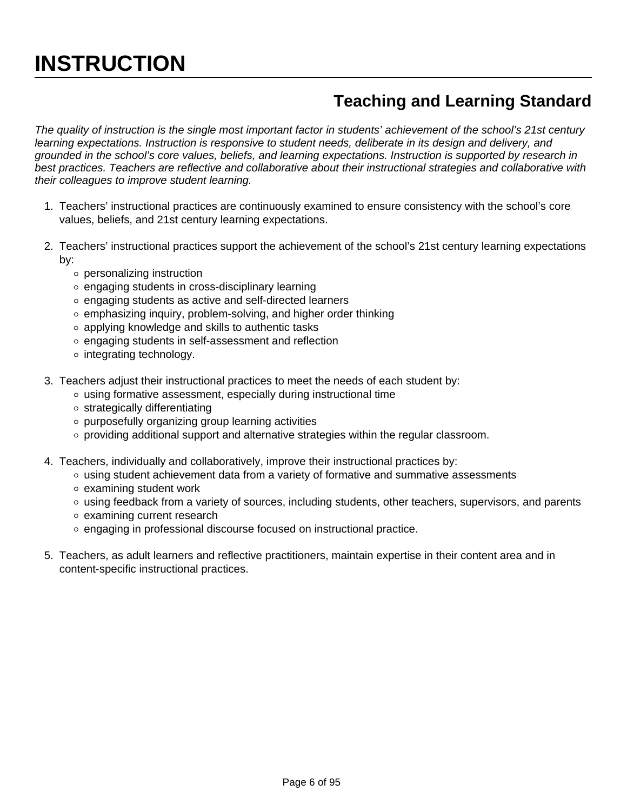# **INSTRUCTION**

# **Teaching and Learning Standard**

The quality of instruction is the single most important factor in students' achievement of the school's 21st century learning expectations. Instruction is responsive to student needs, deliberate in its design and delivery, and grounded in the school's core values, beliefs, and learning expectations. Instruction is supported by research in best practices. Teachers are reflective and collaborative about their instructional strategies and collaborative with their colleagues to improve student learning.

- 1. Teachers' instructional practices are continuously examined to ensure consistency with the school's core values, beliefs, and 21st century learning expectations.
- 2. Teachers' instructional practices support the achievement of the school's 21st century learning expectations by:
	- personalizing instruction
	- $\circ$  engaging students in cross-disciplinary learning
	- engaging students as active and self-directed learners
	- $\circ$  emphasizing inquiry, problem-solving, and higher order thinking
	- applying knowledge and skills to authentic tasks
	- o engaging students in self-assessment and reflection
	- o integrating technology.
- 3. Teachers adjust their instructional practices to meet the needs of each student by:
	- $\circ$  using formative assessment, especially during instructional time
	- $\circ$  strategically differentiating
	- o purposefully organizing group learning activities
	- $\circ$  providing additional support and alternative strategies within the regular classroom.
- 4. Teachers, individually and collaboratively, improve their instructional practices by:
	- $\circ$  using student achievement data from a variety of formative and summative assessments
	- $\circ$  examining student work
	- using feedback from a variety of sources, including students, other teachers, supervisors, and parents
	- examining current research
	- o engaging in professional discourse focused on instructional practice.
- 5. Teachers, as adult learners and reflective practitioners, maintain expertise in their content area and in content-specific instructional practices.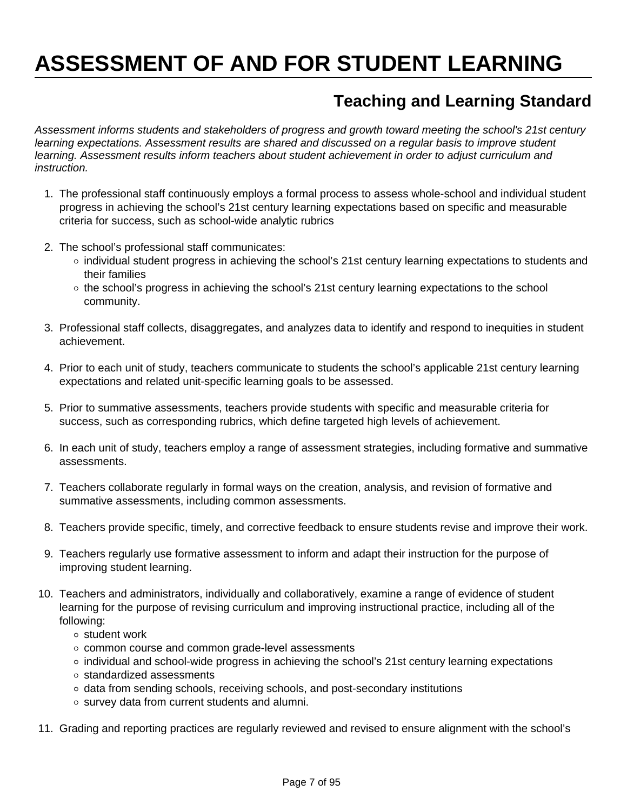# **ASSESSMENT OF AND FOR STUDENT LEARNING**

## **Teaching and Learning Standard**

Assessment informs students and stakeholders of progress and growth toward meeting the school's 21st century learning expectations. Assessment results are shared and discussed on a regular basis to improve student learning. Assessment results inform teachers about student achievement in order to adjust curriculum and instruction.

- 1. The professional staff continuously employs a formal process to assess whole-school and individual student progress in achieving the school's 21st century learning expectations based on specific and measurable criteria for success, such as school-wide analytic rubrics
- 2. The school's professional staff communicates:
	- individual student progress in achieving the school's 21st century learning expectations to students and their families
	- $\circ$  the school's progress in achieving the school's 21st century learning expectations to the school community.
- 3. Professional staff collects, disaggregates, and analyzes data to identify and respond to inequities in student achievement.
- 4. Prior to each unit of study, teachers communicate to students the school's applicable 21st century learning expectations and related unit-specific learning goals to be assessed.
- 5. Prior to summative assessments, teachers provide students with specific and measurable criteria for success, such as corresponding rubrics, which define targeted high levels of achievement.
- 6. In each unit of study, teachers employ a range of assessment strategies, including formative and summative assessments.
- 7. Teachers collaborate regularly in formal ways on the creation, analysis, and revision of formative and summative assessments, including common assessments.
- 8. Teachers provide specific, timely, and corrective feedback to ensure students revise and improve their work.
- 9. Teachers regularly use formative assessment to inform and adapt their instruction for the purpose of improving student learning.
- 10. Teachers and administrators, individually and collaboratively, examine a range of evidence of student learning for the purpose of revising curriculum and improving instructional practice, including all of the following:
	- o student work
	- common course and common grade-level assessments
	- $\circ$  individual and school-wide progress in achieving the school's 21st century learning expectations
	- o standardized assessments
	- $\circ$  data from sending schools, receiving schools, and post-secondary institutions
	- o survey data from current students and alumni.
- 11. Grading and reporting practices are regularly reviewed and revised to ensure alignment with the school's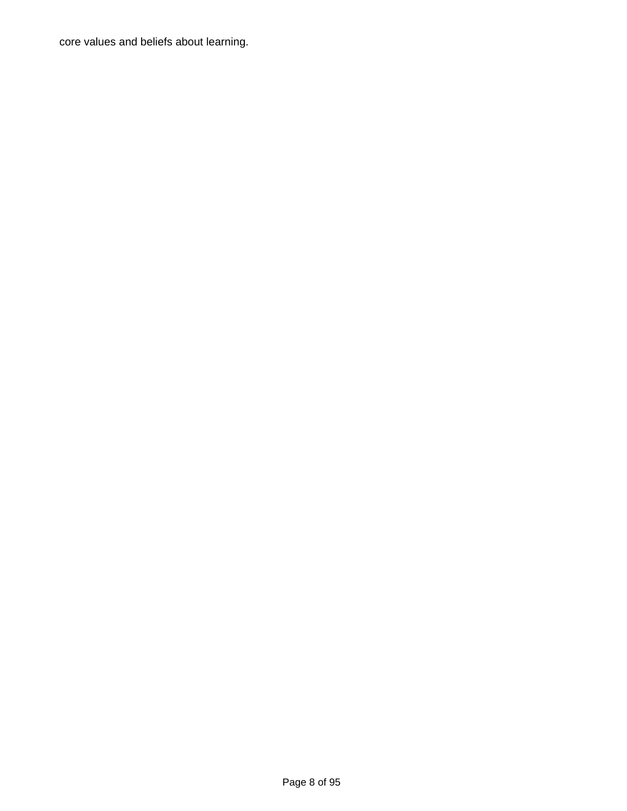core values and beliefs about learning.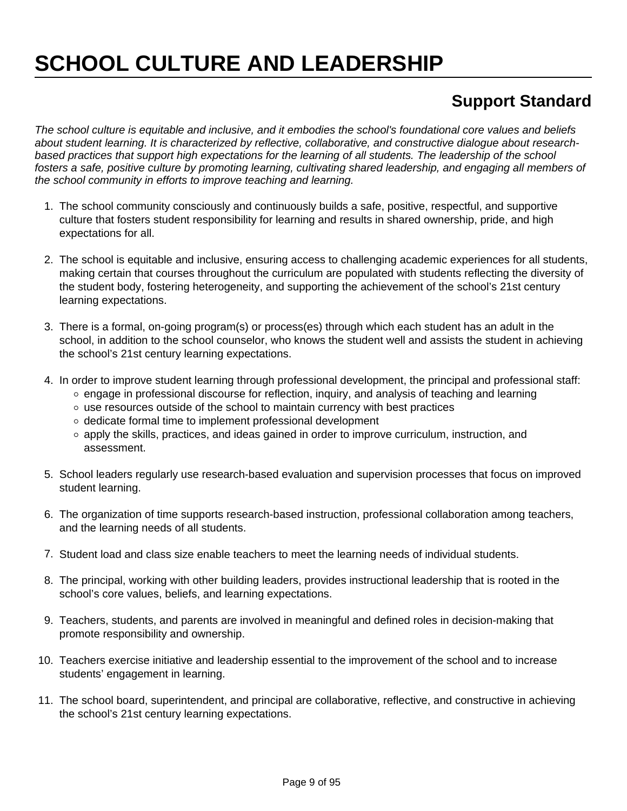# **SCHOOL CULTURE AND LEADERSHIP**

# **Support Standard**

The school culture is equitable and inclusive, and it embodies the school's foundational core values and beliefs about student learning. It is characterized by reflective, collaborative, and constructive dialogue about researchbased practices that support high expectations for the learning of all students. The leadership of the school fosters a safe, positive culture by promoting learning, cultivating shared leadership, and engaging all members of the school community in efforts to improve teaching and learning.

- 1. The school community consciously and continuously builds a safe, positive, respectful, and supportive culture that fosters student responsibility for learning and results in shared ownership, pride, and high expectations for all.
- 2. The school is equitable and inclusive, ensuring access to challenging academic experiences for all students, making certain that courses throughout the curriculum are populated with students reflecting the diversity of the student body, fostering heterogeneity, and supporting the achievement of the school's 21st century learning expectations.
- 3. There is a formal, on-going program(s) or process(es) through which each student has an adult in the school, in addition to the school counselor, who knows the student well and assists the student in achieving the school's 21st century learning expectations.
- 4. In order to improve student learning through professional development, the principal and professional staff:
	- $\circ$  engage in professional discourse for reflection, inquiry, and analysis of teaching and learning
	- use resources outside of the school to maintain currency with best practices
	- o dedicate formal time to implement professional development
	- o apply the skills, practices, and ideas gained in order to improve curriculum, instruction, and assessment.
- 5. School leaders regularly use research-based evaluation and supervision processes that focus on improved student learning.
- 6. The organization of time supports research-based instruction, professional collaboration among teachers, and the learning needs of all students.
- 7. Student load and class size enable teachers to meet the learning needs of individual students.
- 8. The principal, working with other building leaders, provides instructional leadership that is rooted in the school's core values, beliefs, and learning expectations.
- 9. Teachers, students, and parents are involved in meaningful and defined roles in decision-making that promote responsibility and ownership.
- 10. Teachers exercise initiative and leadership essential to the improvement of the school and to increase students' engagement in learning.
- 11. The school board, superintendent, and principal are collaborative, reflective, and constructive in achieving the school's 21st century learning expectations.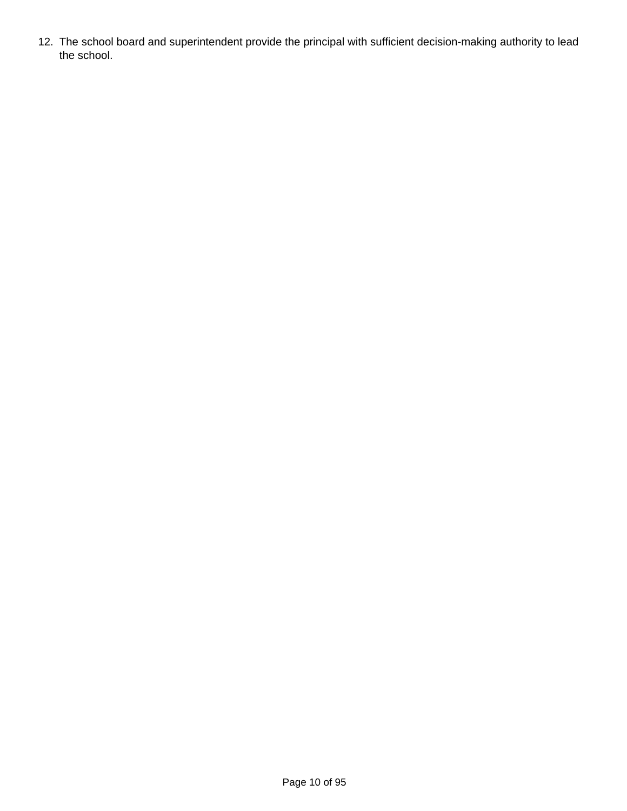12. The school board and superintendent provide the principal with sufficient decision-making authority to lead the school.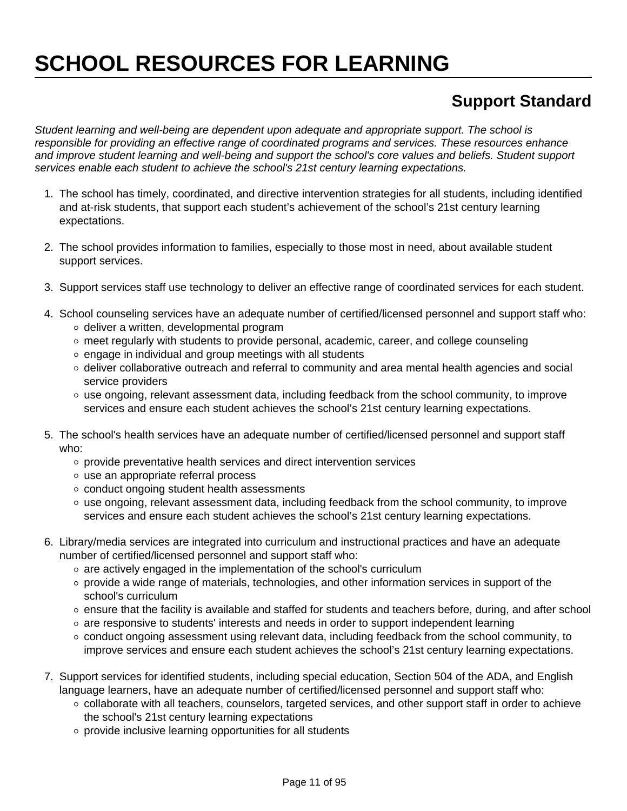# **SCHOOL RESOURCES FOR LEARNING**

## **Support Standard**

Student learning and well-being are dependent upon adequate and appropriate support. The school is responsible for providing an effective range of coordinated programs and services. These resources enhance and improve student learning and well-being and support the school's core values and beliefs. Student support services enable each student to achieve the school's 21st century learning expectations.

- 1. The school has timely, coordinated, and directive intervention strategies for all students, including identified and at-risk students, that support each student's achievement of the school's 21st century learning expectations.
- 2. The school provides information to families, especially to those most in need, about available student support services.
- 3. Support services staff use technology to deliver an effective range of coordinated services for each student.
- 4. School counseling services have an adequate number of certified/licensed personnel and support staff who:
	- $\circ$  deliver a written, developmental program
	- o meet regularly with students to provide personal, academic, career, and college counseling
	- $\circ$  engage in individual and group meetings with all students
	- $\circ$  deliver collaborative outreach and referral to community and area mental health agencies and social service providers
	- $\circ$  use ongoing, relevant assessment data, including feedback from the school community, to improve services and ensure each student achieves the school's 21st century learning expectations.
- 5. The school's health services have an adequate number of certified/licensed personnel and support staff who:
	- $\circ$  provide preventative health services and direct intervention services
	- use an appropriate referral process
	- conduct ongoing student health assessments
	- $\circ$  use ongoing, relevant assessment data, including feedback from the school community, to improve services and ensure each student achieves the school's 21st century learning expectations.
- 6. Library/media services are integrated into curriculum and instructional practices and have an adequate number of certified/licensed personnel and support staff who:
	- $\circ$  are actively engaged in the implementation of the school's curriculum
	- $\circ$  provide a wide range of materials, technologies, and other information services in support of the school's curriculum
	- $\circ$  ensure that the facility is available and staffed for students and teachers before, during, and after school
	- $\circ$  are responsive to students' interests and needs in order to support independent learning
	- o conduct ongoing assessment using relevant data, including feedback from the school community, to improve services and ensure each student achieves the school's 21st century learning expectations.
- 7. Support services for identified students, including special education, Section 504 of the ADA, and English language learners, have an adequate number of certified/licensed personnel and support staff who:
	- o collaborate with all teachers, counselors, targeted services, and other support staff in order to achieve the school's 21st century learning expectations
	- $\circ$  provide inclusive learning opportunities for all students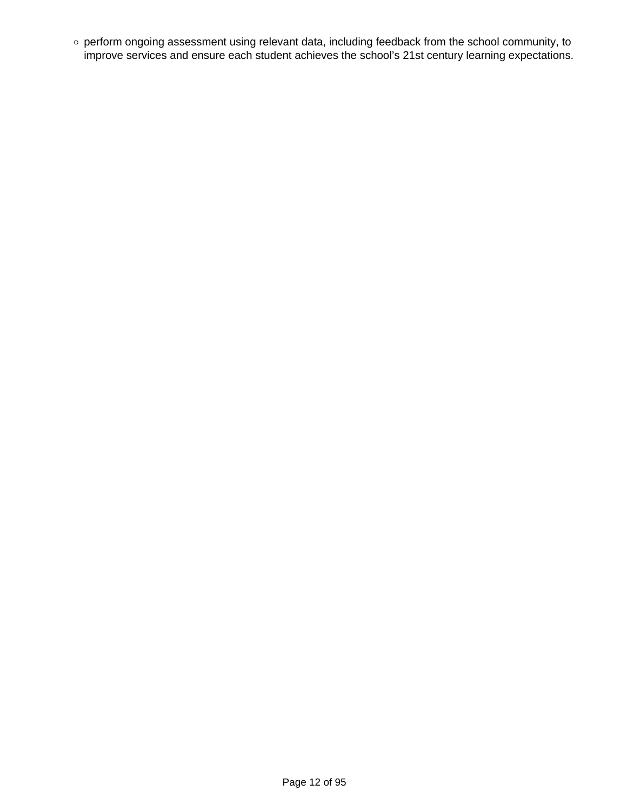perform ongoing assessment using relevant data, including feedback from the school community, to improve services and ensure each student achieves the school's 21st century learning expectations.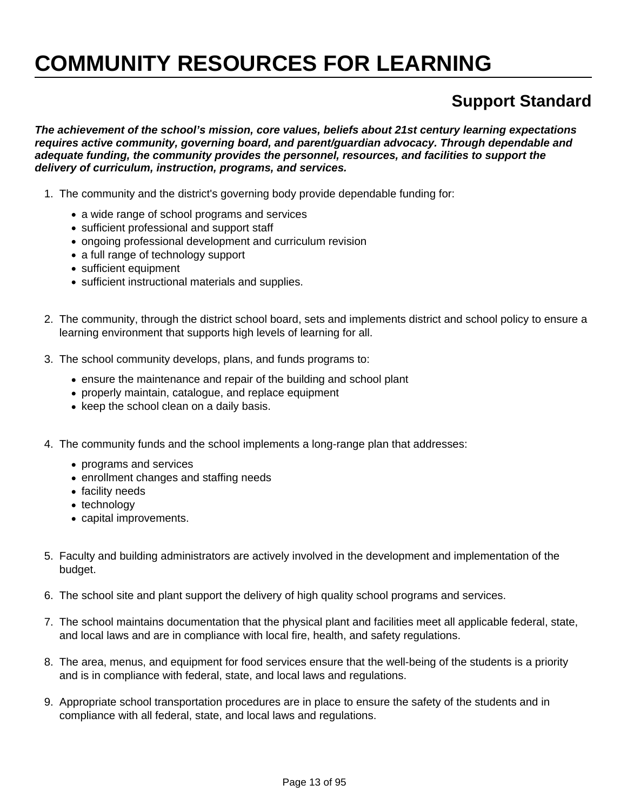# **COMMUNITY RESOURCES FOR LEARNING**

### **Support Standard**

**The achievement of the school's mission, core values, beliefs about 21st century learning expectations requires active community, governing board, and parent/guardian advocacy. Through dependable and adequate funding, the community provides the personnel, resources, and facilities to support the delivery of curriculum, instruction, programs, and services.**

- 1. The community and the district's governing body provide dependable funding for:
	- a wide range of school programs and services
	- sufficient professional and support staff
	- ongoing professional development and curriculum revision
	- a full range of technology support
	- sufficient equipment
	- sufficient instructional materials and supplies.
- 2. The community, through the district school board, sets and implements district and school policy to ensure a learning environment that supports high levels of learning for all.
- 3. The school community develops, plans, and funds programs to:
	- ensure the maintenance and repair of the building and school plant
	- properly maintain, catalogue, and replace equipment
	- keep the school clean on a daily basis.
- 4. The community funds and the school implements a long-range plan that addresses:
	- programs and services
	- enrollment changes and staffing needs
	- facility needs
	- technology
	- capital improvements.
- 5. Faculty and building administrators are actively involved in the development and implementation of the budget.
- 6. The school site and plant support the delivery of high quality school programs and services.
- 7. The school maintains documentation that the physical plant and facilities meet all applicable federal, state, and local laws and are in compliance with local fire, health, and safety regulations.
- 8. The area, menus, and equipment for food services ensure that the well-being of the students is a priority and is in compliance with federal, state, and local laws and regulations.
- 9. Appropriate school transportation procedures are in place to ensure the safety of the students and in compliance with all federal, state, and local laws and regulations.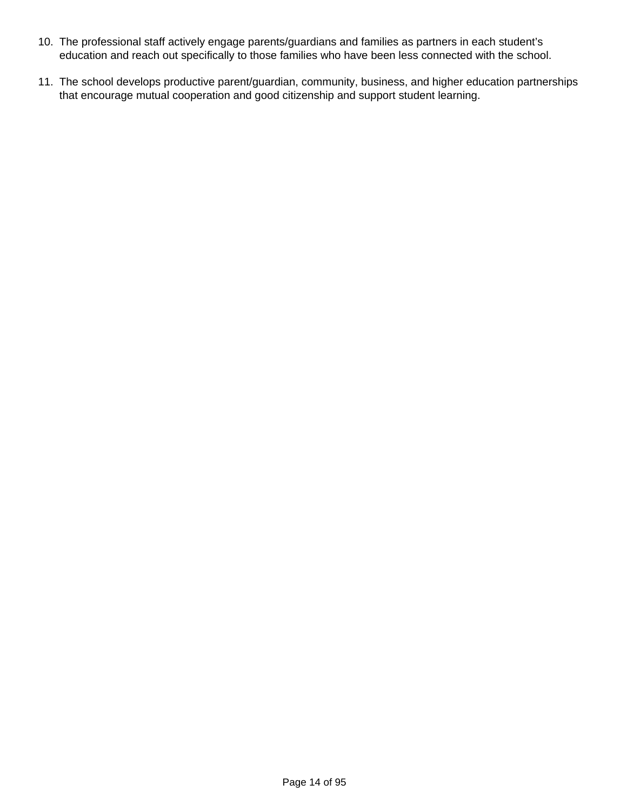- 10. The professional staff actively engage parents/guardians and families as partners in each student's education and reach out specifically to those families who have been less connected with the school.
- 11. The school develops productive parent/guardian, community, business, and higher education partnerships that encourage mutual cooperation and good citizenship and support student learning.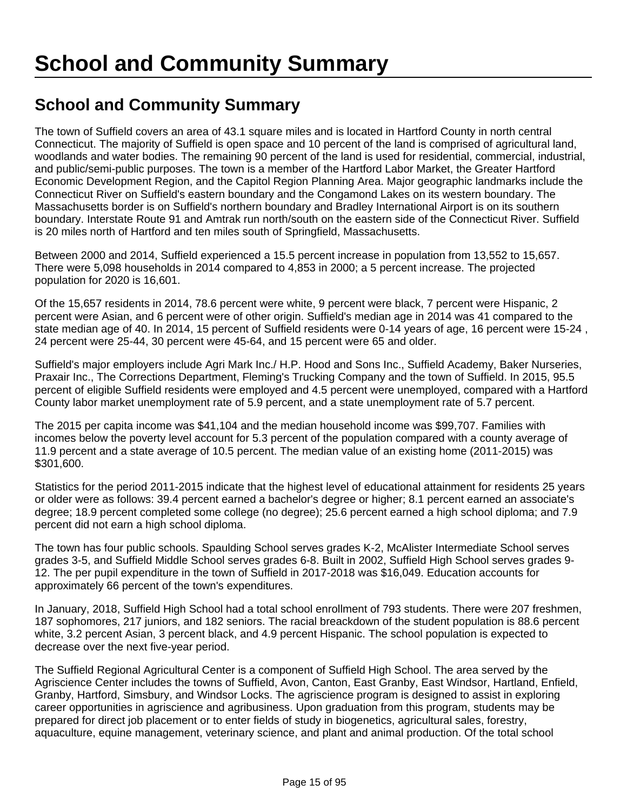### **School and Community Summary**

The town of Suffield covers an area of 43.1 square miles and is located in Hartford County in north central Connecticut. The majority of Suffield is open space and 10 percent of the land is comprised of agricultural land, woodlands and water bodies. The remaining 90 percent of the land is used for residential, commercial, industrial, and public/semi-public purposes. The town is a member of the Hartford Labor Market, the Greater Hartford Economic Development Region, and the Capitol Region Planning Area. Major geographic landmarks include the Connecticut River on Suffield's eastern boundary and the Congamond Lakes on its western boundary. The Massachusetts border is on Suffield's northern boundary and Bradley International Airport is on its southern boundary. Interstate Route 91 and Amtrak run north/south on the eastern side of the Connecticut River. Suffield is 20 miles north of Hartford and ten miles south of Springfield, Massachusetts.

Between 2000 and 2014, Suffield experienced a 15.5 percent increase in population from 13,552 to 15,657. There were 5,098 households in 2014 compared to 4,853 in 2000; a 5 percent increase. The projected population for 2020 is 16,601.

Of the 15,657 residents in 2014, 78.6 percent were white, 9 percent were black, 7 percent were Hispanic, 2 percent were Asian, and 6 percent were of other origin. Suffield's median age in 2014 was 41 compared to the state median age of 40. In 2014, 15 percent of Suffield residents were 0-14 years of age, 16 percent were 15-24 , 24 percent were 25-44, 30 percent were 45-64, and 15 percent were 65 and older.

Suffield's major employers include Agri Mark Inc./ H.P. Hood and Sons Inc., Suffield Academy, Baker Nurseries, Praxair Inc., The Corrections Department, Fleming's Trucking Company and the town of Suffield. In 2015, 95.5 percent of eligible Suffield residents were employed and 4.5 percent were unemployed, compared with a Hartford County labor market unemployment rate of 5.9 percent, and a state unemployment rate of 5.7 percent.

The 2015 per capita income was \$41,104 and the median household income was \$99,707. Families with incomes below the poverty level account for 5.3 percent of the population compared with a county average of 11.9 percent and a state average of 10.5 percent. The median value of an existing home (2011-2015) was \$301,600.

Statistics for the period 2011-2015 indicate that the highest level of educational attainment for residents 25 years or older were as follows: 39.4 percent earned a bachelor's degree or higher; 8.1 percent earned an associate's degree; 18.9 percent completed some college (no degree); 25.6 percent earned a high school diploma; and 7.9 percent did not earn a high school diploma.

The town has four public schools. Spaulding School serves grades K-2, McAlister Intermediate School serves grades 3-5, and Suffield Middle School serves grades 6-8. Built in 2002, Suffield High School serves grades 9- 12. The per pupil expenditure in the town of Suffield in 2017-2018 was \$16,049. Education accounts for approximately 66 percent of the town's expenditures.

In January, 2018, Suffield High School had a total school enrollment of 793 students. There were 207 freshmen, 187 sophomores, 217 juniors, and 182 seniors. The racial breackdown of the student population is 88.6 percent white, 3.2 percent Asian, 3 percent black, and 4.9 percent Hispanic. The school population is expected to decrease over the next five-year period.

The Suffield Regional Agricultural Center is a component of Suffield High School. The area served by the Agriscience Center includes the towns of Suffield, Avon, Canton, East Granby, East Windsor, Hartland, Enfield, Granby, Hartford, Simsbury, and Windsor Locks. The agriscience program is designed to assist in exploring career opportunities in agriscience and agribusiness. Upon graduation from this program, students may be prepared for direct job placement or to enter fields of study in biogenetics, agricultural sales, forestry, aquaculture, equine management, veterinary science, and plant and animal production. Of the total school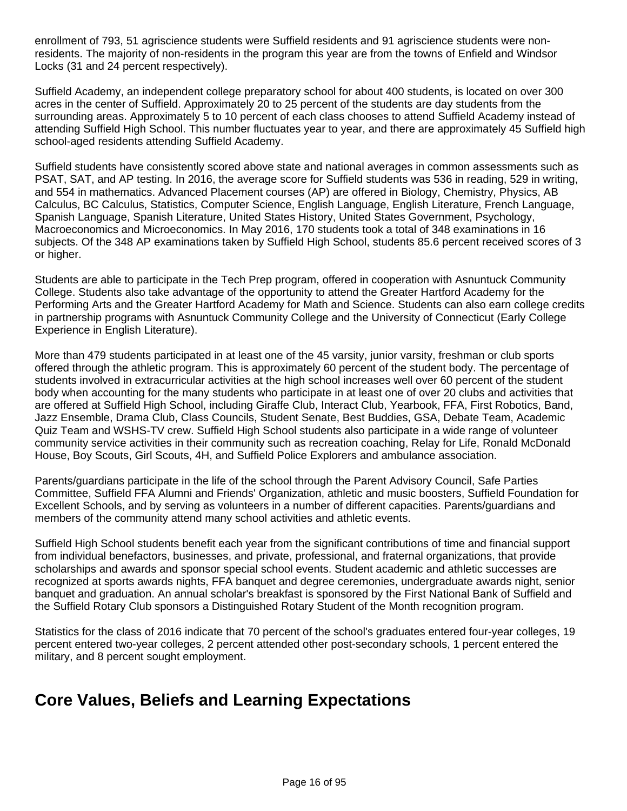enrollment of 793, 51 agriscience students were Suffield residents and 91 agriscience students were nonresidents. The majority of non-residents in the program this year are from the towns of Enfield and Windsor Locks (31 and 24 percent respectively).

Suffield Academy, an independent college preparatory school for about 400 students, is located on over 300 acres in the center of Suffield. Approximately 20 to 25 percent of the students are day students from the surrounding areas. Approximately 5 to 10 percent of each class chooses to attend Suffield Academy instead of attending Suffield High School. This number fluctuates year to year, and there are approximately 45 Suffield high school-aged residents attending Suffield Academy.

Suffield students have consistently scored above state and national averages in common assessments such as PSAT, SAT, and AP testing. In 2016, the average score for Suffield students was 536 in reading, 529 in writing, and 554 in mathematics. Advanced Placement courses (AP) are offered in Biology, Chemistry, Physics, AB Calculus, BC Calculus, Statistics, Computer Science, English Language, English Literature, French Language, Spanish Language, Spanish Literature, United States History, United States Government, Psychology, Macroeconomics and Microeconomics. In May 2016, 170 students took a total of 348 examinations in 16 subjects. Of the 348 AP examinations taken by Suffield High School, students 85.6 percent received scores of 3 or higher.

Students are able to participate in the Tech Prep program, offered in cooperation with Asnuntuck Community College. Students also take advantage of the opportunity to attend the Greater Hartford Academy for the Performing Arts and the Greater Hartford Academy for Math and Science. Students can also earn college credits in partnership programs with Asnuntuck Community College and the University of Connecticut (Early College Experience in English Literature).

More than 479 students participated in at least one of the 45 varsity, junior varsity, freshman or club sports offered through the athletic program. This is approximately 60 percent of the student body. The percentage of students involved in extracurricular activities at the high school increases well over 60 percent of the student body when accounting for the many students who participate in at least one of over 20 clubs and activities that are offered at Suffield High School, including Giraffe Club, Interact Club, Yearbook, FFA, First Robotics, Band, Jazz Ensemble, Drama Club, Class Councils, Student Senate, Best Buddies, GSA, Debate Team, Academic Quiz Team and WSHS-TV crew. Suffield High School students also participate in a wide range of volunteer community service activities in their community such as recreation coaching, Relay for Life, Ronald McDonald House, Boy Scouts, Girl Scouts, 4H, and Suffield Police Explorers and ambulance association.

Parents/guardians participate in the life of the school through the Parent Advisory Council, Safe Parties Committee, Suffield FFA Alumni and Friends' Organization, athletic and music boosters, Suffield Foundation for Excellent Schools, and by serving as volunteers in a number of different capacities. Parents/guardians and members of the community attend many school activities and athletic events.

Suffield High School students benefit each year from the significant contributions of time and financial support from individual benefactors, businesses, and private, professional, and fraternal organizations, that provide scholarships and awards and sponsor special school events. Student academic and athletic successes are recognized at sports awards nights, FFA banquet and degree ceremonies, undergraduate awards night, senior banquet and graduation. An annual scholar's breakfast is sponsored by the First National Bank of Suffield and the Suffield Rotary Club sponsors a Distinguished Rotary Student of the Month recognition program.

Statistics for the class of 2016 indicate that 70 percent of the school's graduates entered four-year colleges, 19 percent entered two-year colleges, 2 percent attended other post-secondary schools, 1 percent entered the military, and 8 percent sought employment.

#### **Core Values, Beliefs and Learning Expectations**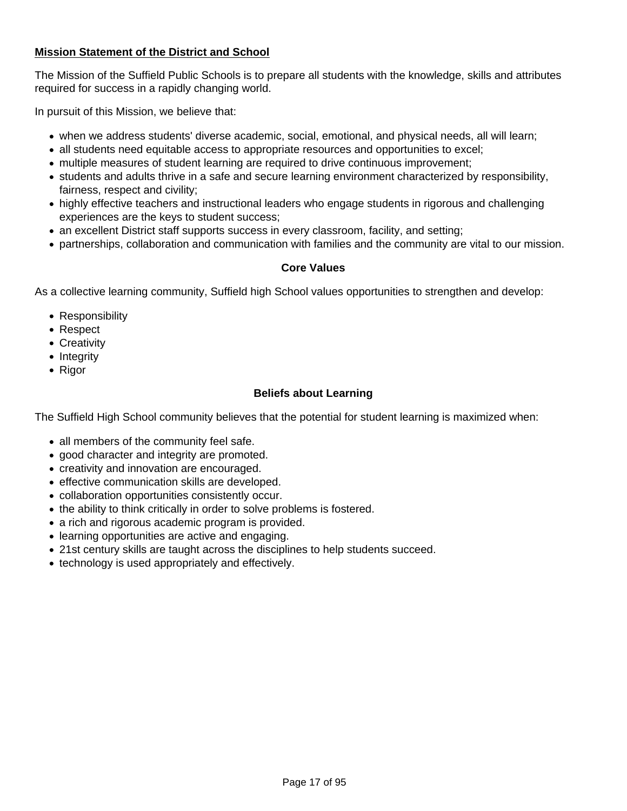#### **Mission Statement of the District and School**

The Mission of the Suffield Public Schools is to prepare all students with the knowledge, skills and attributes required for success in a rapidly changing world.

In pursuit of this Mission, we believe that:

- when we address students' diverse academic, social, emotional, and physical needs, all will learn;
- all students need equitable access to appropriate resources and opportunities to excel;
- multiple measures of student learning are required to drive continuous improvement;
- students and adults thrive in a safe and secure learning environment characterized by responsibility, fairness, respect and civility;
- highly effective teachers and instructional leaders who engage students in rigorous and challenging experiences are the keys to student success;
- an excellent District staff supports success in every classroom, facility, and setting;
- partnerships, collaboration and communication with families and the community are vital to our mission.

#### **Core Values**

As a collective learning community, Suffield high School values opportunities to strengthen and develop:

- Responsibility
- Respect
- Creativity
- Integrity
- Rigor

#### **Beliefs about Learning**

The Suffield High School community believes that the potential for student learning is maximized when:

- all members of the community feel safe.
- good character and integrity are promoted.
- creativity and innovation are encouraged.
- effective communication skills are developed.
- collaboration opportunities consistently occur.
- the ability to think critically in order to solve problems is fostered.
- a rich and rigorous academic program is provided.
- learning opportunities are active and engaging.
- 21st century skills are taught across the disciplines to help students succeed.
- technology is used appropriately and effectively.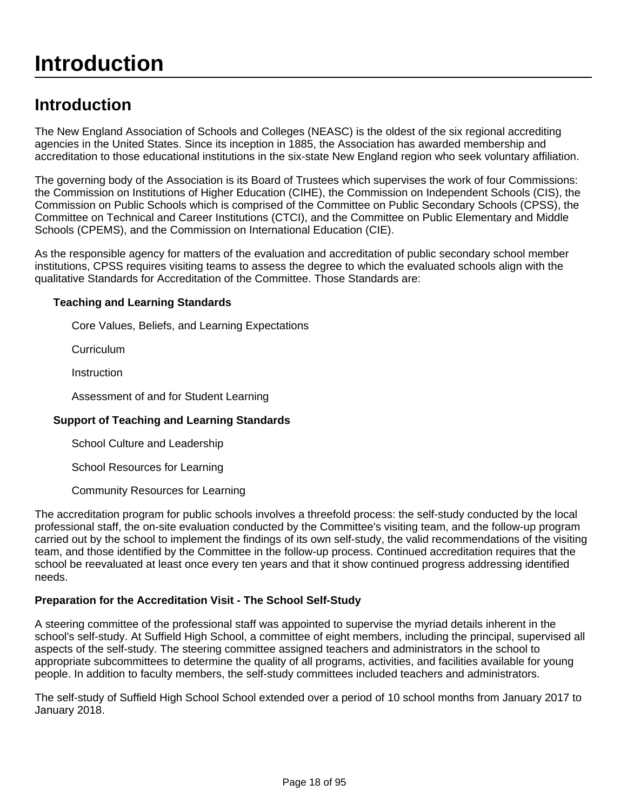# **Introduction**

### **Introduction**

The New England Association of Schools and Colleges (NEASC) is the oldest of the six regional accrediting agencies in the United States. Since its inception in 1885, the Association has awarded membership and accreditation to those educational institutions in the six-state New England region who seek voluntary affiliation.

The governing body of the Association is its Board of Trustees which supervises the work of four Commissions: the Commission on Institutions of Higher Education (CIHE), the Commission on Independent Schools (CIS), the Commission on Public Schools which is comprised of the Committee on Public Secondary Schools (CPSS), the Committee on Technical and Career Institutions (CTCI), and the Committee on Public Elementary and Middle Schools (CPEMS), and the Commission on International Education (CIE).

As the responsible agency for matters of the evaluation and accreditation of public secondary school member institutions, CPSS requires visiting teams to assess the degree to which the evaluated schools align with the qualitative Standards for Accreditation of the Committee. Those Standards are:

#### **Teaching and Learning Standards**

Core Values, Beliefs, and Learning Expectations

Curriculum

Instruction

Assessment of and for Student Learning

#### **Support of Teaching and Learning Standards**

School Culture and Leadership

School Resources for Learning

Community Resources for Learning

The accreditation program for public schools involves a threefold process: the self-study conducted by the local professional staff, the on-site evaluation conducted by the Committee's visiting team, and the follow-up program carried out by the school to implement the findings of its own self-study, the valid recommendations of the visiting team, and those identified by the Committee in the follow-up process. Continued accreditation requires that the school be reevaluated at least once every ten years and that it show continued progress addressing identified needs.

#### **Preparation for the Accreditation Visit - The School Self-Study**

A steering committee of the professional staff was appointed to supervise the myriad details inherent in the school's self-study. At Suffield High School, a committee of eight members, including the principal, supervised all aspects of the self-study. The steering committee assigned teachers and administrators in the school to appropriate subcommittees to determine the quality of all programs, activities, and facilities available for young people. In addition to faculty members, the self-study committees included teachers and administrators.

The self-study of Suffield High School School extended over a period of 10 school months from January 2017 to January 2018.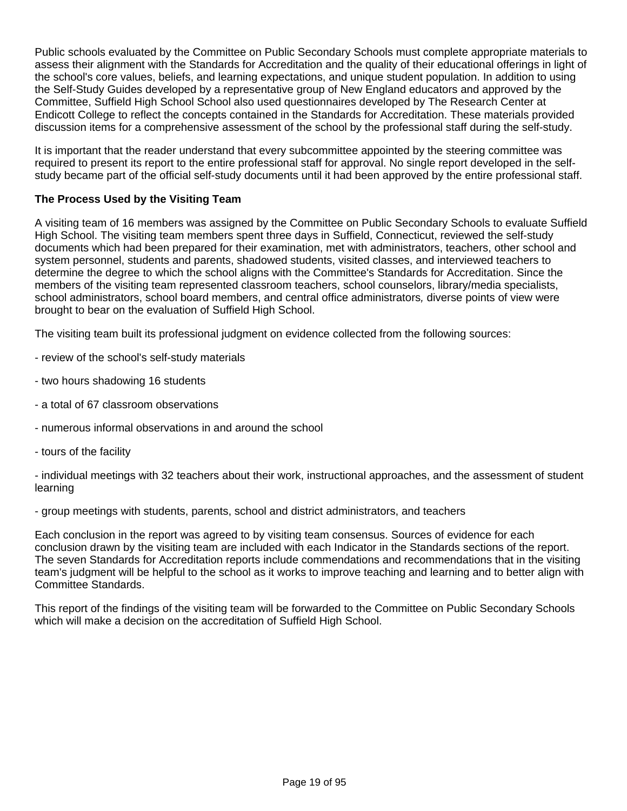Public schools evaluated by the Committee on Public Secondary Schools must complete appropriate materials to assess their alignment with the Standards for Accreditation and the quality of their educational offerings in light of the school's core values, beliefs, and learning expectations, and unique student population. In addition to using the Self-Study Guides developed by a representative group of New England educators and approved by the Committee, Suffield High School School also used questionnaires developed by The Research Center at Endicott College to reflect the concepts contained in the Standards for Accreditation. These materials provided discussion items for a comprehensive assessment of the school by the professional staff during the self-study.

It is important that the reader understand that every subcommittee appointed by the steering committee was required to present its report to the entire professional staff for approval. No single report developed in the selfstudy became part of the official self-study documents until it had been approved by the entire professional staff.

#### **The Process Used by the Visiting Team**

A visiting team of 16 members was assigned by the Committee on Public Secondary Schools to evaluate Suffield High School. The visiting team members spent three days in Suffield, Connecticut, reviewed the self-study documents which had been prepared for their examination, met with administrators, teachers, other school and system personnel, students and parents, shadowed students, visited classes, and interviewed teachers to determine the degree to which the school aligns with the Committee's Standards for Accreditation. Since the members of the visiting team represented classroom teachers, school counselors, library/media specialists, school administrators, school board members, and central office administrators, diverse points of view were brought to bear on the evaluation of Suffield High School.

The visiting team built its professional judgment on evidence collected from the following sources:

- review of the school's self-study materials
- two hours shadowing 16 students
- a total of 67 classroom observations
- numerous informal observations in and around the school
- tours of the facility

- individual meetings with 32 teachers about their work, instructional approaches, and the assessment of student learning

- group meetings with students, parents, school and district administrators, and teachers

Each conclusion in the report was agreed to by visiting team consensus. Sources of evidence for each conclusion drawn by the visiting team are included with each Indicator in the Standards sections of the report. The seven Standards for Accreditation reports include commendations and recommendations that in the visiting team's judgment will be helpful to the school as it works to improve teaching and learning and to better align with Committee Standards.

This report of the findings of the visiting team will be forwarded to the Committee on Public Secondary Schools which will make a decision on the accreditation of Suffield High School.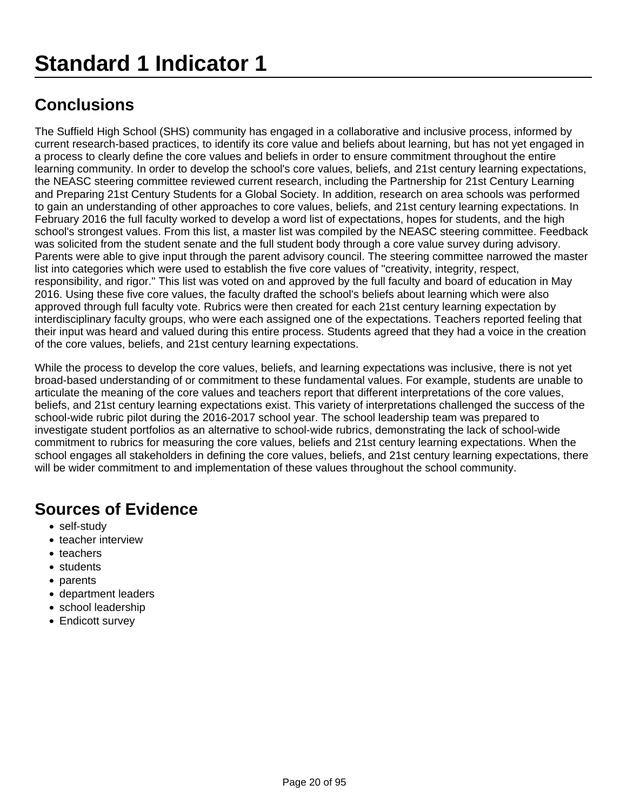The Suffield High School (SHS) community has engaged in a collaborative and inclusive process, informed by current research-based practices, to identify its core value and beliefs about learning, but has not yet engaged in a process to clearly define the core values and beliefs in order to ensure commitment throughout the entire learning community. In order to develop the school's core values, beliefs, and 21st century learning expectations, the NEASC steering committee reviewed current research, including the Partnership for 21st Century Learning and Preparing 21st Century Students for a Global Society. In addition, research on area schools was performed to gain an understanding of other approaches to core values, beliefs, and 21st century learning expectations. In February 2016 the full faculty worked to develop a word list of expectations, hopes for students, and the high school's strongest values. From this list, a master list was compiled by the NEASC steering committee. Feedback was solicited from the student senate and the full student body through a core value survey during advisory. Parents were able to give input through the parent advisory council. The steering committee narrowed the master list into categories which were used to establish the five core values of "creativity, integrity, respect, responsibility, and rigor." This list was voted on and approved by the full faculty and board of education in May 2016. Using these five core values, the faculty drafted the school's beliefs about learning which were also approved through full faculty vote. Rubrics were then created for each 21st century learning expectation by interdisciplinary faculty groups, who were each assigned one of the expectations. Teachers reported feeling that their input was heard and valued during this entire process. Students agreed that they had a voice in the creation of the core values, beliefs, and 21st century learning expectations.

While the process to develop the core values, beliefs, and learning expectations was inclusive, there is not yet broad-based understanding of or commitment to these fundamental values. For example, students are unable to articulate the meaning of the core values and teachers report that different interpretations of the core values, beliefs, and 21st century learning expectations exist. This variety of interpretations challenged the success of the school-wide rubric pilot during the 2016-2017 school year. The school leadership team was prepared to investigate student portfolios as an alternative to school-wide rubrics, demonstrating the lack of school-wide commitment to rubrics for measuring the core values, beliefs and 21st century learning expectations. When the school engages all stakeholders in defining the core values, beliefs, and 21st century learning expectations, there will be wider commitment to and implementation of these values throughout the school community.

- self-study
- teacher interview
- teachers
- students
- parents
- department leaders
- school leadership
- Endicott survey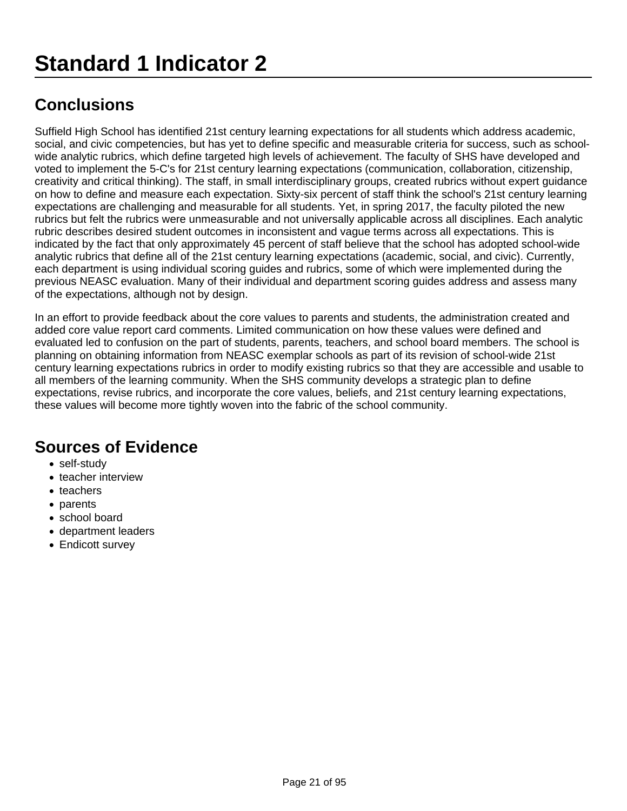Suffield High School has identified 21st century learning expectations for all students which address academic, social, and civic competencies, but has yet to define specific and measurable criteria for success, such as schoolwide analytic rubrics, which define targeted high levels of achievement. The faculty of SHS have developed and voted to implement the 5-C's for 21st century learning expectations (communication, collaboration, citizenship, creativity and critical thinking). The staff, in small interdisciplinary groups, created rubrics without expert guidance on how to define and measure each expectation. Sixty-six percent of staff think the school's 21st century learning expectations are challenging and measurable for all students. Yet, in spring 2017, the faculty piloted the new rubrics but felt the rubrics were unmeasurable and not universally applicable across all disciplines. Each analytic rubric describes desired student outcomes in inconsistent and vague terms across all expectations. This is indicated by the fact that only approximately 45 percent of staff believe that the school has adopted school-wide analytic rubrics that define all of the 21st century learning expectations (academic, social, and civic). Currently, each department is using individual scoring guides and rubrics, some of which were implemented during the previous NEASC evaluation. Many of their individual and department scoring guides address and assess many of the expectations, although not by design.

In an effort to provide feedback about the core values to parents and students, the administration created and added core value report card comments. Limited communication on how these values were defined and evaluated led to confusion on the part of students, parents, teachers, and school board members. The school is planning on obtaining information from NEASC exemplar schools as part of its revision of school-wide 21st century learning expectations rubrics in order to modify existing rubrics so that they are accessible and usable to all members of the learning community. When the SHS community develops a strategic plan to define expectations, revise rubrics, and incorporate the core values, beliefs, and 21st century learning expectations, these values will become more tightly woven into the fabric of the school community.

- self-study
- teacher interview
- teachers
- parents
- school board
- department leaders
- Endicott survey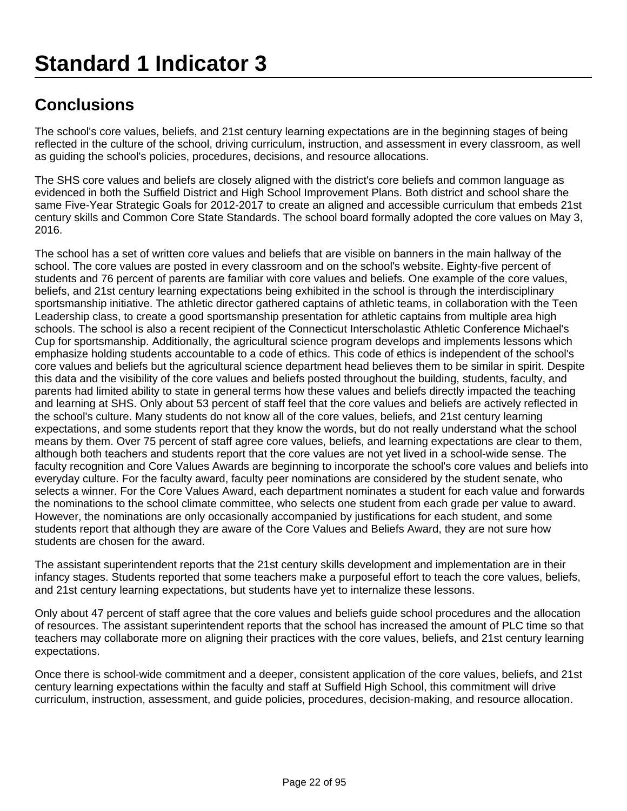The school's core values, beliefs, and 21st century learning expectations are in the beginning stages of being reflected in the culture of the school, driving curriculum, instruction, and assessment in every classroom, as well as guiding the school's policies, procedures, decisions, and resource allocations.

The SHS core values and beliefs are closely aligned with the district's core beliefs and common language as evidenced in both the Suffield District and High School Improvement Plans. Both district and school share the same Five-Year Strategic Goals for 2012-2017 to create an aligned and accessible curriculum that embeds 21st century skills and Common Core State Standards. The school board formally adopted the core values on May 3, 2016.

The school has a set of written core values and beliefs that are visible on banners in the main hallway of the school. The core values are posted in every classroom and on the school's website. Eighty-five percent of students and 76 percent of parents are familiar with core values and beliefs. One example of the core values, beliefs, and 21st century learning expectations being exhibited in the school is through the interdisciplinary sportsmanship initiative. The athletic director gathered captains of athletic teams, in collaboration with the Teen Leadership class, to create a good sportsmanship presentation for athletic captains from multiple area high schools. The school is also a recent recipient of the Connecticut Interscholastic Athletic Conference Michael's Cup for sportsmanship. Additionally, the agricultural science program develops and implements lessons which emphasize holding students accountable to a code of ethics. This code of ethics is independent of the school's core values and beliefs but the agricultural science department head believes them to be similar in spirit. Despite this data and the visibility of the core values and beliefs posted throughout the building, students, faculty, and parents had limited ability to state in general terms how these values and beliefs directly impacted the teaching and learning at SHS. Only about 53 percent of staff feel that the core values and beliefs are actively reflected in the school's culture. Many students do not know all of the core values, beliefs, and 21st century learning expectations, and some students report that they know the words, but do not really understand what the school means by them. Over 75 percent of staff agree core values, beliefs, and learning expectations are clear to them, although both teachers and students report that the core values are not yet lived in a school-wide sense. The faculty recognition and Core Values Awards are beginning to incorporate the school's core values and beliefs into everyday culture. For the faculty award, faculty peer nominations are considered by the student senate, who selects a winner. For the Core Values Award, each department nominates a student for each value and forwards the nominations to the school climate committee, who selects one student from each grade per value to award. However, the nominations are only occasionally accompanied by justifications for each student, and some students report that although they are aware of the Core Values and Beliefs Award, they are not sure how students are chosen for the award.

The assistant superintendent reports that the 21st century skills development and implementation are in their infancy stages. Students reported that some teachers make a purposeful effort to teach the core values, beliefs, and 21st century learning expectations, but students have yet to internalize these lessons.

Only about 47 percent of staff agree that the core values and beliefs guide school procedures and the allocation of resources. The assistant superintendent reports that the school has increased the amount of PLC time so that teachers may collaborate more on aligning their practices with the core values, beliefs, and 21st century learning expectations.

Once there is school-wide commitment and a deeper, consistent application of the core values, beliefs, and 21st century learning expectations within the faculty and staff at Suffield High School, this commitment will drive curriculum, instruction, assessment, and guide policies, procedures, decision-making, and resource allocation.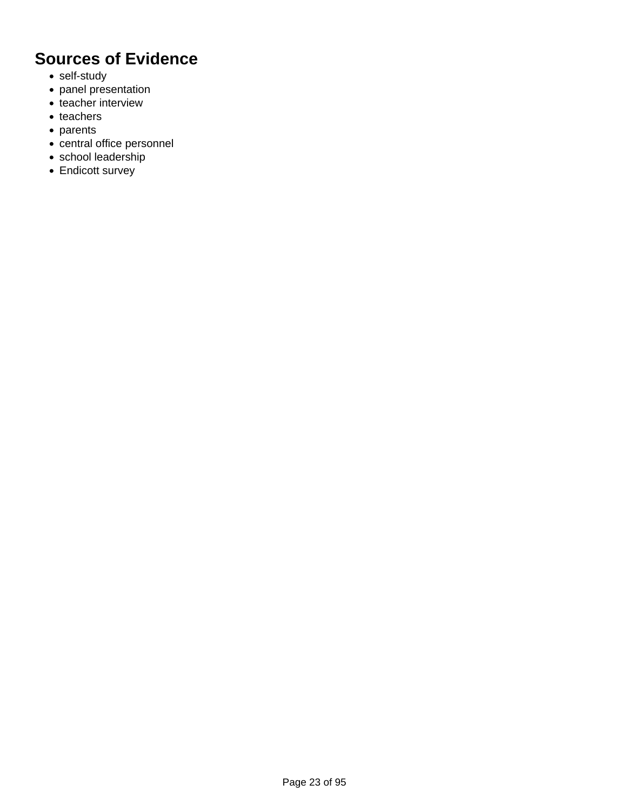- self-study
- panel presentation
- teacher interview
- teachers
- parents
- central office personnel
- school leadership
- Endicott survey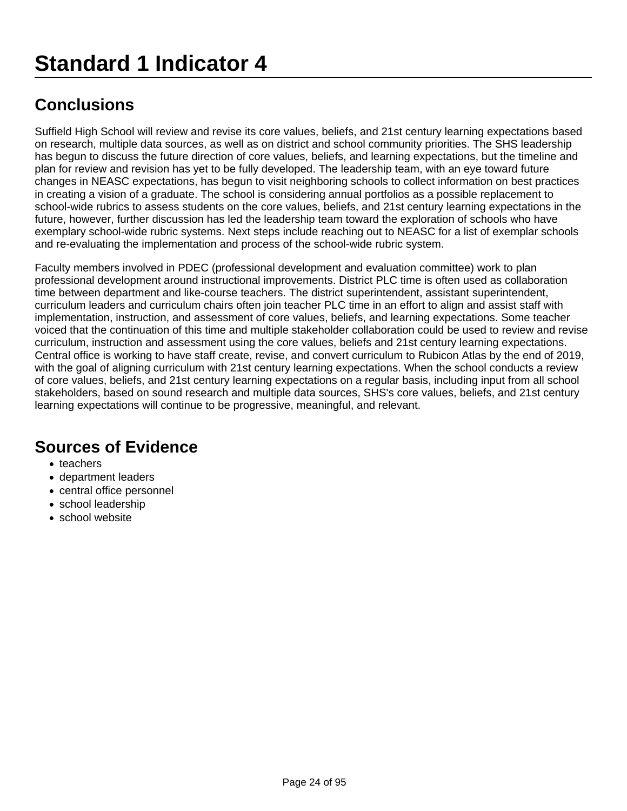Suffield High School will review and revise its core values, beliefs, and 21st century learning expectations based on research, multiple data sources, as well as on district and school community priorities. The SHS leadership has begun to discuss the future direction of core values, beliefs, and learning expectations, but the timeline and plan for review and revision has yet to be fully developed. The leadership team, with an eye toward future changes in NEASC expectations, has begun to visit neighboring schools to collect information on best practices in creating a vision of a graduate. The school is considering annual portfolios as a possible replacement to school-wide rubrics to assess students on the core values, beliefs, and 21st century learning expectations in the future, however, further discussion has led the leadership team toward the exploration of schools who have exemplary school-wide rubric systems. Next steps include reaching out to NEASC for a list of exemplar schools and re-evaluating the implementation and process of the school-wide rubric system.

Faculty members involved in PDEC (professional development and evaluation committee) work to plan professional development around instructional improvements. District PLC time is often used as collaboration time between department and like-course teachers. The district superintendent, assistant superintendent, curriculum leaders and curriculum chairs often join teacher PLC time in an effort to align and assist staff with implementation, instruction, and assessment of core values, beliefs, and learning expectations. Some teacher voiced that the continuation of this time and multiple stakeholder collaboration could be used to review and revise curriculum, instruction and assessment using the core values, beliefs and 21st century learning expectations. Central office is working to have staff create, revise, and convert curriculum to Rubicon Atlas by the end of 2019, with the goal of aligning curriculum with 21st century learning expectations. When the school conducts a review of core values, beliefs, and 21st century learning expectations on a regular basis, including input from all school stakeholders, based on sound research and multiple data sources, SHS's core values, beliefs, and 21st century learning expectations will continue to be progressive, meaningful, and relevant.

- teachers
- department leaders
- central office personnel
- school leadership
- school website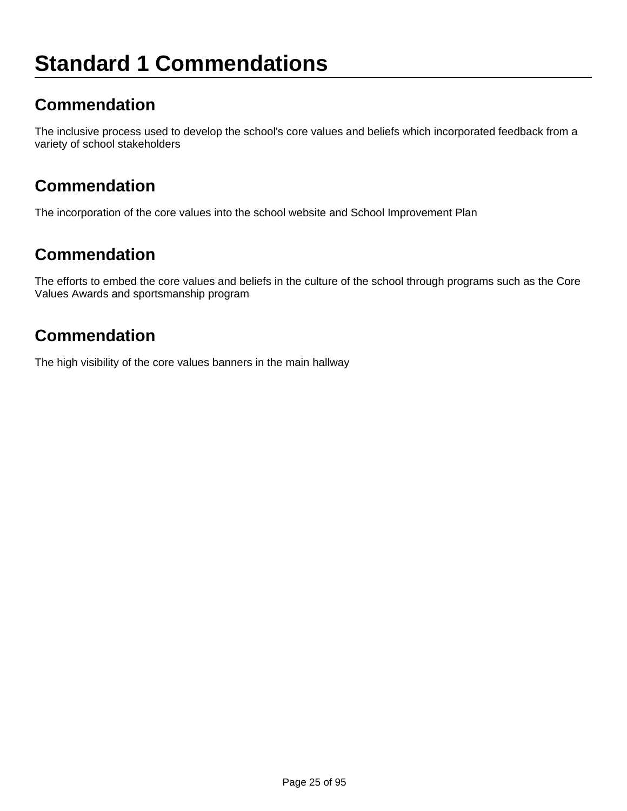# **Standard 1 Commendations**

## **Commendation**

The inclusive process used to develop the school's core values and beliefs which incorporated feedback from a variety of school stakeholders

### **Commendation**

The incorporation of the core values into the school website and School Improvement Plan

### **Commendation**

The efforts to embed the core values and beliefs in the culture of the school through programs such as the Core Values Awards and sportsmanship program

## **Commendation**

The high visibility of the core values banners in the main hallway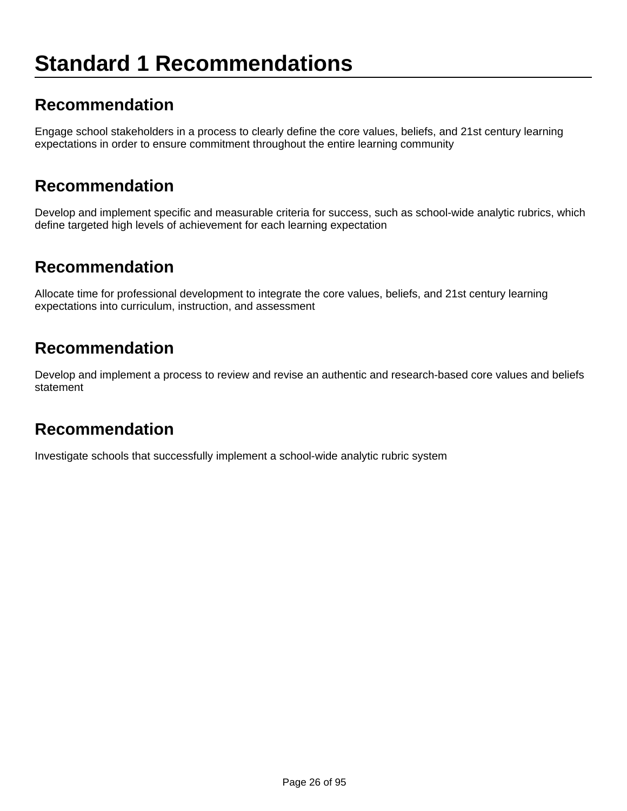# **Standard 1 Recommendations**

#### **Recommendation**

Engage school stakeholders in a process to clearly define the core values, beliefs, and 21st century learning expectations in order to ensure commitment throughout the entire learning community

#### **Recommendation**

Develop and implement specific and measurable criteria for success, such as school-wide analytic rubrics, which define targeted high levels of achievement for each learning expectation

#### **Recommendation**

Allocate time for professional development to integrate the core values, beliefs, and 21st century learning expectations into curriculum, instruction, and assessment

#### **Recommendation**

Develop and implement a process to review and revise an authentic and research-based core values and beliefs statement

#### **Recommendation**

Investigate schools that successfully implement a school-wide analytic rubric system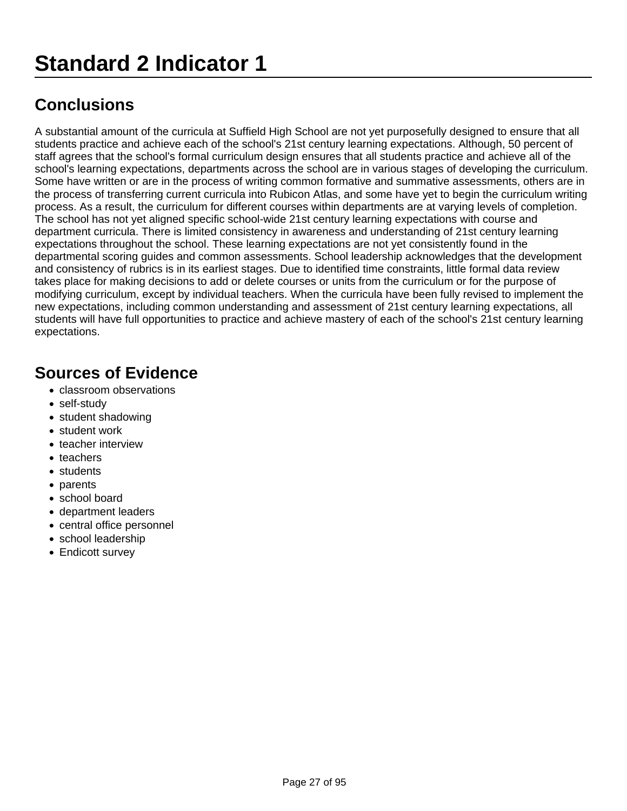A substantial amount of the curricula at Suffield High School are not yet purposefully designed to ensure that all students practice and achieve each of the school's 21st century learning expectations. Although, 50 percent of staff agrees that the school's formal curriculum design ensures that all students practice and achieve all of the school's learning expectations, departments across the school are in various stages of developing the curriculum. Some have written or are in the process of writing common formative and summative assessments, others are in the process of transferring current curricula into Rubicon Atlas, and some have yet to begin the curriculum writing process. As a result, the curriculum for different courses within departments are at varying levels of completion. The school has not yet aligned specific school-wide 21st century learning expectations with course and department curricula. There is limited consistency in awareness and understanding of 21st century learning expectations throughout the school. These learning expectations are not yet consistently found in the departmental scoring guides and common assessments. School leadership acknowledges that the development and consistency of rubrics is in its earliest stages. Due to identified time constraints, little formal data review takes place for making decisions to add or delete courses or units from the curriculum or for the purpose of modifying curriculum, except by individual teachers. When the curricula have been fully revised to implement the new expectations, including common understanding and assessment of 21st century learning expectations, all students will have full opportunities to practice and achieve mastery of each of the school's 21st century learning expectations.

- classroom observations
- self-study
- student shadowing
- student work
- teacher interview
- teachers
- students
- parents
- school board
- department leaders
- central office personnel
- school leadership
- Endicott survey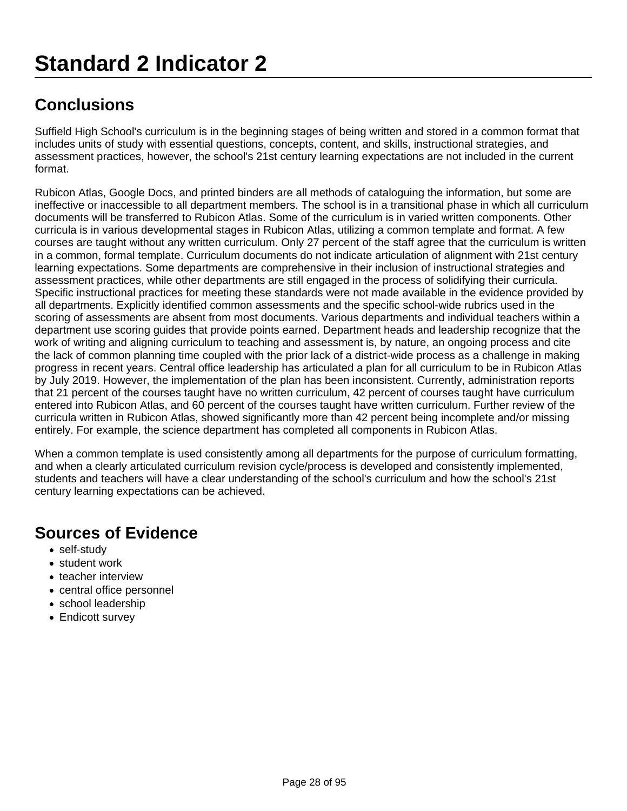Suffield High School's curriculum is in the beginning stages of being written and stored in a common format that includes units of study with essential questions, concepts, content, and skills, instructional strategies, and assessment practices, however, the school's 21st century learning expectations are not included in the current format.

Rubicon Atlas, Google Docs, and printed binders are all methods of cataloguing the information, but some are ineffective or inaccessible to all department members. The school is in a transitional phase in which all curriculum documents will be transferred to Rubicon Atlas. Some of the curriculum is in varied written components. Other curricula is in various developmental stages in Rubicon Atlas, utilizing a common template and format. A few courses are taught without any written curriculum. Only 27 percent of the staff agree that the curriculum is written in a common, formal template. Curriculum documents do not indicate articulation of alignment with 21st century learning expectations. Some departments are comprehensive in their inclusion of instructional strategies and assessment practices, while other departments are still engaged in the process of solidifying their curricula. Specific instructional practices for meeting these standards were not made available in the evidence provided by all departments. Explicitly identified common assessments and the specific school-wide rubrics used in the scoring of assessments are absent from most documents. Various departments and individual teachers within a department use scoring guides that provide points earned. Department heads and leadership recognize that the work of writing and aligning curriculum to teaching and assessment is, by nature, an ongoing process and cite the lack of common planning time coupled with the prior lack of a district-wide process as a challenge in making progress in recent years. Central office leadership has articulated a plan for all curriculum to be in Rubicon Atlas by July 2019. However, the implementation of the plan has been inconsistent. Currently, administration reports that 21 percent of the courses taught have no written curriculum, 42 percent of courses taught have curriculum entered into Rubicon Atlas, and 60 percent of the courses taught have written curriculum. Further review of the curricula written in Rubicon Atlas, showed significantly more than 42 percent being incomplete and/or missing entirely. For example, the science department has completed all components in Rubicon Atlas.

When a common template is used consistently among all departments for the purpose of curriculum formatting, and when a clearly articulated curriculum revision cycle/process is developed and consistently implemented, students and teachers will have a clear understanding of the school's curriculum and how the school's 21st century learning expectations can be achieved.

- self-study
- student work
- teacher interview
- central office personnel
- school leadership
- Endicott survey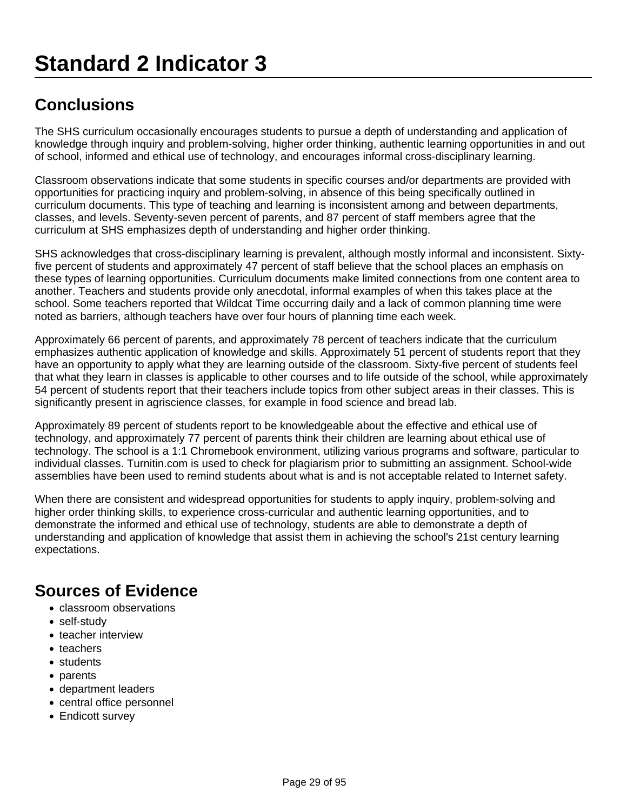The SHS curriculum occasionally encourages students to pursue a depth of understanding and application of knowledge through inquiry and problem-solving, higher order thinking, authentic learning opportunities in and out of school, informed and ethical use of technology, and encourages informal cross-disciplinary learning.

Classroom observations indicate that some students in specific courses and/or departments are provided with opportunities for practicing inquiry and problem-solving, in absence of this being specifically outlined in curriculum documents. This type of teaching and learning is inconsistent among and between departments, classes, and levels. Seventy-seven percent of parents, and 87 percent of staff members agree that the curriculum at SHS emphasizes depth of understanding and higher order thinking.

SHS acknowledges that cross-disciplinary learning is prevalent, although mostly informal and inconsistent. Sixtyfive percent of students and approximately 47 percent of staff believe that the school places an emphasis on these types of learning opportunities. Curriculum documents make limited connections from one content area to another. Teachers and students provide only anecdotal, informal examples of when this takes place at the school. Some teachers reported that Wildcat Time occurring daily and a lack of common planning time were noted as barriers, although teachers have over four hours of planning time each week.

Approximately 66 percent of parents, and approximately 78 percent of teachers indicate that the curriculum emphasizes authentic application of knowledge and skills. Approximately 51 percent of students report that they have an opportunity to apply what they are learning outside of the classroom. Sixty-five percent of students feel that what they learn in classes is applicable to other courses and to life outside of the school, while approximately 54 percent of students report that their teachers include topics from other subject areas in their classes. This is significantly present in agriscience classes, for example in food science and bread lab.

Approximately 89 percent of students report to be knowledgeable about the effective and ethical use of technology, and approximately 77 percent of parents think their children are learning about ethical use of technology. The school is a 1:1 Chromebook environment, utilizing various programs and software, particular to individual classes. Turnitin.com is used to check for plagiarism prior to submitting an assignment. School-wide assemblies have been used to remind students about what is and is not acceptable related to Internet safety.

When there are consistent and widespread opportunities for students to apply inquiry, problem-solving and higher order thinking skills, to experience cross-curricular and authentic learning opportunities, and to demonstrate the informed and ethical use of technology, students are able to demonstrate a depth of understanding and application of knowledge that assist them in achieving the school's 21st century learning expectations.

- classroom observations
- self-study
- teacher interview
- teachers
- students
- parents
- department leaders
- central office personnel
- Endicott survey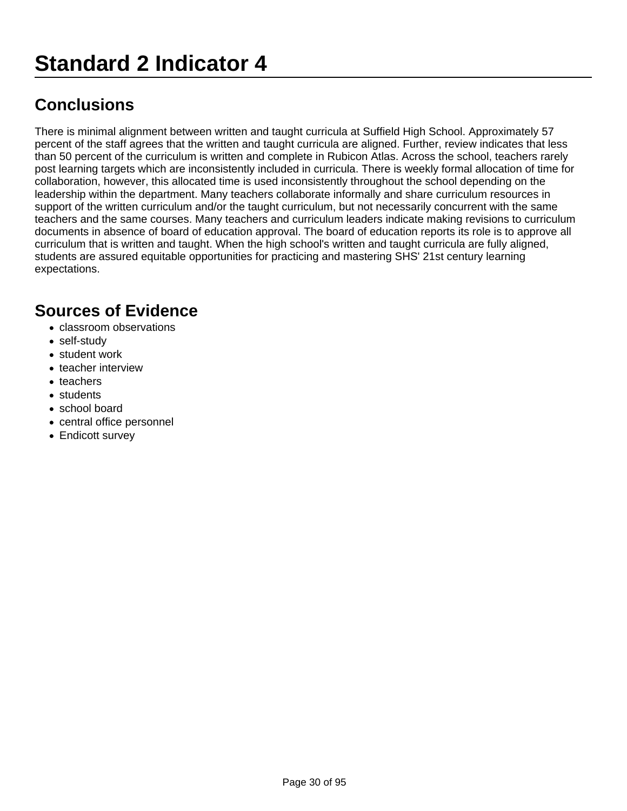There is minimal alignment between written and taught curricula at Suffield High School. Approximately 57 percent of the staff agrees that the written and taught curricula are aligned. Further, review indicates that less than 50 percent of the curriculum is written and complete in Rubicon Atlas. Across the school, teachers rarely post learning targets which are inconsistently included in curricula. There is weekly formal allocation of time for collaboration, however, this allocated time is used inconsistently throughout the school depending on the leadership within the department. Many teachers collaborate informally and share curriculum resources in support of the written curriculum and/or the taught curriculum, but not necessarily concurrent with the same teachers and the same courses. Many teachers and curriculum leaders indicate making revisions to curriculum documents in absence of board of education approval. The board of education reports its role is to approve all curriculum that is written and taught. When the high school's written and taught curricula are fully aligned, students are assured equitable opportunities for practicing and mastering SHS' 21st century learning expectations.

- classroom observations
- self-study
- student work
- teacher interview
- teachers
- students
- school board
- central office personnel
- Endicott survey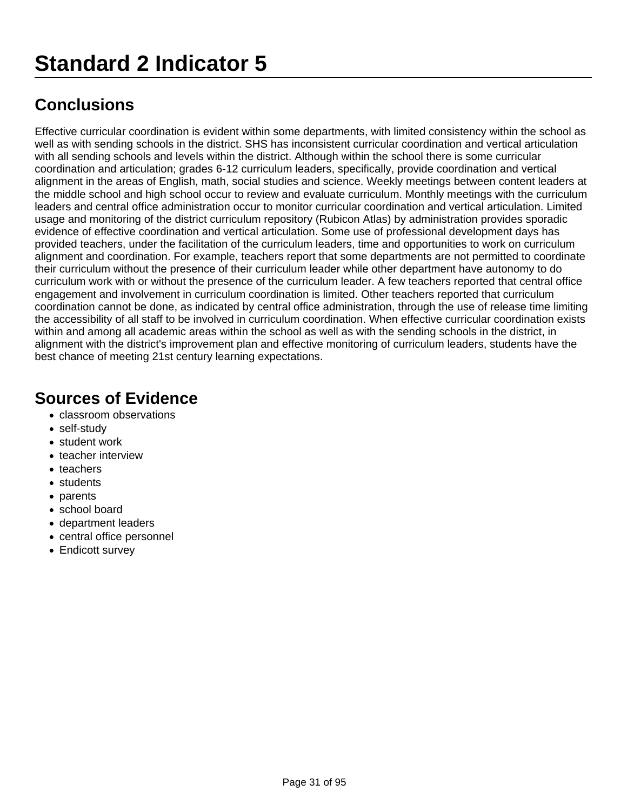Effective curricular coordination is evident within some departments, with limited consistency within the school as well as with sending schools in the district. SHS has inconsistent curricular coordination and vertical articulation with all sending schools and levels within the district. Although within the school there is some curricular coordination and articulation; grades 6-12 curriculum leaders, specifically, provide coordination and vertical alignment in the areas of English, math, social studies and science. Weekly meetings between content leaders at the middle school and high school occur to review and evaluate curriculum. Monthly meetings with the curriculum leaders and central office administration occur to monitor curricular coordination and vertical articulation. Limited usage and monitoring of the district curriculum repository (Rubicon Atlas) by administration provides sporadic evidence of effective coordination and vertical articulation. Some use of professional development days has provided teachers, under the facilitation of the curriculum leaders, time and opportunities to work on curriculum alignment and coordination. For example, teachers report that some departments are not permitted to coordinate their curriculum without the presence of their curriculum leader while other department have autonomy to do curriculum work with or without the presence of the curriculum leader. A few teachers reported that central office engagement and involvement in curriculum coordination is limited. Other teachers reported that curriculum coordination cannot be done, as indicated by central office administration, through the use of release time limiting the accessibility of all staff to be involved in curriculum coordination. When effective curricular coordination exists within and among all academic areas within the school as well as with the sending schools in the district, in alignment with the district's improvement plan and effective monitoring of curriculum leaders, students have the best chance of meeting 21st century learning expectations.

- classroom observations
- self-study
- student work
- teacher interview
- teachers
- students
- parents
- school board
- department leaders
- central office personnel
- Endicott survey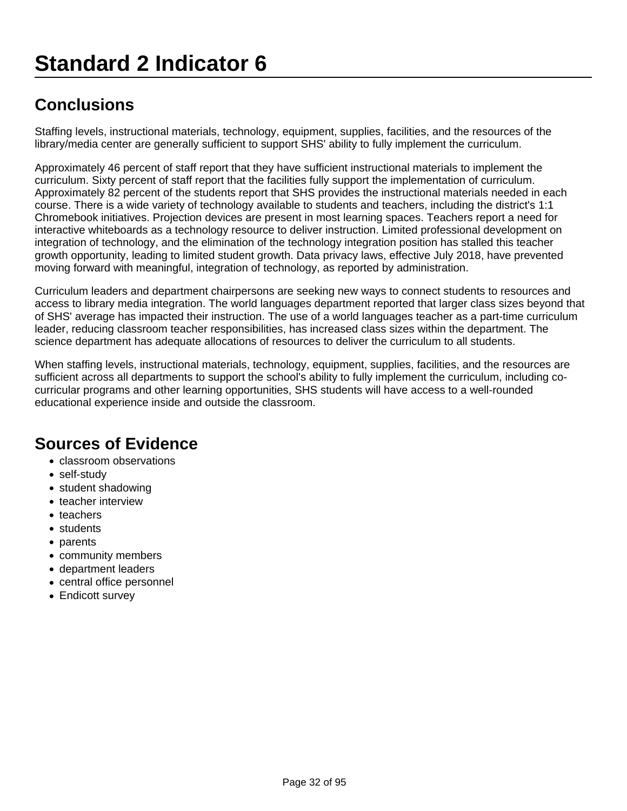# **Standard 2 Indicator 6**

# **Conclusions**

Staffing levels, instructional materials, technology, equipment, supplies, facilities, and the resources of the library/media center are generally sufficient to support SHS' ability to fully implement the curriculum.

Approximately 46 percent of staff report that they have sufficient instructional materials to implement the curriculum. Sixty percent of staff report that the facilities fully support the implementation of curriculum. Approximately 82 percent of the students report that SHS provides the instructional materials needed in each course. There is a wide variety of technology available to students and teachers, including the district's 1:1 Chromebook initiatives. Projection devices are present in most learning spaces. Teachers report a need for interactive whiteboards as a technology resource to deliver instruction. Limited professional development on integration of technology, and the elimination of the technology integration position has stalled this teacher growth opportunity, leading to limited student growth. Data privacy laws, effective July 2018, have prevented moving forward with meaningful, integration of technology, as reported by administration.

Curriculum leaders and department chairpersons are seeking new ways to connect students to resources and access to library media integration. The world languages department reported that larger class sizes beyond that of SHS' average has impacted their instruction. The use of a world languages teacher as a part-time curriculum leader, reducing classroom teacher responsibilities, has increased class sizes within the department. The science department has adequate allocations of resources to deliver the curriculum to all students.

When staffing levels, instructional materials, technology, equipment, supplies, facilities, and the resources are sufficient across all departments to support the school's ability to fully implement the curriculum, including cocurricular programs and other learning opportunities, SHS students will have access to a well-rounded educational experience inside and outside the classroom.

- classroom observations
- self-study
- student shadowing
- teacher interview
- teachers
- students
- parents
- community members
- department leaders
- central office personnel
- Endicott survey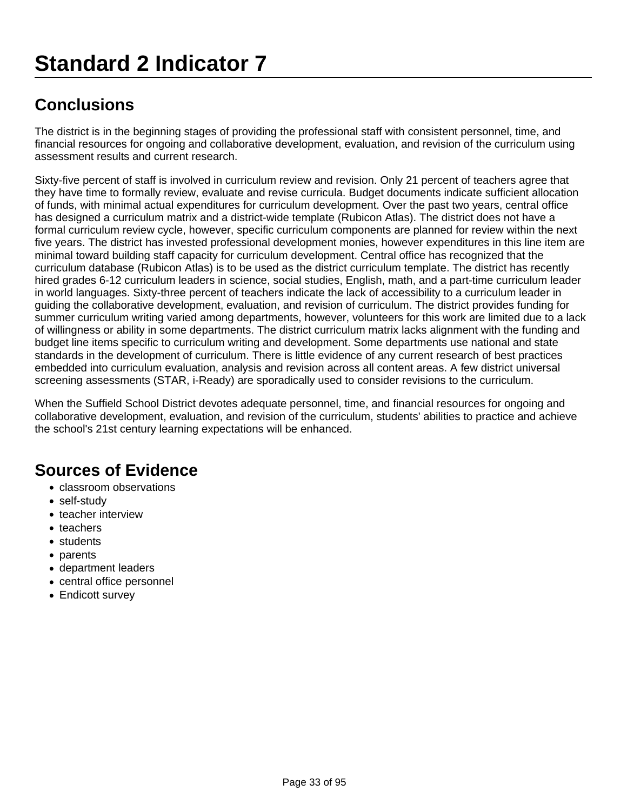The district is in the beginning stages of providing the professional staff with consistent personnel, time, and financial resources for ongoing and collaborative development, evaluation, and revision of the curriculum using assessment results and current research.

Sixty-five percent of staff is involved in curriculum review and revision. Only 21 percent of teachers agree that they have time to formally review, evaluate and revise curricula. Budget documents indicate sufficient allocation of funds, with minimal actual expenditures for curriculum development. Over the past two years, central office has designed a curriculum matrix and a district-wide template (Rubicon Atlas). The district does not have a formal curriculum review cycle, however, specific curriculum components are planned for review within the next five years. The district has invested professional development monies, however expenditures in this line item are minimal toward building staff capacity for curriculum development. Central office has recognized that the curriculum database (Rubicon Atlas) is to be used as the district curriculum template. The district has recently hired grades 6-12 curriculum leaders in science, social studies, English, math, and a part-time curriculum leader in world languages. Sixty-three percent of teachers indicate the lack of accessibility to a curriculum leader in guiding the collaborative development, evaluation, and revision of curriculum. The district provides funding for summer curriculum writing varied among departments, however, volunteers for this work are limited due to a lack of willingness or ability in some departments. The district curriculum matrix lacks alignment with the funding and budget line items specific to curriculum writing and development. Some departments use national and state standards in the development of curriculum. There is little evidence of any current research of best practices embedded into curriculum evaluation, analysis and revision across all content areas. A few district universal screening assessments (STAR, i-Ready) are sporadically used to consider revisions to the curriculum.

When the Suffield School District devotes adequate personnel, time, and financial resources for ongoing and collaborative development, evaluation, and revision of the curriculum, students' abilities to practice and achieve the school's 21st century learning expectations will be enhanced.

- classroom observations
- self-study
- teacher interview
- teachers
- students
- parents
- department leaders
- central office personnel
- Endicott survey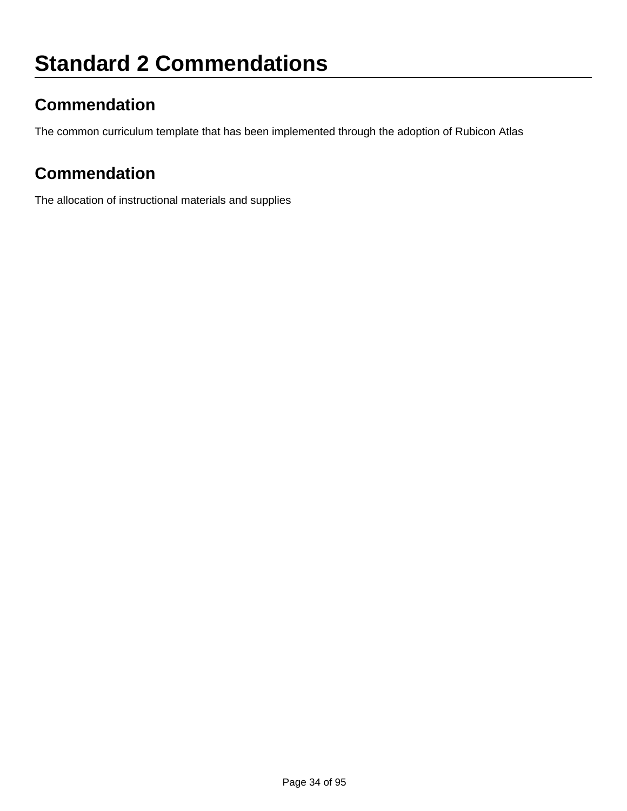# **Commendation**

The common curriculum template that has been implemented through the adoption of Rubicon Atlas

## **Commendation**

The allocation of instructional materials and supplies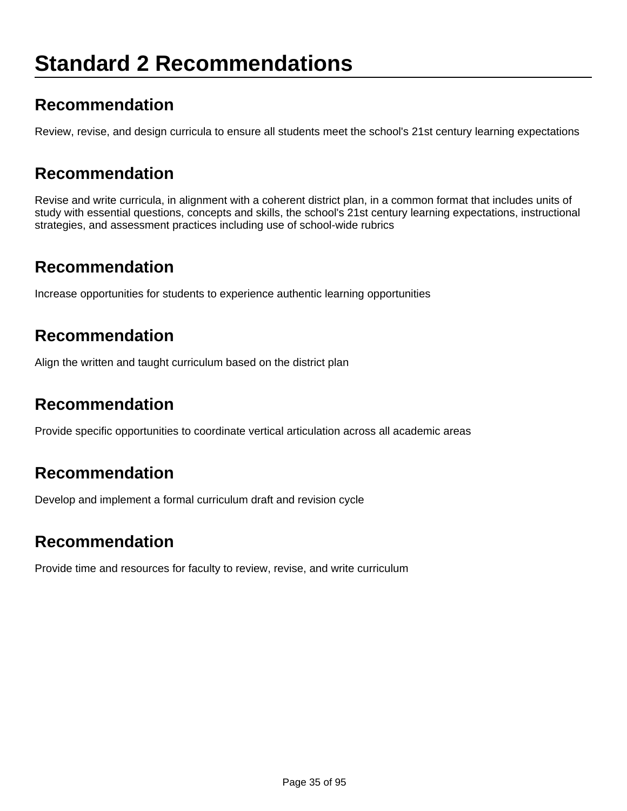# **Standard 2 Recommendations**

#### **Recommendation**

Review, revise, and design curricula to ensure all students meet the school's 21st century learning expectations

#### **Recommendation**

Revise and write curricula, in alignment with a coherent district plan, in a common format that includes units of study with essential questions, concepts and skills, the school's 21st century learning expectations, instructional strategies, and assessment practices including use of school-wide rubrics

#### **Recommendation**

Increase opportunities for students to experience authentic learning opportunities

### **Recommendation**

Align the written and taught curriculum based on the district plan

#### **Recommendation**

Provide specific opportunities to coordinate vertical articulation across all academic areas

#### **Recommendation**

Develop and implement a formal curriculum draft and revision cycle

#### **Recommendation**

Provide time and resources for faculty to review, revise, and write curriculum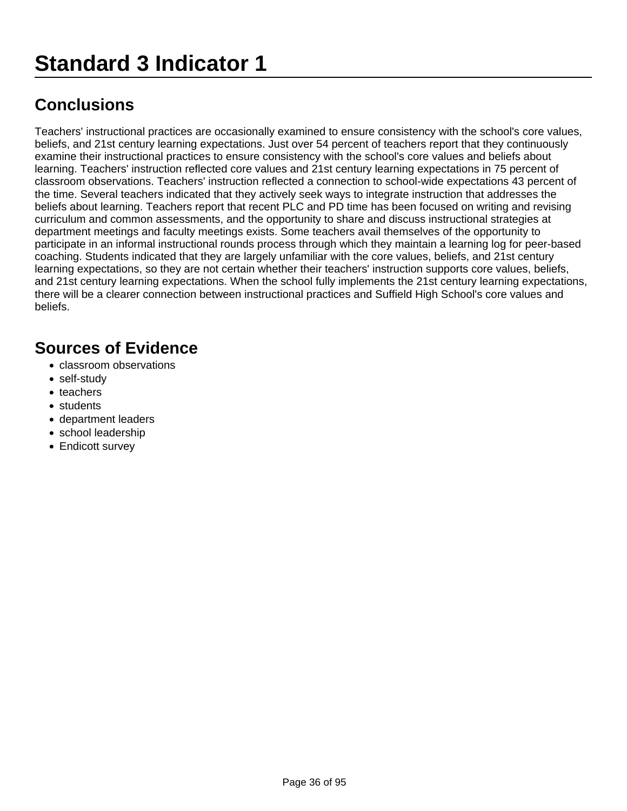Teachers' instructional practices are occasionally examined to ensure consistency with the school's core values, beliefs, and 21st century learning expectations. Just over 54 percent of teachers report that they continuously examine their instructional practices to ensure consistency with the school's core values and beliefs about learning. Teachers' instruction reflected core values and 21st century learning expectations in 75 percent of classroom observations. Teachers' instruction reflected a connection to school-wide expectations 43 percent of the time. Several teachers indicated that they actively seek ways to integrate instruction that addresses the beliefs about learning. Teachers report that recent PLC and PD time has been focused on writing and revising curriculum and common assessments, and the opportunity to share and discuss instructional strategies at department meetings and faculty meetings exists. Some teachers avail themselves of the opportunity to participate in an informal instructional rounds process through which they maintain a learning log for peer-based coaching. Students indicated that they are largely unfamiliar with the core values, beliefs, and 21st century learning expectations, so they are not certain whether their teachers' instruction supports core values, beliefs, and 21st century learning expectations. When the school fully implements the 21st century learning expectations, there will be a clearer connection between instructional practices and Suffield High School's core values and beliefs.

- classroom observations
- self-study
- teachers
- students
- department leaders
- school leadership
- Endicott survey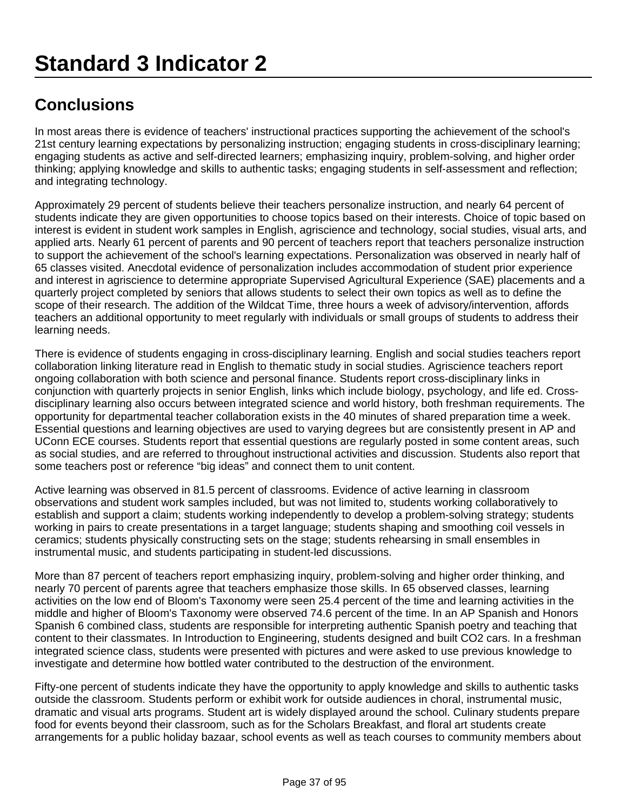In most areas there is evidence of teachers' instructional practices supporting the achievement of the school's 21st century learning expectations by personalizing instruction; engaging students in cross-disciplinary learning; engaging students as active and self-directed learners; emphasizing inquiry, problem-solving, and higher order thinking; applying knowledge and skills to authentic tasks; engaging students in self-assessment and reflection; and integrating technology.

Approximately 29 percent of students believe their teachers personalize instruction, and nearly 64 percent of students indicate they are given opportunities to choose topics based on their interests. Choice of topic based on interest is evident in student work samples in English, agriscience and technology, social studies, visual arts, and applied arts. Nearly 61 percent of parents and 90 percent of teachers report that teachers personalize instruction to support the achievement of the school's learning expectations. Personalization was observed in nearly half of 65 classes visited. Anecdotal evidence of personalization includes accommodation of student prior experience and interest in agriscience to determine appropriate Supervised Agricultural Experience (SAE) placements and a quarterly project completed by seniors that allows students to select their own topics as well as to define the scope of their research. The addition of the Wildcat Time, three hours a week of advisory/intervention, affords teachers an additional opportunity to meet regularly with individuals or small groups of students to address their learning needs.

There is evidence of students engaging in cross-disciplinary learning. English and social studies teachers report collaboration linking literature read in English to thematic study in social studies. Agriscience teachers report ongoing collaboration with both science and personal finance. Students report cross-disciplinary links in conjunction with quarterly projects in senior English, links which include biology, psychology, and life ed. Crossdisciplinary learning also occurs between integrated science and world history, both freshman requirements. The opportunity for departmental teacher collaboration exists in the 40 minutes of shared preparation time a week. Essential questions and learning objectives are used to varying degrees but are consistently present in AP and UConn ECE courses. Students report that essential questions are regularly posted in some content areas, such as social studies, and are referred to throughout instructional activities and discussion. Students also report that some teachers post or reference "big ideas" and connect them to unit content.

Active learning was observed in 81.5 percent of classrooms. Evidence of active learning in classroom observations and student work samples included, but was not limited to, students working collaboratively to establish and support a claim; students working independently to develop a problem-solving strategy; students working in pairs to create presentations in a target language; students shaping and smoothing coil vessels in ceramics; students physically constructing sets on the stage; students rehearsing in small ensembles in instrumental music, and students participating in student-led discussions.

More than 87 percent of teachers report emphasizing inquiry, problem-solving and higher order thinking, and nearly 70 percent of parents agree that teachers emphasize those skills. In 65 observed classes, learning activities on the low end of Bloom's Taxonomy were seen 25.4 percent of the time and learning activities in the middle and higher of Bloom's Taxonomy were observed 74.6 percent of the time. In an AP Spanish and Honors Spanish 6 combined class, students are responsible for interpreting authentic Spanish poetry and teaching that content to their classmates. In Introduction to Engineering, students designed and built CO2 cars. In a freshman integrated science class, students were presented with pictures and were asked to use previous knowledge to investigate and determine how bottled water contributed to the destruction of the environment.

Fifty-one percent of students indicate they have the opportunity to apply knowledge and skills to authentic tasks outside the classroom. Students perform or exhibit work for outside audiences in choral, instrumental music, dramatic and visual arts programs. Student art is widely displayed around the school. Culinary students prepare food for events beyond their classroom, such as for the Scholars Breakfast, and floral art students create arrangements for a public holiday bazaar, school events as well as teach courses to community members about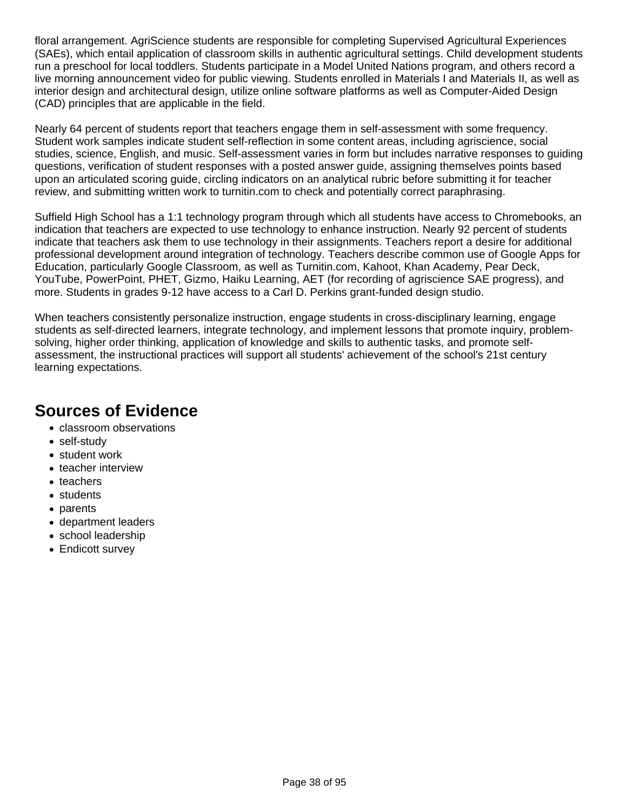floral arrangement. AgriScience students are responsible for completing Supervised Agricultural Experiences (SAEs), which entail application of classroom skills in authentic agricultural settings. Child development students run a preschool for local toddlers. Students participate in a Model United Nations program, and others record a live morning announcement video for public viewing. Students enrolled in Materials I and Materials II, as well as interior design and architectural design, utilize online software platforms as well as Computer-Aided Design (CAD) principles that are applicable in the field.

Nearly 64 percent of students report that teachers engage them in self-assessment with some frequency. Student work samples indicate student self-reflection in some content areas, including agriscience, social studies, science, English, and music. Self-assessment varies in form but includes narrative responses to guiding questions, verification of student responses with a posted answer guide, assigning themselves points based upon an articulated scoring guide, circling indicators on an analytical rubric before submitting it for teacher review, and submitting written work to turnitin.com to check and potentially correct paraphrasing.

Suffield High School has a 1:1 technology program through which all students have access to Chromebooks, an indication that teachers are expected to use technology to enhance instruction. Nearly 92 percent of students indicate that teachers ask them to use technology in their assignments. Teachers report a desire for additional professional development around integration of technology. Teachers describe common use of Google Apps for Education, particularly Google Classroom, as well as Turnitin.com, Kahoot, Khan Academy, Pear Deck, YouTube, PowerPoint, PHET, Gizmo, Haiku Learning, AET (for recording of agriscience SAE progress), and more. Students in grades 9-12 have access to a Carl D. Perkins grant-funded design studio.

When teachers consistently personalize instruction, engage students in cross-disciplinary learning, engage students as self-directed learners, integrate technology, and implement lessons that promote inquiry, problemsolving, higher order thinking, application of knowledge and skills to authentic tasks, and promote selfassessment, the instructional practices will support all students' achievement of the school's 21st century learning expectations.

- classroom observations
- self-study
- student work
- teacher interview
- teachers
- students
- parents
- department leaders
- school leadership
- Endicott survey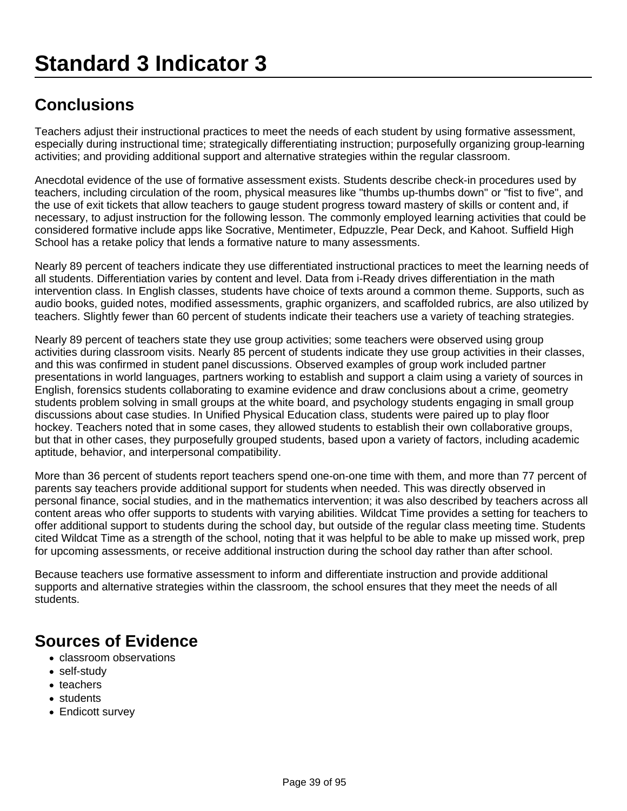Teachers adjust their instructional practices to meet the needs of each student by using formative assessment, especially during instructional time; strategically differentiating instruction; purposefully organizing group-learning activities; and providing additional support and alternative strategies within the regular classroom.

Anecdotal evidence of the use of formative assessment exists. Students describe check-in procedures used by teachers, including circulation of the room, physical measures like "thumbs up-thumbs down" or "fist to five", and the use of exit tickets that allow teachers to gauge student progress toward mastery of skills or content and, if necessary, to adjust instruction for the following lesson. The commonly employed learning activities that could be considered formative include apps like Socrative, Mentimeter, Edpuzzle, Pear Deck, and Kahoot. Suffield High School has a retake policy that lends a formative nature to many assessments.

Nearly 89 percent of teachers indicate they use differentiated instructional practices to meet the learning needs of all students. Differentiation varies by content and level. Data from i-Ready drives differentiation in the math intervention class. In English classes, students have choice of texts around a common theme. Supports, such as audio books, guided notes, modified assessments, graphic organizers, and scaffolded rubrics, are also utilized by teachers. Slightly fewer than 60 percent of students indicate their teachers use a variety of teaching strategies.

Nearly 89 percent of teachers state they use group activities; some teachers were observed using group activities during classroom visits. Nearly 85 percent of students indicate they use group activities in their classes, and this was confirmed in student panel discussions. Observed examples of group work included partner presentations in world languages, partners working to establish and support a claim using a variety of sources in English, forensics students collaborating to examine evidence and draw conclusions about a crime, geometry students problem solving in small groups at the white board, and psychology students engaging in small group discussions about case studies. In Unified Physical Education class, students were paired up to play floor hockey. Teachers noted that in some cases, they allowed students to establish their own collaborative groups, but that in other cases, they purposefully grouped students, based upon a variety of factors, including academic aptitude, behavior, and interpersonal compatibility.

More than 36 percent of students report teachers spend one-on-one time with them, and more than 77 percent of parents say teachers provide additional support for students when needed. This was directly observed in personal finance, social studies, and in the mathematics intervention; it was also described by teachers across all content areas who offer supports to students with varying abilities. Wildcat Time provides a setting for teachers to offer additional support to students during the school day, but outside of the regular class meeting time. Students cited Wildcat Time as a strength of the school, noting that it was helpful to be able to make up missed work, prep for upcoming assessments, or receive additional instruction during the school day rather than after school.

Because teachers use formative assessment to inform and differentiate instruction and provide additional supports and alternative strategies within the classroom, the school ensures that they meet the needs of all students.

- classroom observations
- self-study
- teachers
- students
- Endicott survey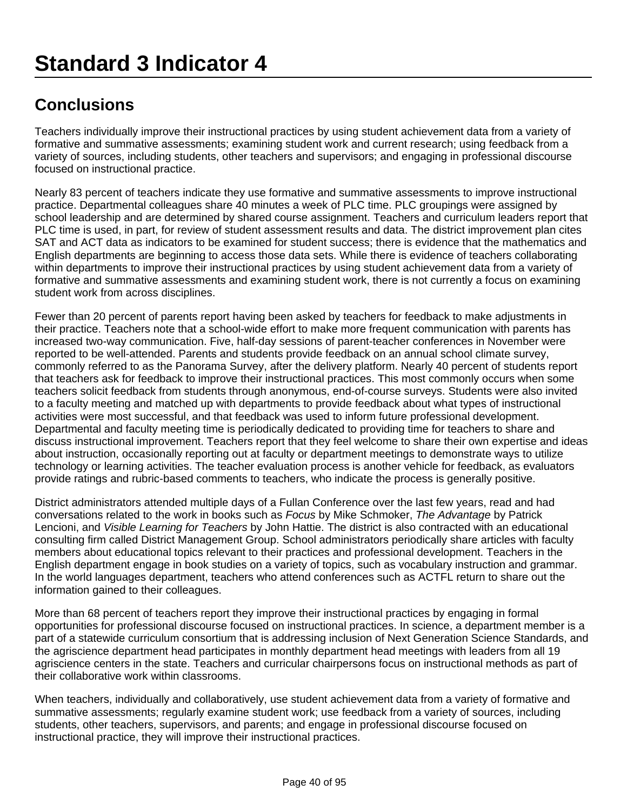Teachers individually improve their instructional practices by using student achievement data from a variety of formative and summative assessments; examining student work and current research; using feedback from a variety of sources, including students, other teachers and supervisors; and engaging in professional discourse focused on instructional practice.

Nearly 83 percent of teachers indicate they use formative and summative assessments to improve instructional practice. Departmental colleagues share 40 minutes a week of PLC time. PLC groupings were assigned by school leadership and are determined by shared course assignment. Teachers and curriculum leaders report that PLC time is used, in part, for review of student assessment results and data. The district improvement plan cites SAT and ACT data as indicators to be examined for student success; there is evidence that the mathematics and English departments are beginning to access those data sets. While there is evidence of teachers collaborating within departments to improve their instructional practices by using student achievement data from a variety of formative and summative assessments and examining student work, there is not currently a focus on examining student work from across disciplines.

Fewer than 20 percent of parents report having been asked by teachers for feedback to make adjustments in their practice. Teachers note that a school-wide effort to make more frequent communication with parents has increased two-way communication. Five, half-day sessions of parent-teacher conferences in November were reported to be well-attended. Parents and students provide feedback on an annual school climate survey, commonly referred to as the Panorama Survey, after the delivery platform. Nearly 40 percent of students report that teachers ask for feedback to improve their instructional practices. This most commonly occurs when some teachers solicit feedback from students through anonymous, end-of-course surveys. Students were also invited to a faculty meeting and matched up with departments to provide feedback about what types of instructional activities were most successful, and that feedback was used to inform future professional development. Departmental and faculty meeting time is periodically dedicated to providing time for teachers to share and discuss instructional improvement. Teachers report that they feel welcome to share their own expertise and ideas about instruction, occasionally reporting out at faculty or department meetings to demonstrate ways to utilize technology or learning activities. The teacher evaluation process is another vehicle for feedback, as evaluators provide ratings and rubric-based comments to teachers, who indicate the process is generally positive.

District administrators attended multiple days of a Fullan Conference over the last few years, read and had conversations related to the work in books such as Focus by Mike Schmoker, The Advantage by Patrick Lencioni, and Visible Learning for Teachers by John Hattie. The district is also contracted with an educational consulting firm called District Management Group. School administrators periodically share articles with faculty members about educational topics relevant to their practices and professional development. Teachers in the English department engage in book studies on a variety of topics, such as vocabulary instruction and grammar. In the world languages department, teachers who attend conferences such as ACTFL return to share out the information gained to their colleagues.

More than 68 percent of teachers report they improve their instructional practices by engaging in formal opportunities for professional discourse focused on instructional practices. In science, a department member is a part of a statewide curriculum consortium that is addressing inclusion of Next Generation Science Standards, and the agriscience department head participates in monthly department head meetings with leaders from all 19 agriscience centers in the state. Teachers and curricular chairpersons focus on instructional methods as part of their collaborative work within classrooms.

When teachers, individually and collaboratively, use student achievement data from a variety of formative and summative assessments; regularly examine student work; use feedback from a variety of sources, including students, other teachers, supervisors, and parents; and engage in professional discourse focused on instructional practice, they will improve their instructional practices.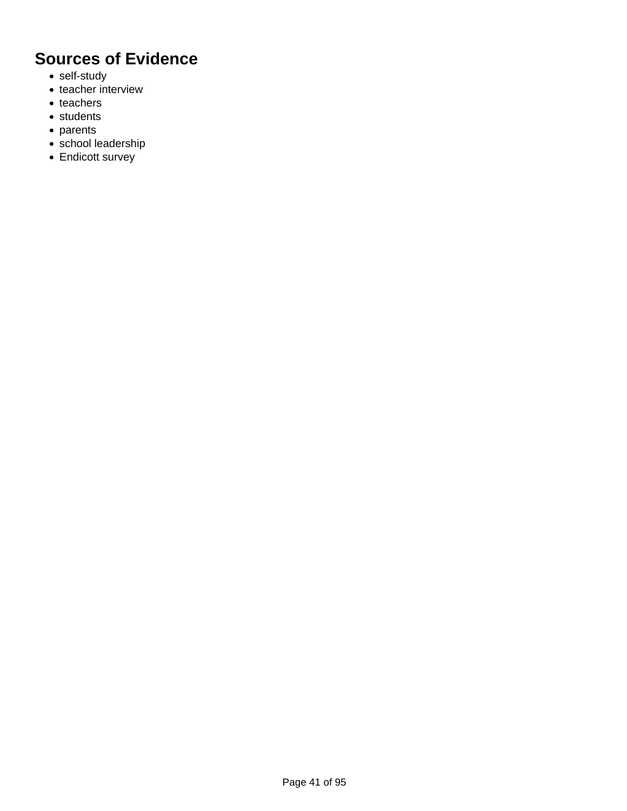- self-study
- teacher interview
- teachers
- students
- parents
- school leadership
- Endicott survey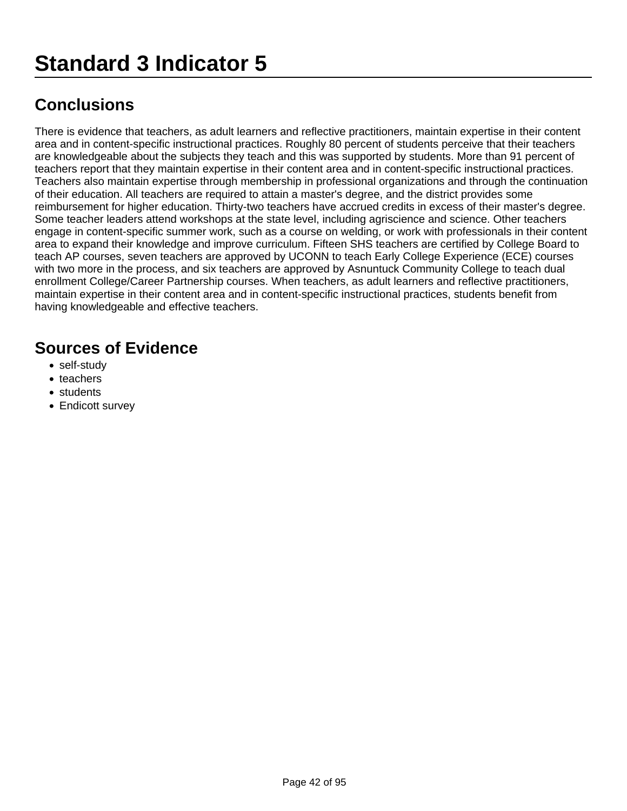There is evidence that teachers, as adult learners and reflective practitioners, maintain expertise in their content area and in content-specific instructional practices. Roughly 80 percent of students perceive that their teachers are knowledgeable about the subjects they teach and this was supported by students. More than 91 percent of teachers report that they maintain expertise in their content area and in content-specific instructional practices. Teachers also maintain expertise through membership in professional organizations and through the continuation of their education. All teachers are required to attain a master's degree, and the district provides some reimbursement for higher education. Thirty-two teachers have accrued credits in excess of their master's degree. Some teacher leaders attend workshops at the state level, including agriscience and science. Other teachers engage in content-specific summer work, such as a course on welding, or work with professionals in their content area to expand their knowledge and improve curriculum. Fifteen SHS teachers are certified by College Board to teach AP courses, seven teachers are approved by UCONN to teach Early College Experience (ECE) courses with two more in the process, and six teachers are approved by Asnuntuck Community College to teach dual enrollment College/Career Partnership courses. When teachers, as adult learners and reflective practitioners, maintain expertise in their content area and in content-specific instructional practices, students benefit from having knowledgeable and effective teachers.

- self-study
- teachers
- students
- Endicott survey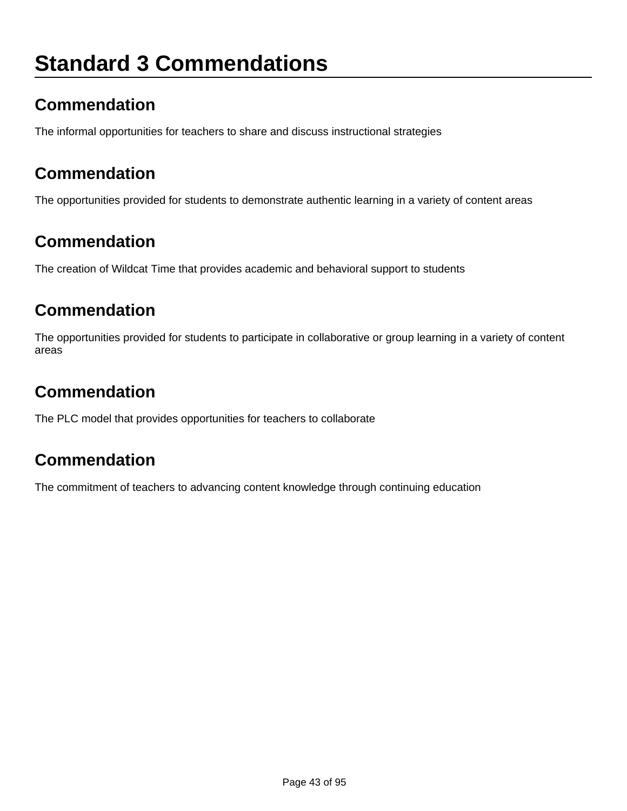# **Standard 3 Commendations**

## **Commendation**

The informal opportunities for teachers to share and discuss instructional strategies

### **Commendation**

The opportunities provided for students to demonstrate authentic learning in a variety of content areas

### **Commendation**

The creation of Wildcat Time that provides academic and behavioral support to students

#### **Commendation**

The opportunities provided for students to participate in collaborative or group learning in a variety of content areas

## **Commendation**

The PLC model that provides opportunities for teachers to collaborate

### **Commendation**

The commitment of teachers to advancing content knowledge through continuing education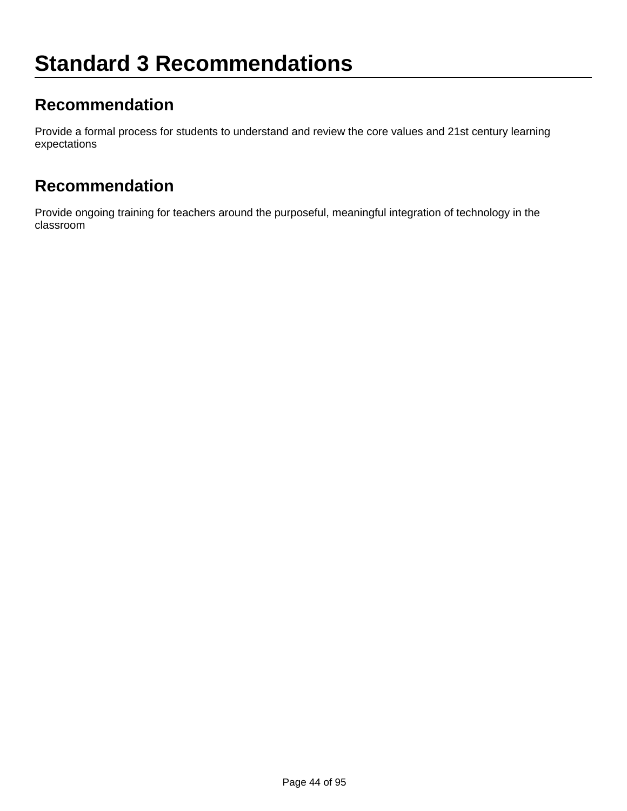### **Recommendation**

Provide a formal process for students to understand and review the core values and 21st century learning expectations

#### **Recommendation**

Provide ongoing training for teachers around the purposeful, meaningful integration of technology in the classroom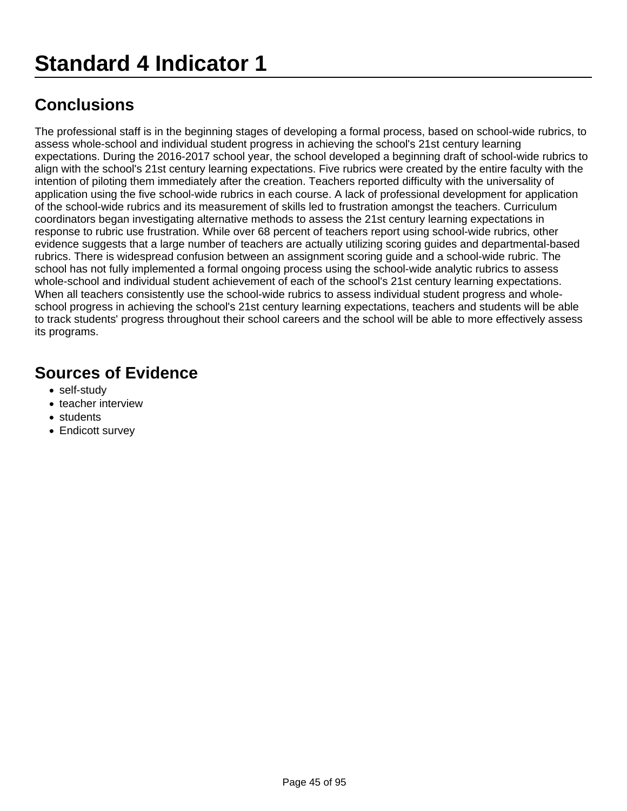The professional staff is in the beginning stages of developing a formal process, based on school-wide rubrics, to assess whole-school and individual student progress in achieving the school's 21st century learning expectations. During the 2016-2017 school year, the school developed a beginning draft of school-wide rubrics to align with the school's 21st century learning expectations. Five rubrics were created by the entire faculty with the intention of piloting them immediately after the creation. Teachers reported difficulty with the universality of application using the five school-wide rubrics in each course. A lack of professional development for application of the school-wide rubrics and its measurement of skills led to frustration amongst the teachers. Curriculum coordinators began investigating alternative methods to assess the 21st century learning expectations in response to rubric use frustration. While over 68 percent of teachers report using school-wide rubrics, other evidence suggests that a large number of teachers are actually utilizing scoring guides and departmental-based rubrics. There is widespread confusion between an assignment scoring guide and a school-wide rubric. The school has not fully implemented a formal ongoing process using the school-wide analytic rubrics to assess whole-school and individual student achievement of each of the school's 21st century learning expectations. When all teachers consistently use the school-wide rubrics to assess individual student progress and wholeschool progress in achieving the school's 21st century learning expectations, teachers and students will be able to track students' progress throughout their school careers and the school will be able to more effectively assess its programs.

- self-study
- teacher interview
- students
- Endicott survey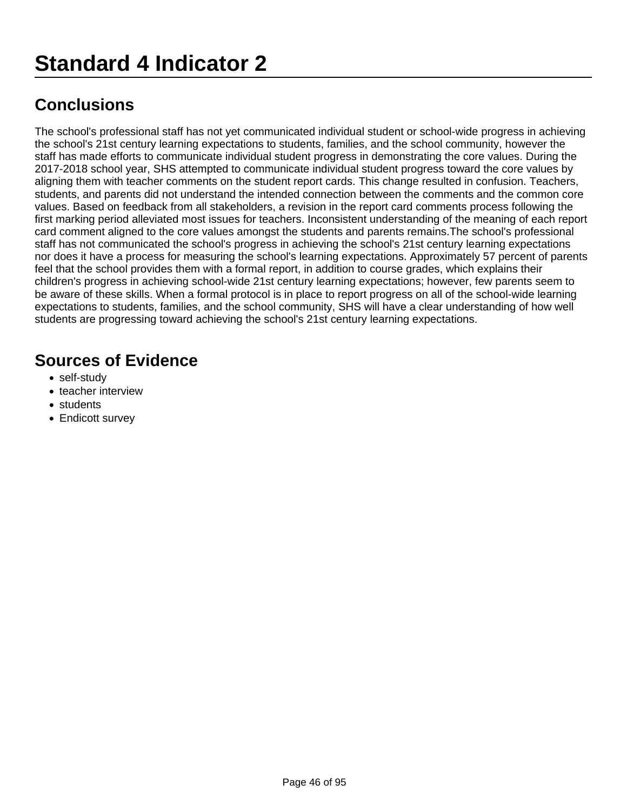The school's professional staff has not yet communicated individual student or school-wide progress in achieving the school's 21st century learning expectations to students, families, and the school community, however the staff has made efforts to communicate individual student progress in demonstrating the core values. During the 2017-2018 school year, SHS attempted to communicate individual student progress toward the core values by aligning them with teacher comments on the student report cards. This change resulted in confusion. Teachers, students, and parents did not understand the intended connection between the comments and the common core values. Based on feedback from all stakeholders, a revision in the report card comments process following the first marking period alleviated most issues for teachers. Inconsistent understanding of the meaning of each report card comment aligned to the core values amongst the students and parents remains.The school's professional staff has not communicated the school's progress in achieving the school's 21st century learning expectations nor does it have a process for measuring the school's learning expectations. Approximately 57 percent of parents feel that the school provides them with a formal report, in addition to course grades, which explains their children's progress in achieving school-wide 21st century learning expectations; however, few parents seem to be aware of these skills. When a formal protocol is in place to report progress on all of the school-wide learning expectations to students, families, and the school community, SHS will have a clear understanding of how well students are progressing toward achieving the school's 21st century learning expectations.

- self-study
- teacher interview
- students
- Endicott survey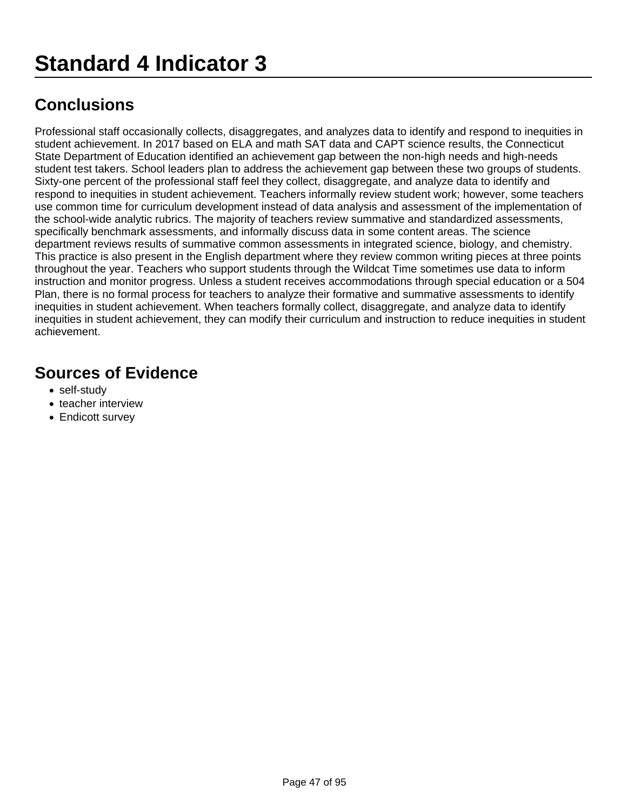Professional staff occasionally collects, disaggregates, and analyzes data to identify and respond to inequities in student achievement. In 2017 based on ELA and math SAT data and CAPT science results, the Connecticut State Department of Education identified an achievement gap between the non-high needs and high-needs student test takers. School leaders plan to address the achievement gap between these two groups of students. Sixty-one percent of the professional staff feel they collect, disaggregate, and analyze data to identify and respond to inequities in student achievement. Teachers informally review student work; however, some teachers use common time for curriculum development instead of data analysis and assessment of the implementation of the school-wide analytic rubrics. The majority of teachers review summative and standardized assessments, specifically benchmark assessments, and informally discuss data in some content areas. The science department reviews results of summative common assessments in integrated science, biology, and chemistry. This practice is also present in the English department where they review common writing pieces at three points throughout the year. Teachers who support students through the Wildcat Time sometimes use data to inform instruction and monitor progress. Unless a student receives accommodations through special education or a 504 Plan, there is no formal process for teachers to analyze their formative and summative assessments to identify inequities in student achievement. When teachers formally collect, disaggregate, and analyze data to identify inequities in student achievement, they can modify their curriculum and instruction to reduce inequities in student achievement.

- self-study
- teacher interview
- Endicott survey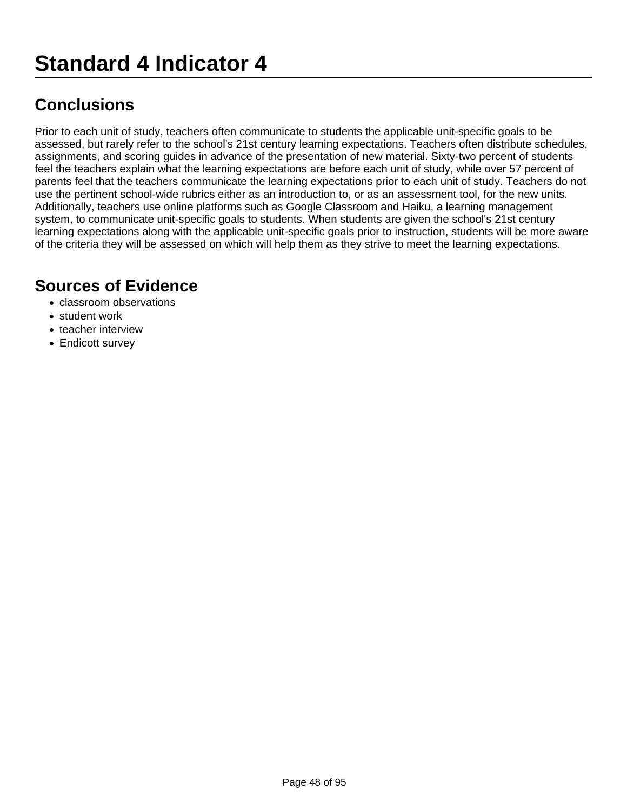Prior to each unit of study, teachers often communicate to students the applicable unit-specific goals to be assessed, but rarely refer to the school's 21st century learning expectations. Teachers often distribute schedules, assignments, and scoring guides in advance of the presentation of new material. Sixty-two percent of students feel the teachers explain what the learning expectations are before each unit of study, while over 57 percent of parents feel that the teachers communicate the learning expectations prior to each unit of study. Teachers do not use the pertinent school-wide rubrics either as an introduction to, or as an assessment tool, for the new units. Additionally, teachers use online platforms such as Google Classroom and Haiku, a learning management system, to communicate unit-specific goals to students. When students are given the school's 21st century learning expectations along with the applicable unit-specific goals prior to instruction, students will be more aware of the criteria they will be assessed on which will help them as they strive to meet the learning expectations.

- classroom observations
- student work
- teacher interview
- Endicott survey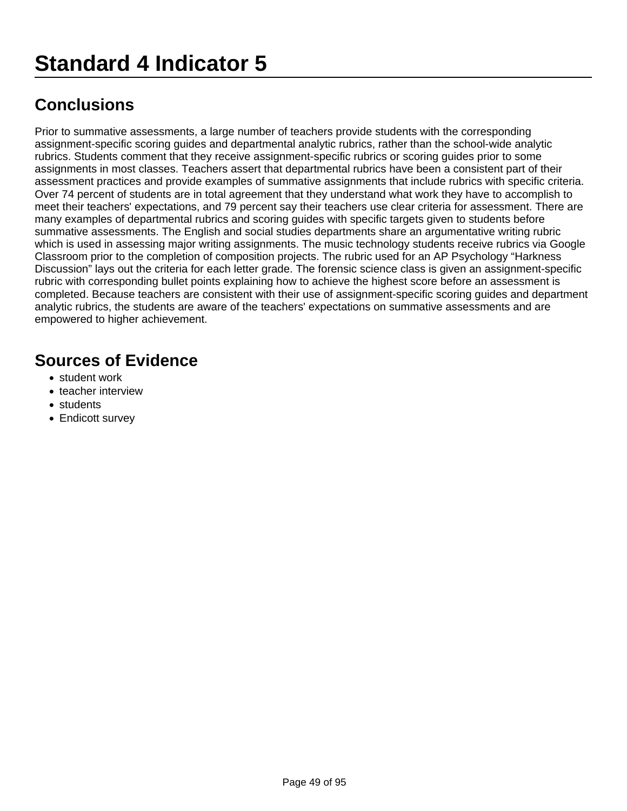Prior to summative assessments, a large number of teachers provide students with the corresponding assignment-specific scoring guides and departmental analytic rubrics, rather than the school-wide analytic rubrics. Students comment that they receive assignment-specific rubrics or scoring guides prior to some assignments in most classes. Teachers assert that departmental rubrics have been a consistent part of their assessment practices and provide examples of summative assignments that include rubrics with specific criteria. Over 74 percent of students are in total agreement that they understand what work they have to accomplish to meet their teachers' expectations, and 79 percent say their teachers use clear criteria for assessment. There are many examples of departmental rubrics and scoring guides with specific targets given to students before summative assessments. The English and social studies departments share an argumentative writing rubric which is used in assessing major writing assignments. The music technology students receive rubrics via Google Classroom prior to the completion of composition projects. The rubric used for an AP Psychology "Harkness Discussion" lays out the criteria for each letter grade. The forensic science class is given an assignment-specific rubric with corresponding bullet points explaining how to achieve the highest score before an assessment is completed. Because teachers are consistent with their use of assignment-specific scoring guides and department analytic rubrics, the students are aware of the teachers' expectations on summative assessments and are empowered to higher achievement.

- student work
- teacher interview
- students
- Endicott survey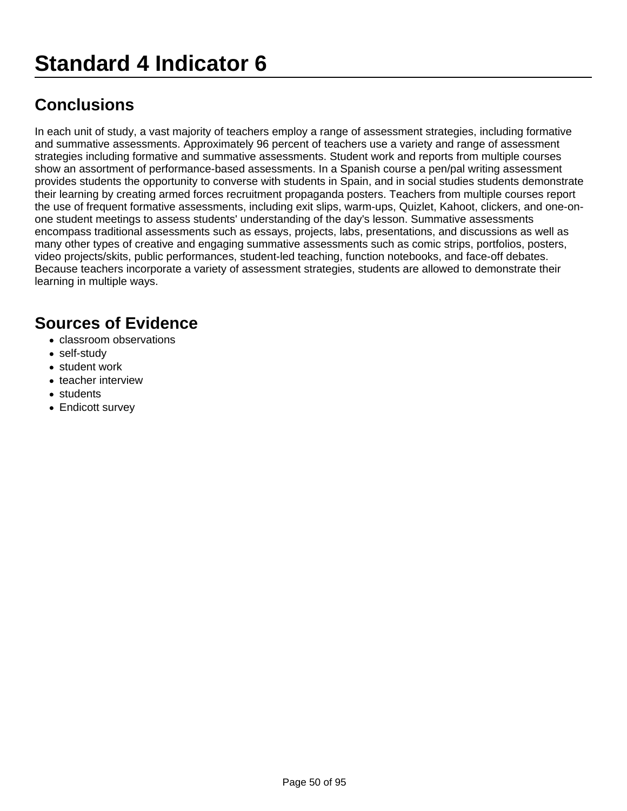In each unit of study, a vast majority of teachers employ a range of assessment strategies, including formative and summative assessments. Approximately 96 percent of teachers use a variety and range of assessment strategies including formative and summative assessments. Student work and reports from multiple courses show an assortment of performance-based assessments. In a Spanish course a pen/pal writing assessment provides students the opportunity to converse with students in Spain, and in social studies students demonstrate their learning by creating armed forces recruitment propaganda posters. Teachers from multiple courses report the use of frequent formative assessments, including exit slips, warm-ups, Quizlet, Kahoot, clickers, and one-onone student meetings to assess students' understanding of the day's lesson. Summative assessments encompass traditional assessments such as essays, projects, labs, presentations, and discussions as well as many other types of creative and engaging summative assessments such as comic strips, portfolios, posters, video projects/skits, public performances, student-led teaching, function notebooks, and face-off debates. Because teachers incorporate a variety of assessment strategies, students are allowed to demonstrate their learning in multiple ways.

- classroom observations
- self-study
- student work
- teacher interview
- students
- Endicott survey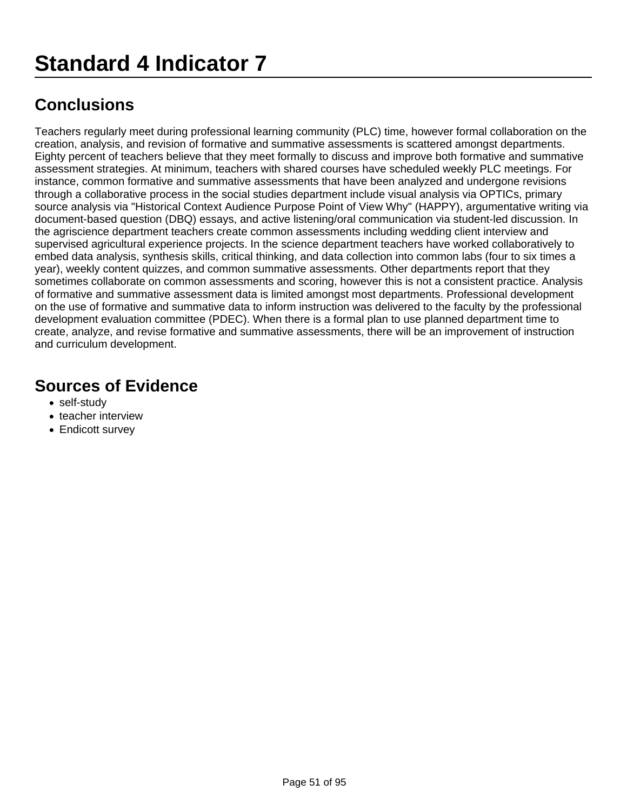Teachers regularly meet during professional learning community (PLC) time, however formal collaboration on the creation, analysis, and revision of formative and summative assessments is scattered amongst departments. Eighty percent of teachers believe that they meet formally to discuss and improve both formative and summative assessment strategies. At minimum, teachers with shared courses have scheduled weekly PLC meetings. For instance, common formative and summative assessments that have been analyzed and undergone revisions through a collaborative process in the social studies department include visual analysis via OPTICs, primary source analysis via "Historical Context Audience Purpose Point of View Why" (HAPPY), argumentative writing via document-based question (DBQ) essays, and active listening/oral communication via student-led discussion. In the agriscience department teachers create common assessments including wedding client interview and supervised agricultural experience projects. In the science department teachers have worked collaboratively to embed data analysis, synthesis skills, critical thinking, and data collection into common labs (four to six times a year), weekly content quizzes, and common summative assessments. Other departments report that they sometimes collaborate on common assessments and scoring, however this is not a consistent practice. Analysis of formative and summative assessment data is limited amongst most departments. Professional development on the use of formative and summative data to inform instruction was delivered to the faculty by the professional development evaluation committee (PDEC). When there is a formal plan to use planned department time to create, analyze, and revise formative and summative assessments, there will be an improvement of instruction and curriculum development.

- self-study
- teacher interview
- Endicott survey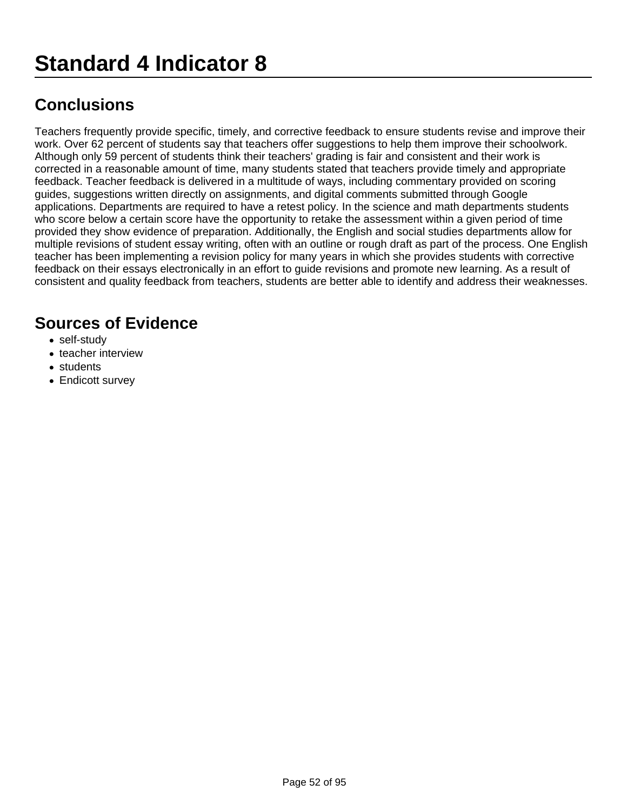Teachers frequently provide specific, timely, and corrective feedback to ensure students revise and improve their work. Over 62 percent of students say that teachers offer suggestions to help them improve their schoolwork. Although only 59 percent of students think their teachers' grading is fair and consistent and their work is corrected in a reasonable amount of time, many students stated that teachers provide timely and appropriate feedback. Teacher feedback is delivered in a multitude of ways, including commentary provided on scoring guides, suggestions written directly on assignments, and digital comments submitted through Google applications. Departments are required to have a retest policy. In the science and math departments students who score below a certain score have the opportunity to retake the assessment within a given period of time provided they show evidence of preparation. Additionally, the English and social studies departments allow for multiple revisions of student essay writing, often with an outline or rough draft as part of the process. One English teacher has been implementing a revision policy for many years in which she provides students with corrective feedback on their essays electronically in an effort to guide revisions and promote new learning. As a result of consistent and quality feedback from teachers, students are better able to identify and address their weaknesses.

- self-study
- teacher interview
- students
- Endicott survey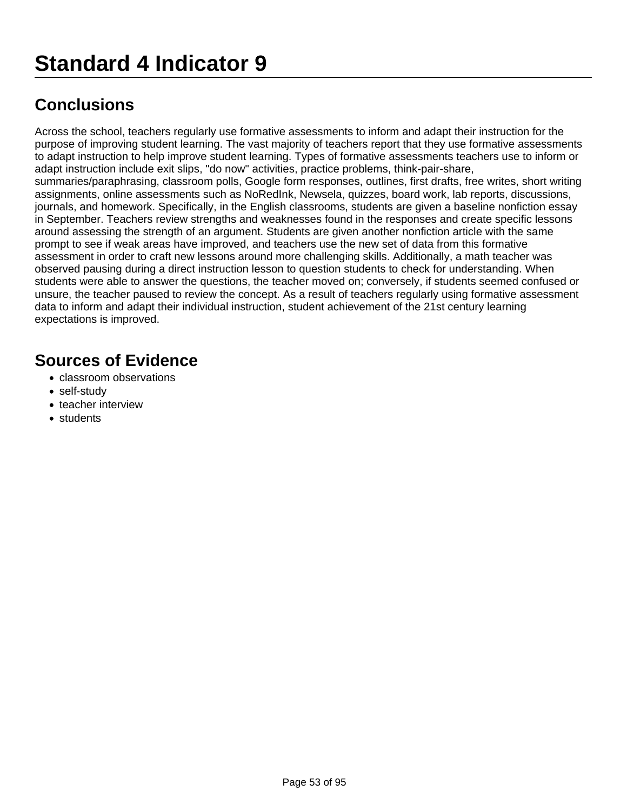Across the school, teachers regularly use formative assessments to inform and adapt their instruction for the purpose of improving student learning. The vast majority of teachers report that they use formative assessments to adapt instruction to help improve student learning. Types of formative assessments teachers use to inform or adapt instruction include exit slips, "do now" activities, practice problems, think-pair-share, summaries/paraphrasing, classroom polls, Google form responses, outlines, first drafts, free writes, short writing assignments, online assessments such as NoRedInk, Newsela, quizzes, board work, lab reports, discussions, journals, and homework. Specifically, in the English classrooms, students are given a baseline nonfiction essay in September. Teachers review strengths and weaknesses found in the responses and create specific lessons around assessing the strength of an argument. Students are given another nonfiction article with the same prompt to see if weak areas have improved, and teachers use the new set of data from this formative assessment in order to craft new lessons around more challenging skills. Additionally, a math teacher was observed pausing during a direct instruction lesson to question students to check for understanding. When students were able to answer the questions, the teacher moved on; conversely, if students seemed confused or unsure, the teacher paused to review the concept. As a result of teachers regularly using formative assessment data to inform and adapt their individual instruction, student achievement of the 21st century learning expectations is improved.

- classroom observations
- self-study
- teacher interview
- students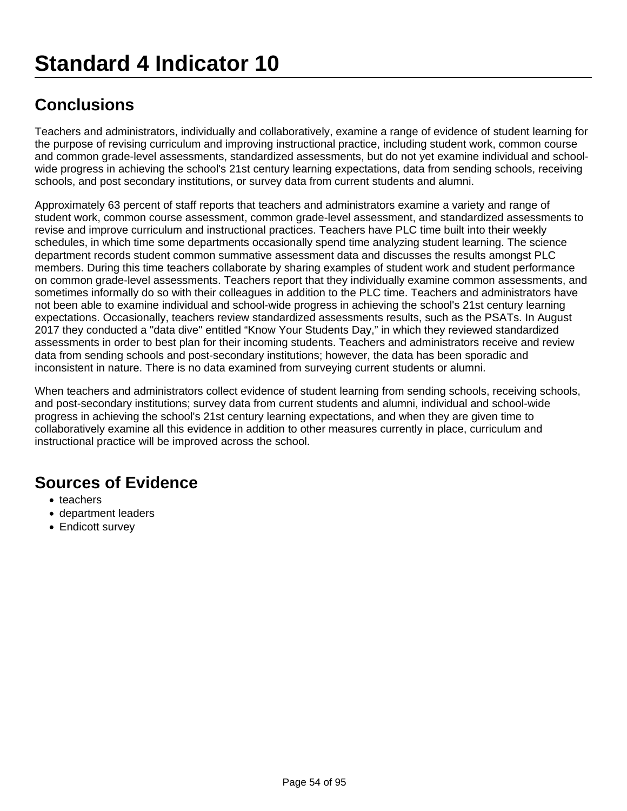Teachers and administrators, individually and collaboratively, examine a range of evidence of student learning for the purpose of revising curriculum and improving instructional practice, including student work, common course and common grade-level assessments, standardized assessments, but do not yet examine individual and schoolwide progress in achieving the school's 21st century learning expectations, data from sending schools, receiving schools, and post secondary institutions, or survey data from current students and alumni.

Approximately 63 percent of staff reports that teachers and administrators examine a variety and range of student work, common course assessment, common grade-level assessment, and standardized assessments to revise and improve curriculum and instructional practices. Teachers have PLC time built into their weekly schedules, in which time some departments occasionally spend time analyzing student learning. The science department records student common summative assessment data and discusses the results amongst PLC members. During this time teachers collaborate by sharing examples of student work and student performance on common grade-level assessments. Teachers report that they individually examine common assessments, and sometimes informally do so with their colleagues in addition to the PLC time. Teachers and administrators have not been able to examine individual and school-wide progress in achieving the school's 21st century learning expectations. Occasionally, teachers review standardized assessments results, such as the PSATs. In August 2017 they conducted a "data dive" entitled "Know Your Students Day," in which they reviewed standardized assessments in order to best plan for their incoming students. Teachers and administrators receive and review data from sending schools and post-secondary institutions; however, the data has been sporadic and inconsistent in nature. There is no data examined from surveying current students or alumni.

When teachers and administrators collect evidence of student learning from sending schools, receiving schools, and post-secondary institutions; survey data from current students and alumni, individual and school-wide progress in achieving the school's 21st century learning expectations, and when they are given time to collaboratively examine all this evidence in addition to other measures currently in place, curriculum and instructional practice will be improved across the school.

- teachers
- department leaders
- Endicott survey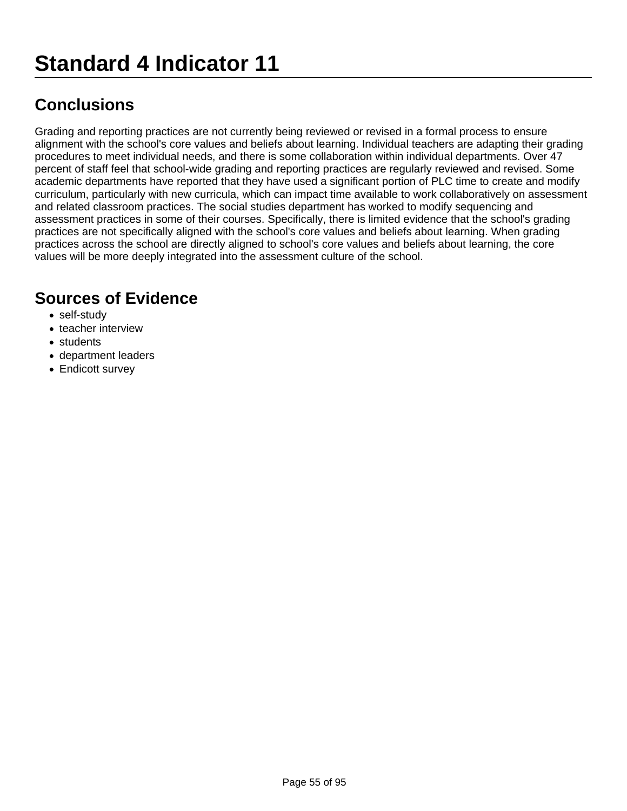Grading and reporting practices are not currently being reviewed or revised in a formal process to ensure alignment with the school's core values and beliefs about learning. Individual teachers are adapting their grading procedures to meet individual needs, and there is some collaboration within individual departments. Over 47 percent of staff feel that school-wide grading and reporting practices are regularly reviewed and revised. Some academic departments have reported that they have used a significant portion of PLC time to create and modify curriculum, particularly with new curricula, which can impact time available to work collaboratively on assessment and related classroom practices. The social studies department has worked to modify sequencing and assessment practices in some of their courses. Specifically, there is limited evidence that the school's grading practices are not specifically aligned with the school's core values and beliefs about learning. When grading practices across the school are directly aligned to school's core values and beliefs about learning, the core values will be more deeply integrated into the assessment culture of the school.

- self-study
- teacher interview
- students
- department leaders
- Endicott survey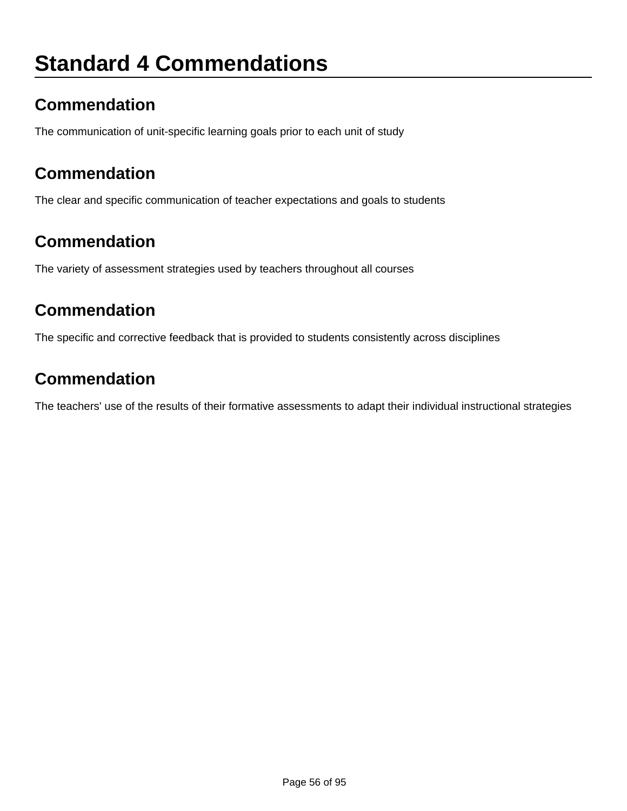# **Standard 4 Commendations**

## **Commendation**

The communication of unit-specific learning goals prior to each unit of study

### **Commendation**

The clear and specific communication of teacher expectations and goals to students

### **Commendation**

The variety of assessment strategies used by teachers throughout all courses

#### **Commendation**

The specific and corrective feedback that is provided to students consistently across disciplines

### **Commendation**

The teachers' use of the results of their formative assessments to adapt their individual instructional strategies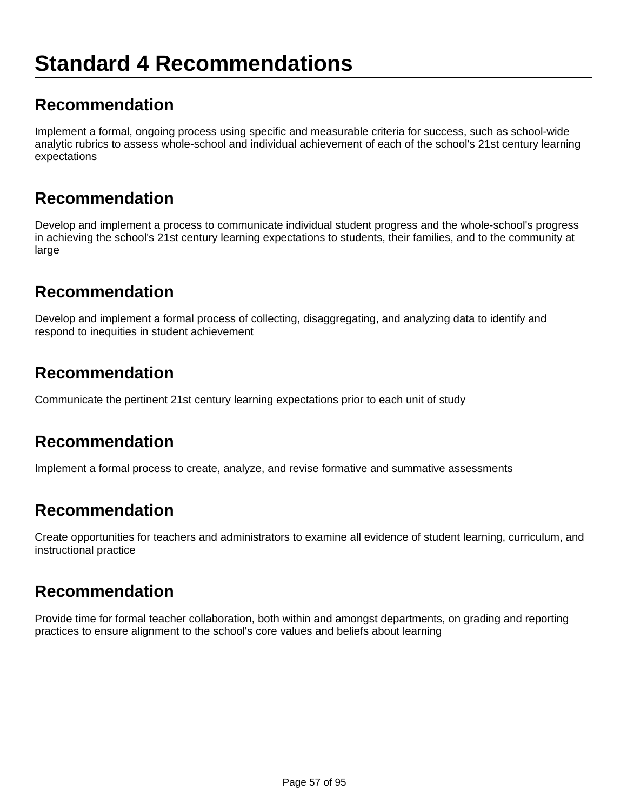#### **Recommendation**

Implement a formal, ongoing process using specific and measurable criteria for success, such as school-wide analytic rubrics to assess whole-school and individual achievement of each of the school's 21st century learning expectations

#### **Recommendation**

Develop and implement a process to communicate individual student progress and the whole-school's progress in achieving the school's 21st century learning expectations to students, their families, and to the community at large

### **Recommendation**

Develop and implement a formal process of collecting, disaggregating, and analyzing data to identify and respond to inequities in student achievement

### **Recommendation**

Communicate the pertinent 21st century learning expectations prior to each unit of study

#### **Recommendation**

Implement a formal process to create, analyze, and revise formative and summative assessments

### **Recommendation**

Create opportunities for teachers and administrators to examine all evidence of student learning, curriculum, and instructional practice

#### **Recommendation**

Provide time for formal teacher collaboration, both within and amongst departments, on grading and reporting practices to ensure alignment to the school's core values and beliefs about learning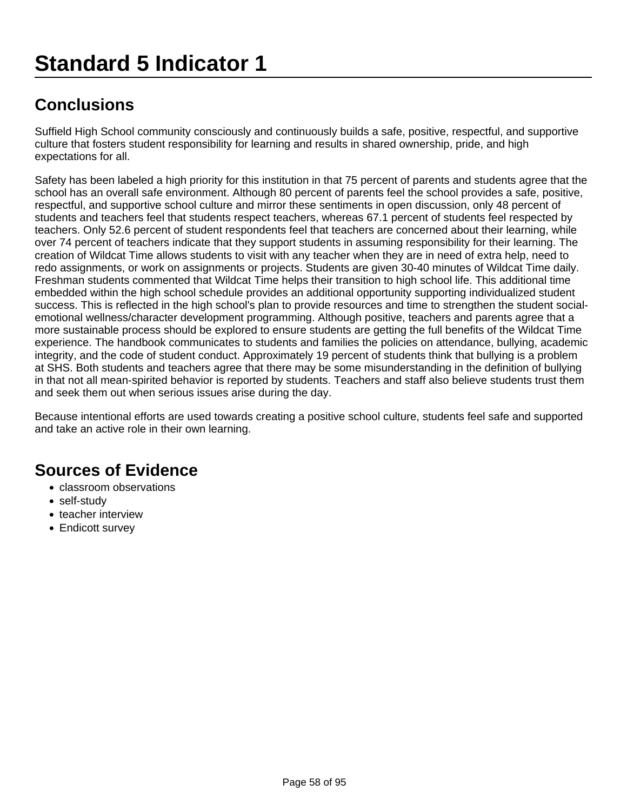Suffield High School community consciously and continuously builds a safe, positive, respectful, and supportive culture that fosters student responsibility for learning and results in shared ownership, pride, and high expectations for all.

Safety has been labeled a high priority for this institution in that 75 percent of parents and students agree that the school has an overall safe environment. Although 80 percent of parents feel the school provides a safe, positive, respectful, and supportive school culture and mirror these sentiments in open discussion, only 48 percent of students and teachers feel that students respect teachers, whereas 67.1 percent of students feel respected by teachers. Only 52.6 percent of student respondents feel that teachers are concerned about their learning, while over 74 percent of teachers indicate that they support students in assuming responsibility for their learning. The creation of Wildcat Time allows students to visit with any teacher when they are in need of extra help, need to redo assignments, or work on assignments or projects. Students are given 30-40 minutes of Wildcat Time daily. Freshman students commented that Wildcat Time helps their transition to high school life. This additional time embedded within the high school schedule provides an additional opportunity supporting individualized student success. This is reflected in the high school's plan to provide resources and time to strengthen the student socialemotional wellness/character development programming. Although positive, teachers and parents agree that a more sustainable process should be explored to ensure students are getting the full benefits of the Wildcat Time experience. The handbook communicates to students and families the policies on attendance, bullying, academic integrity, and the code of student conduct. Approximately 19 percent of students think that bullying is a problem at SHS. Both students and teachers agree that there may be some misunderstanding in the definition of bullying in that not all mean-spirited behavior is reported by students. Teachers and staff also believe students trust them and seek them out when serious issues arise during the day.

Because intentional efforts are used towards creating a positive school culture, students feel safe and supported and take an active role in their own learning.

- classroom observations
- self-study
- teacher interview
- Endicott survey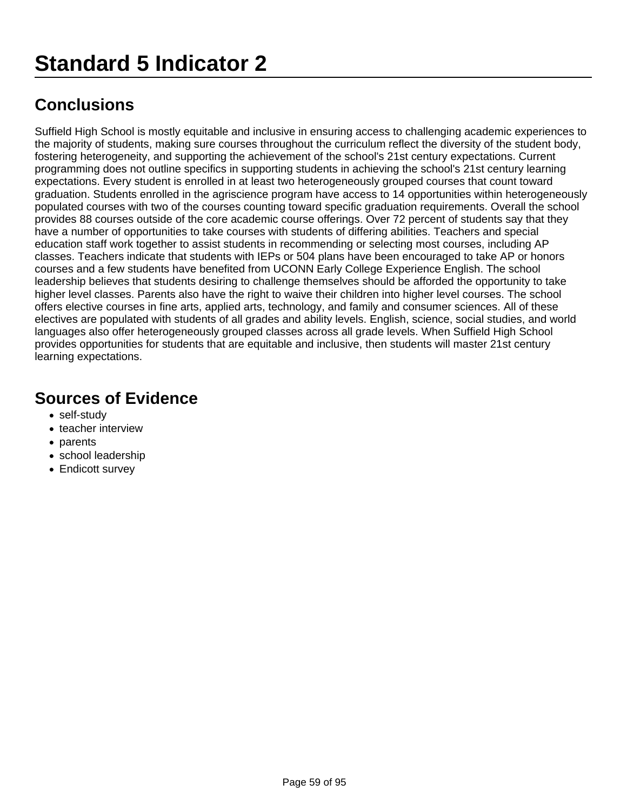Suffield High School is mostly equitable and inclusive in ensuring access to challenging academic experiences to the majority of students, making sure courses throughout the curriculum reflect the diversity of the student body, fostering heterogeneity, and supporting the achievement of the school's 21st century expectations. Current programming does not outline specifics in supporting students in achieving the school's 21st century learning expectations. Every student is enrolled in at least two heterogeneously grouped courses that count toward graduation. Students enrolled in the agriscience program have access to 14 opportunities within heterogeneously populated courses with two of the courses counting toward specific graduation requirements. Overall the school provides 88 courses outside of the core academic course offerings. Over 72 percent of students say that they have a number of opportunities to take courses with students of differing abilities. Teachers and special education staff work together to assist students in recommending or selecting most courses, including AP classes. Teachers indicate that students with IEPs or 504 plans have been encouraged to take AP or honors courses and a few students have benefited from UCONN Early College Experience English. The school leadership believes that students desiring to challenge themselves should be afforded the opportunity to take higher level classes. Parents also have the right to waive their children into higher level courses. The school offers elective courses in fine arts, applied arts, technology, and family and consumer sciences. All of these electives are populated with students of all grades and ability levels. English, science, social studies, and world languages also offer heterogeneously grouped classes across all grade levels. When Suffield High School provides opportunities for students that are equitable and inclusive, then students will master 21st century learning expectations.

- self-study
- teacher interview
- parents
- school leadership
- Endicott survey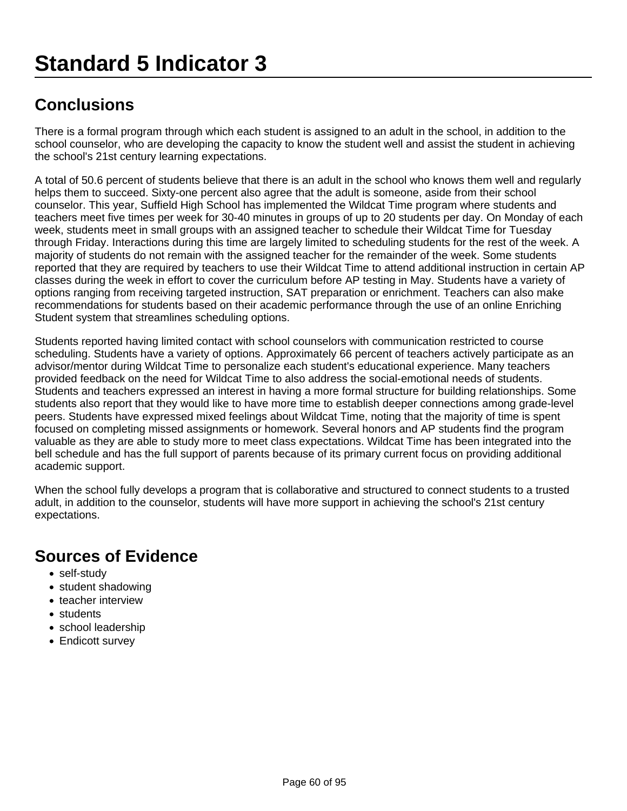There is a formal program through which each student is assigned to an adult in the school, in addition to the school counselor, who are developing the capacity to know the student well and assist the student in achieving the school's 21st century learning expectations.

A total of 50.6 percent of students believe that there is an adult in the school who knows them well and regularly helps them to succeed. Sixty-one percent also agree that the adult is someone, aside from their school counselor. This year, Suffield High School has implemented the Wildcat Time program where students and teachers meet five times per week for 30-40 minutes in groups of up to 20 students per day. On Monday of each week, students meet in small groups with an assigned teacher to schedule their Wildcat Time for Tuesday through Friday. Interactions during this time are largely limited to scheduling students for the rest of the week. A majority of students do not remain with the assigned teacher for the remainder of the week. Some students reported that they are required by teachers to use their Wildcat Time to attend additional instruction in certain AP classes during the week in effort to cover the curriculum before AP testing in May. Students have a variety of options ranging from receiving targeted instruction, SAT preparation or enrichment. Teachers can also make recommendations for students based on their academic performance through the use of an online Enriching Student system that streamlines scheduling options.

Students reported having limited contact with school counselors with communication restricted to course scheduling. Students have a variety of options. Approximately 66 percent of teachers actively participate as an advisor/mentor during Wildcat Time to personalize each student's educational experience. Many teachers provided feedback on the need for Wildcat Time to also address the social-emotional needs of students. Students and teachers expressed an interest in having a more formal structure for building relationships. Some students also report that they would like to have more time to establish deeper connections among grade-level peers. Students have expressed mixed feelings about Wildcat Time, noting that the majority of time is spent focused on completing missed assignments or homework. Several honors and AP students find the program valuable as they are able to study more to meet class expectations. Wildcat Time has been integrated into the bell schedule and has the full support of parents because of its primary current focus on providing additional academic support.

When the school fully develops a program that is collaborative and structured to connect students to a trusted adult, in addition to the counselor, students will have more support in achieving the school's 21st century expectations.

- self-study
- student shadowing
- teacher interview
- students
- school leadership
- Endicott survey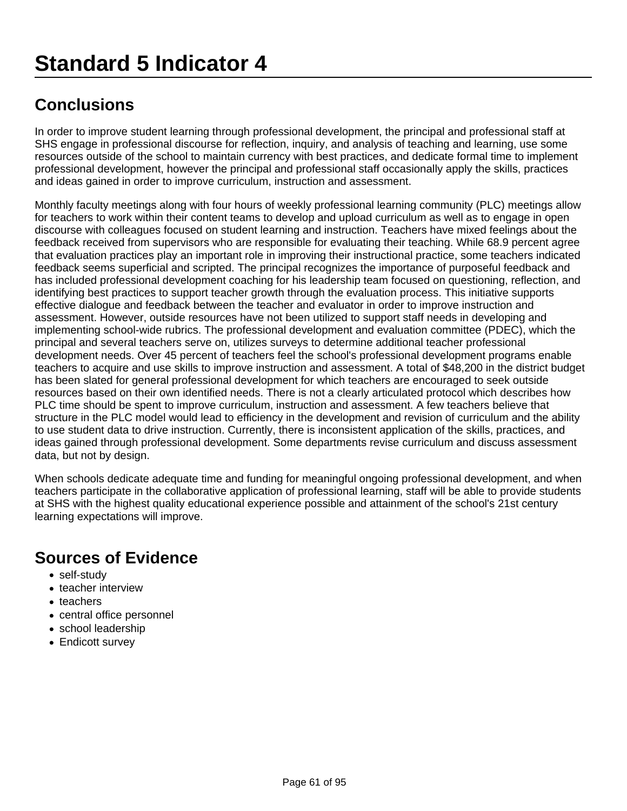In order to improve student learning through professional development, the principal and professional staff at SHS engage in professional discourse for reflection, inquiry, and analysis of teaching and learning, use some resources outside of the school to maintain currency with best practices, and dedicate formal time to implement professional development, however the principal and professional staff occasionally apply the skills, practices and ideas gained in order to improve curriculum, instruction and assessment.

Monthly faculty meetings along with four hours of weekly professional learning community (PLC) meetings allow for teachers to work within their content teams to develop and upload curriculum as well as to engage in open discourse with colleagues focused on student learning and instruction. Teachers have mixed feelings about the feedback received from supervisors who are responsible for evaluating their teaching. While 68.9 percent agree that evaluation practices play an important role in improving their instructional practice, some teachers indicated feedback seems superficial and scripted. The principal recognizes the importance of purposeful feedback and has included professional development coaching for his leadership team focused on questioning, reflection, and identifying best practices to support teacher growth through the evaluation process. This initiative supports effective dialogue and feedback between the teacher and evaluator in order to improve instruction and assessment. However, outside resources have not been utilized to support staff needs in developing and implementing school-wide rubrics. The professional development and evaluation committee (PDEC), which the principal and several teachers serve on, utilizes surveys to determine additional teacher professional development needs. Over 45 percent of teachers feel the school's professional development programs enable teachers to acquire and use skills to improve instruction and assessment. A total of \$48,200 in the district budget has been slated for general professional development for which teachers are encouraged to seek outside resources based on their own identified needs. There is not a clearly articulated protocol which describes how PLC time should be spent to improve curriculum, instruction and assessment. A few teachers believe that structure in the PLC model would lead to efficiency in the development and revision of curriculum and the ability to use student data to drive instruction. Currently, there is inconsistent application of the skills, practices, and ideas gained through professional development. Some departments revise curriculum and discuss assessment data, but not by design.

When schools dedicate adequate time and funding for meaningful ongoing professional development, and when teachers participate in the collaborative application of professional learning, staff will be able to provide students at SHS with the highest quality educational experience possible and attainment of the school's 21st century learning expectations will improve.

- self-study
- teacher interview
- teachers
- central office personnel
- school leadership
- Endicott survey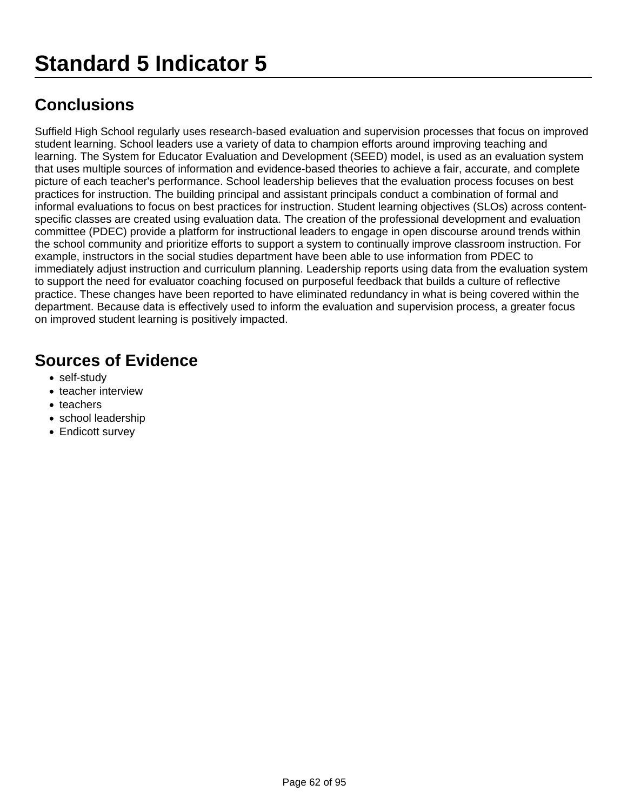Suffield High School regularly uses research-based evaluation and supervision processes that focus on improved student learning. School leaders use a variety of data to champion efforts around improving teaching and learning. The System for Educator Evaluation and Development (SEED) model, is used as an evaluation system that uses multiple sources of information and evidence-based theories to achieve a fair, accurate, and complete picture of each teacher's performance. School leadership believes that the evaluation process focuses on best practices for instruction. The building principal and assistant principals conduct a combination of formal and informal evaluations to focus on best practices for instruction. Student learning objectives (SLOs) across contentspecific classes are created using evaluation data. The creation of the professional development and evaluation committee (PDEC) provide a platform for instructional leaders to engage in open discourse around trends within the school community and prioritize efforts to support a system to continually improve classroom instruction. For example, instructors in the social studies department have been able to use information from PDEC to immediately adjust instruction and curriculum planning. Leadership reports using data from the evaluation system to support the need for evaluator coaching focused on purposeful feedback that builds a culture of reflective practice. These changes have been reported to have eliminated redundancy in what is being covered within the department. Because data is effectively used to inform the evaluation and supervision process, a greater focus on improved student learning is positively impacted.

- self-study
- teacher interview
- teachers
- school leadership
- Endicott survey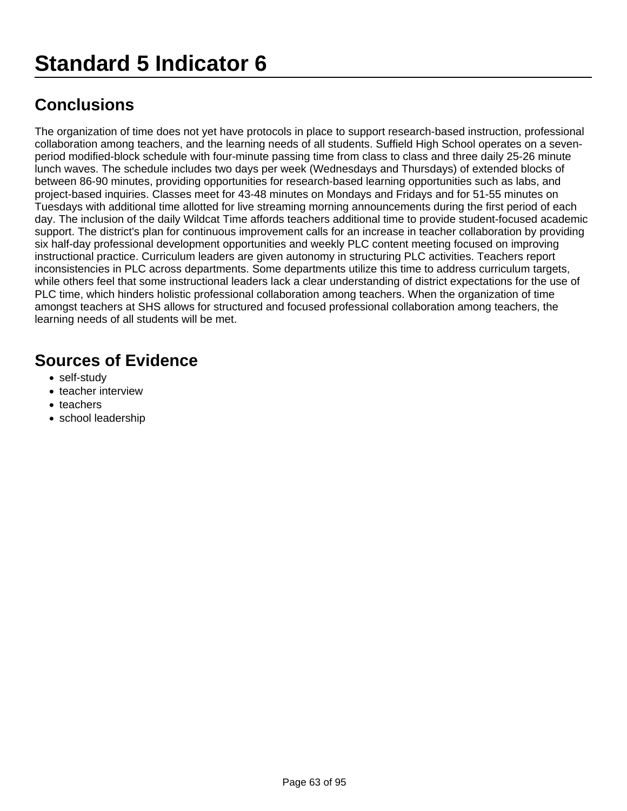The organization of time does not yet have protocols in place to support research-based instruction, professional collaboration among teachers, and the learning needs of all students. Suffield High School operates on a sevenperiod modified-block schedule with four-minute passing time from class to class and three daily 25-26 minute lunch waves. The schedule includes two days per week (Wednesdays and Thursdays) of extended blocks of between 86-90 minutes, providing opportunities for research-based learning opportunities such as labs, and project-based inquiries. Classes meet for 43-48 minutes on Mondays and Fridays and for 51-55 minutes on Tuesdays with additional time allotted for live streaming morning announcements during the first period of each day. The inclusion of the daily Wildcat Time affords teachers additional time to provide student-focused academic support. The district's plan for continuous improvement calls for an increase in teacher collaboration by providing six half-day professional development opportunities and weekly PLC content meeting focused on improving instructional practice. Curriculum leaders are given autonomy in structuring PLC activities. Teachers report inconsistencies in PLC across departments. Some departments utilize this time to address curriculum targets, while others feel that some instructional leaders lack a clear understanding of district expectations for the use of PLC time, which hinders holistic professional collaboration among teachers. When the organization of time amongst teachers at SHS allows for structured and focused professional collaboration among teachers, the learning needs of all students will be met.

- self-study
- teacher interview
- teachers
- school leadership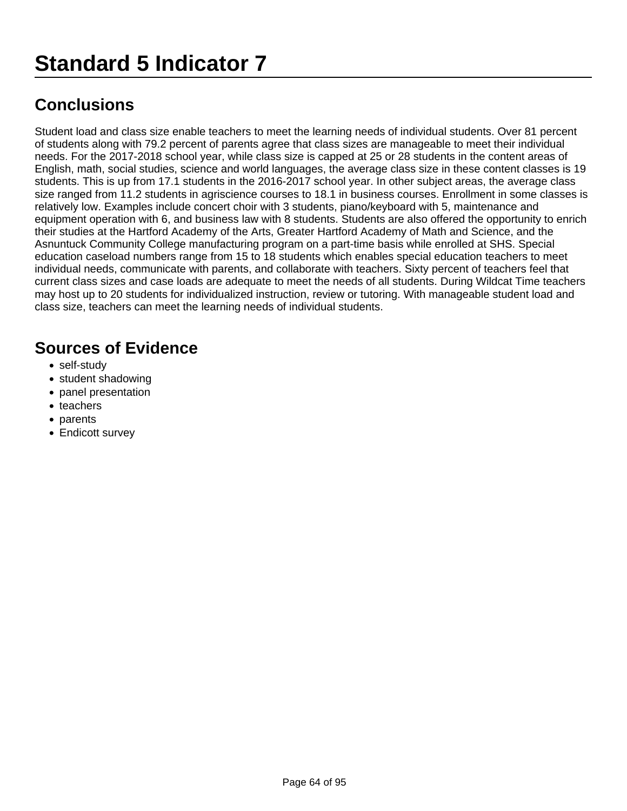Student load and class size enable teachers to meet the learning needs of individual students. Over 81 percent of students along with 79.2 percent of parents agree that class sizes are manageable to meet their individual needs. For the 2017-2018 school year, while class size is capped at 25 or 28 students in the content areas of English, math, social studies, science and world languages, the average class size in these content classes is 19 students. This is up from 17.1 students in the 2016-2017 school year. In other subject areas, the average class size ranged from 11.2 students in agriscience courses to 18.1 in business courses. Enrollment in some classes is relatively low. Examples include concert choir with 3 students, piano/keyboard with 5, maintenance and equipment operation with 6, and business law with 8 students. Students are also offered the opportunity to enrich their studies at the Hartford Academy of the Arts, Greater Hartford Academy of Math and Science, and the Asnuntuck Community College manufacturing program on a part-time basis while enrolled at SHS. Special education caseload numbers range from 15 to 18 students which enables special education teachers to meet individual needs, communicate with parents, and collaborate with teachers. Sixty percent of teachers feel that current class sizes and case loads are adequate to meet the needs of all students. During Wildcat Time teachers may host up to 20 students for individualized instruction, review or tutoring. With manageable student load and class size, teachers can meet the learning needs of individual students.

- self-study
- student shadowing
- panel presentation
- teachers
- parents
- Endicott survey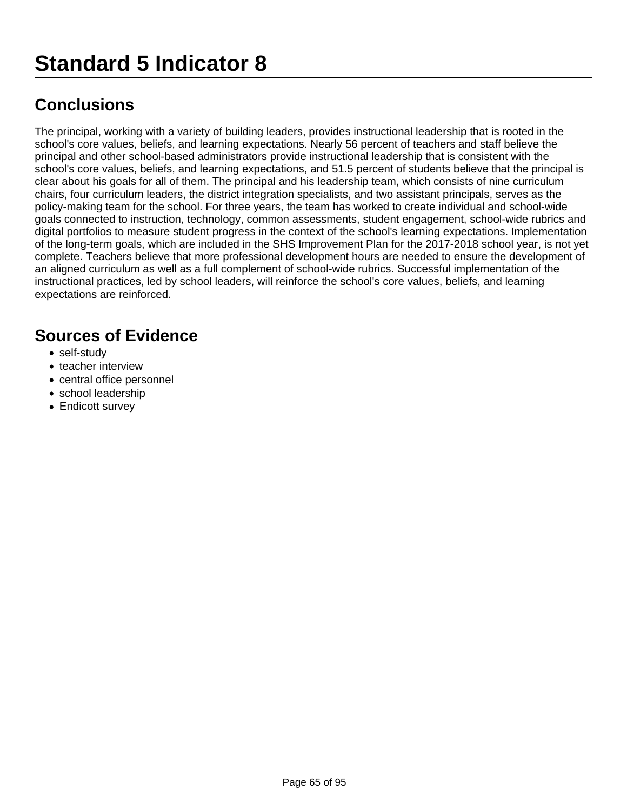The principal, working with a variety of building leaders, provides instructional leadership that is rooted in the school's core values, beliefs, and learning expectations. Nearly 56 percent of teachers and staff believe the principal and other school-based administrators provide instructional leadership that is consistent with the school's core values, beliefs, and learning expectations, and 51.5 percent of students believe that the principal is clear about his goals for all of them. The principal and his leadership team, which consists of nine curriculum chairs, four curriculum leaders, the district integration specialists, and two assistant principals, serves as the policy-making team for the school. For three years, the team has worked to create individual and school-wide goals connected to instruction, technology, common assessments, student engagement, school-wide rubrics and digital portfolios to measure student progress in the context of the school's learning expectations. Implementation of the long-term goals, which are included in the SHS Improvement Plan for the 2017-2018 school year, is not yet complete. Teachers believe that more professional development hours are needed to ensure the development of an aligned curriculum as well as a full complement of school-wide rubrics. Successful implementation of the instructional practices, led by school leaders, will reinforce the school's core values, beliefs, and learning expectations are reinforced.

- self-study
- teacher interview
- central office personnel
- school leadership
- Endicott survey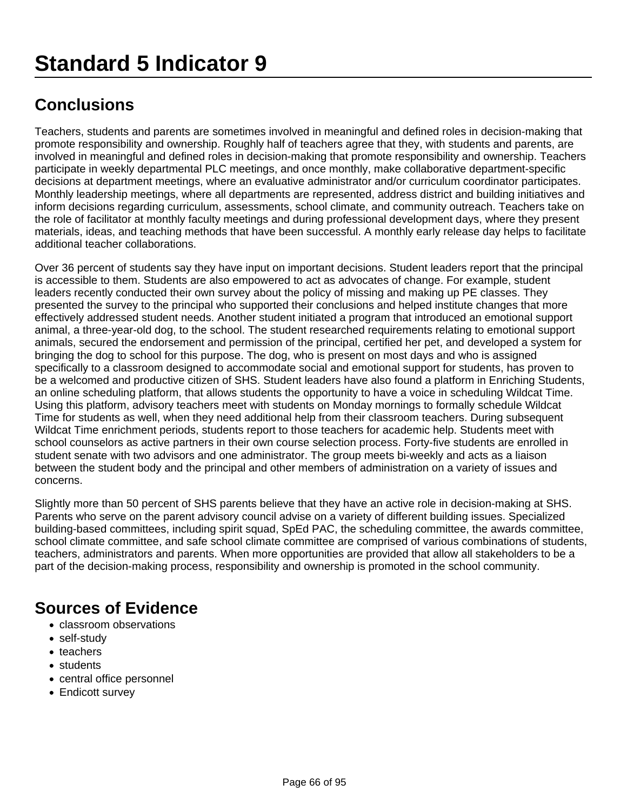Teachers, students and parents are sometimes involved in meaningful and defined roles in decision-making that promote responsibility and ownership. Roughly half of teachers agree that they, with students and parents, are involved in meaningful and defined roles in decision-making that promote responsibility and ownership. Teachers participate in weekly departmental PLC meetings, and once monthly, make collaborative department-specific decisions at department meetings, where an evaluative administrator and/or curriculum coordinator participates. Monthly leadership meetings, where all departments are represented, address district and building initiatives and inform decisions regarding curriculum, assessments, school climate, and community outreach. Teachers take on the role of facilitator at monthly faculty meetings and during professional development days, where they present materials, ideas, and teaching methods that have been successful. A monthly early release day helps to facilitate additional teacher collaborations.

Over 36 percent of students say they have input on important decisions. Student leaders report that the principal is accessible to them. Students are also empowered to act as advocates of change. For example, student leaders recently conducted their own survey about the policy of missing and making up PE classes. They presented the survey to the principal who supported their conclusions and helped institute changes that more effectively addressed student needs. Another student initiated a program that introduced an emotional support animal, a three-year-old dog, to the school. The student researched requirements relating to emotional support animals, secured the endorsement and permission of the principal, certified her pet, and developed a system for bringing the dog to school for this purpose. The dog, who is present on most days and who is assigned specifically to a classroom designed to accommodate social and emotional support for students, has proven to be a welcomed and productive citizen of SHS. Student leaders have also found a platform in Enriching Students, an online scheduling platform, that allows students the opportunity to have a voice in scheduling Wildcat Time. Using this platform, advisory teachers meet with students on Monday mornings to formally schedule Wildcat Time for students as well, when they need additional help from their classroom teachers. During subsequent Wildcat Time enrichment periods, students report to those teachers for academic help. Students meet with school counselors as active partners in their own course selection process. Forty-five students are enrolled in student senate with two advisors and one administrator. The group meets bi-weekly and acts as a liaison between the student body and the principal and other members of administration on a variety of issues and concerns.

Slightly more than 50 percent of SHS parents believe that they have an active role in decision-making at SHS. Parents who serve on the parent advisory council advise on a variety of different building issues. Specialized building-based committees, including spirit squad, SpEd PAC, the scheduling committee, the awards committee, school climate committee, and safe school climate committee are comprised of various combinations of students, teachers, administrators and parents. When more opportunities are provided that allow all stakeholders to be a part of the decision-making process, responsibility and ownership is promoted in the school community.

- classroom observations
- self-study
- teachers
- students
- central office personnel
- Endicott survey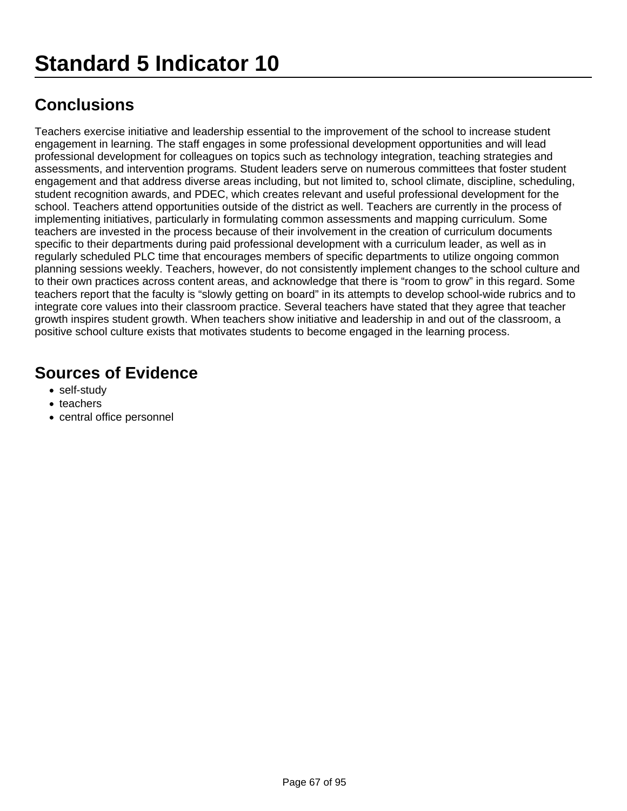Teachers exercise initiative and leadership essential to the improvement of the school to increase student engagement in learning. The staff engages in some professional development opportunities and will lead professional development for colleagues on topics such as technology integration, teaching strategies and assessments, and intervention programs. Student leaders serve on numerous committees that foster student engagement and that address diverse areas including, but not limited to, school climate, discipline, scheduling, student recognition awards, and PDEC, which creates relevant and useful professional development for the school. Teachers attend opportunities outside of the district as well. Teachers are currently in the process of implementing initiatives, particularly in formulating common assessments and mapping curriculum. Some teachers are invested in the process because of their involvement in the creation of curriculum documents specific to their departments during paid professional development with a curriculum leader, as well as in regularly scheduled PLC time that encourages members of specific departments to utilize ongoing common planning sessions weekly. Teachers, however, do not consistently implement changes to the school culture and to their own practices across content areas, and acknowledge that there is "room to grow" in this regard. Some teachers report that the faculty is "slowly getting on board" in its attempts to develop school-wide rubrics and to integrate core values into their classroom practice. Several teachers have stated that they agree that teacher growth inspires student growth. When teachers show initiative and leadership in and out of the classroom, a positive school culture exists that motivates students to become engaged in the learning process.

- self-study
- teachers
- central office personnel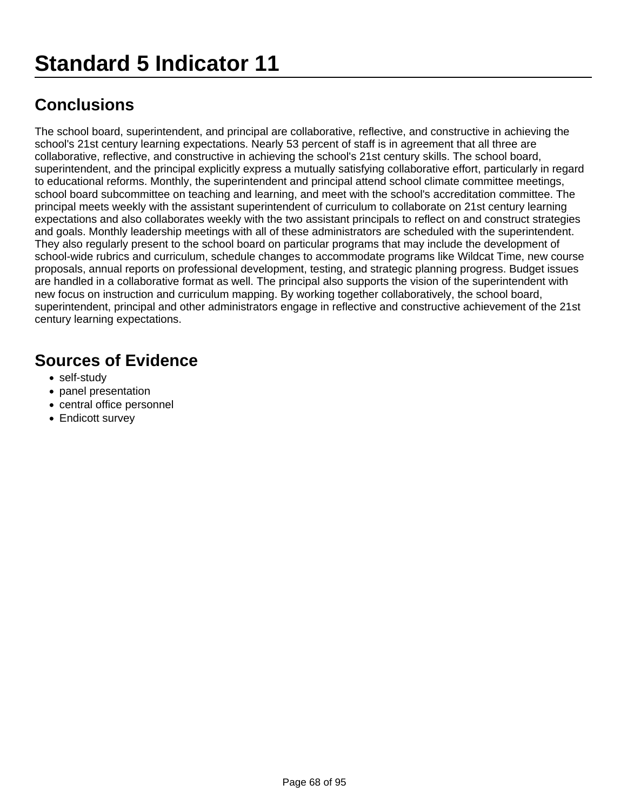The school board, superintendent, and principal are collaborative, reflective, and constructive in achieving the school's 21st century learning expectations. Nearly 53 percent of staff is in agreement that all three are collaborative, reflective, and constructive in achieving the school's 21st century skills. The school board, superintendent, and the principal explicitly express a mutually satisfying collaborative effort, particularly in regard to educational reforms. Monthly, the superintendent and principal attend school climate committee meetings, school board subcommittee on teaching and learning, and meet with the school's accreditation committee. The principal meets weekly with the assistant superintendent of curriculum to collaborate on 21st century learning expectations and also collaborates weekly with the two assistant principals to reflect on and construct strategies and goals. Monthly leadership meetings with all of these administrators are scheduled with the superintendent. They also regularly present to the school board on particular programs that may include the development of school-wide rubrics and curriculum, schedule changes to accommodate programs like Wildcat Time, new course proposals, annual reports on professional development, testing, and strategic planning progress. Budget issues are handled in a collaborative format as well. The principal also supports the vision of the superintendent with new focus on instruction and curriculum mapping. By working together collaboratively, the school board, superintendent, principal and other administrators engage in reflective and constructive achievement of the 21st century learning expectations.

- self-study
- panel presentation
- central office personnel
- Endicott survey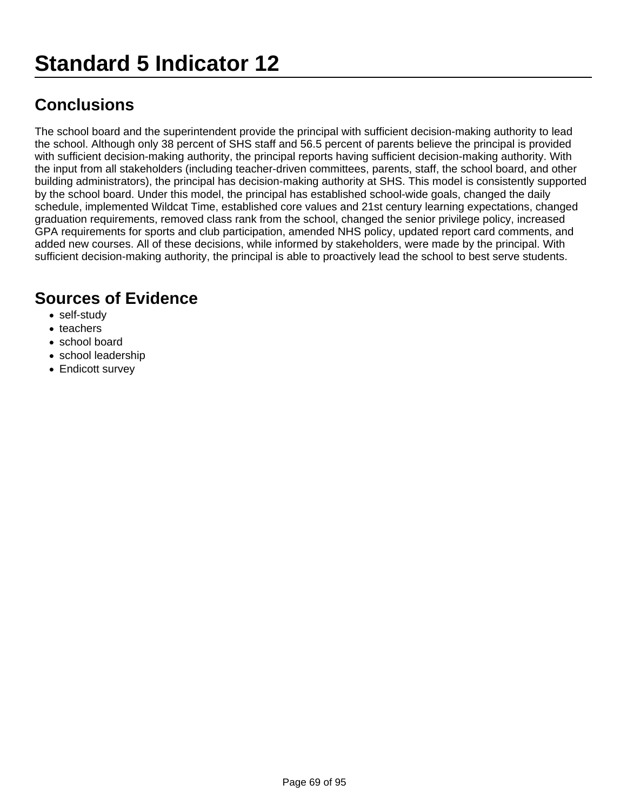The school board and the superintendent provide the principal with sufficient decision-making authority to lead the school. Although only 38 percent of SHS staff and 56.5 percent of parents believe the principal is provided with sufficient decision-making authority, the principal reports having sufficient decision-making authority. With the input from all stakeholders (including teacher-driven committees, parents, staff, the school board, and other building administrators), the principal has decision-making authority at SHS. This model is consistently supported by the school board. Under this model, the principal has established school-wide goals, changed the daily schedule, implemented Wildcat Time, established core values and 21st century learning expectations, changed graduation requirements, removed class rank from the school, changed the senior privilege policy, increased GPA requirements for sports and club participation, amended NHS policy, updated report card comments, and added new courses. All of these decisions, while informed by stakeholders, were made by the principal. With sufficient decision-making authority, the principal is able to proactively lead the school to best serve students.

- self-study
- teachers
- school board
- school leadership
- Endicott survey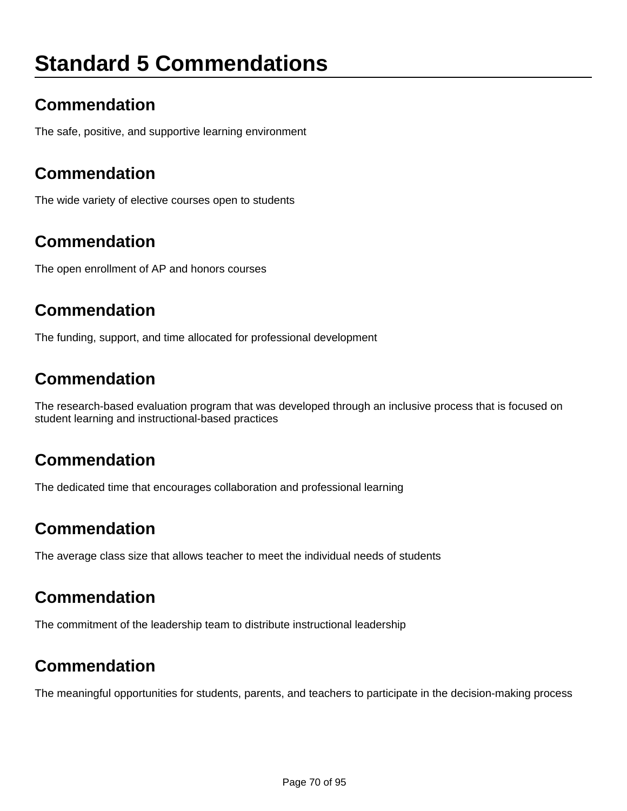# **Standard 5 Commendations**

### **Commendation**

The safe, positive, and supportive learning environment

### **Commendation**

The wide variety of elective courses open to students

### **Commendation**

The open enrollment of AP and honors courses

### **Commendation**

The funding, support, and time allocated for professional development

### **Commendation**

The research-based evaluation program that was developed through an inclusive process that is focused on student learning and instructional-based practices

### **Commendation**

The dedicated time that encourages collaboration and professional learning

### **Commendation**

The average class size that allows teacher to meet the individual needs of students

### **Commendation**

The commitment of the leadership team to distribute instructional leadership

#### **Commendation**

The meaningful opportunities for students, parents, and teachers to participate in the decision-making process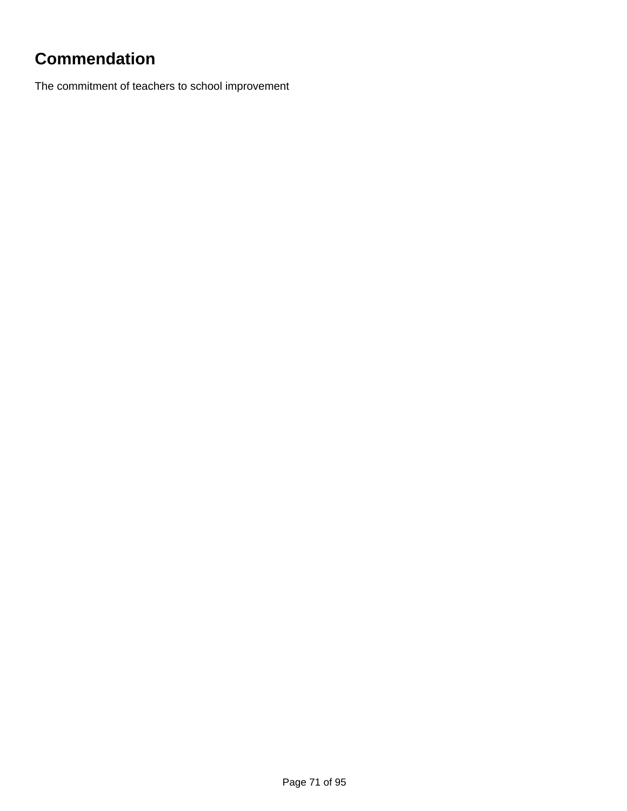# **Commendation**

The commitment of teachers to school improvement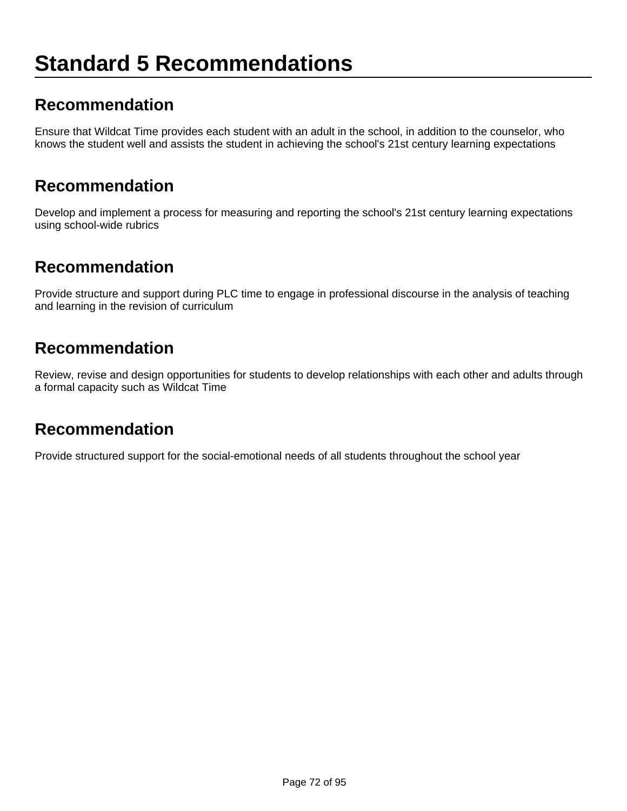# **Standard 5 Recommendations**

#### **Recommendation**

Ensure that Wildcat Time provides each student with an adult in the school, in addition to the counselor, who knows the student well and assists the student in achieving the school's 21st century learning expectations

#### **Recommendation**

Develop and implement a process for measuring and reporting the school's 21st century learning expectations using school-wide rubrics

#### **Recommendation**

Provide structure and support during PLC time to engage in professional discourse in the analysis of teaching and learning in the revision of curriculum

#### **Recommendation**

Review, revise and design opportunities for students to develop relationships with each other and adults through a formal capacity such as Wildcat Time

#### **Recommendation**

Provide structured support for the social-emotional needs of all students throughout the school year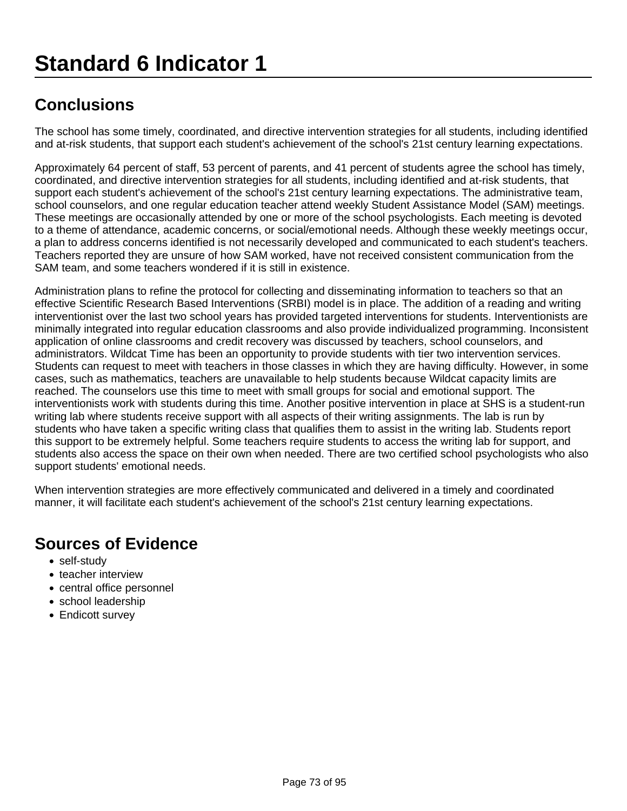The school has some timely, coordinated, and directive intervention strategies for all students, including identified and at-risk students, that support each student's achievement of the school's 21st century learning expectations.

Approximately 64 percent of staff, 53 percent of parents, and 41 percent of students agree the school has timely, coordinated, and directive intervention strategies for all students, including identified and at-risk students, that support each student's achievement of the school's 21st century learning expectations. The administrative team, school counselors, and one regular education teacher attend weekly Student Assistance Model (SAM) meetings. These meetings are occasionally attended by one or more of the school psychologists. Each meeting is devoted to a theme of attendance, academic concerns, or social/emotional needs. Although these weekly meetings occur, a plan to address concerns identified is not necessarily developed and communicated to each student's teachers. Teachers reported they are unsure of how SAM worked, have not received consistent communication from the SAM team, and some teachers wondered if it is still in existence.

Administration plans to refine the protocol for collecting and disseminating information to teachers so that an effective Scientific Research Based Interventions (SRBI) model is in place. The addition of a reading and writing interventionist over the last two school years has provided targeted interventions for students. Interventionists are minimally integrated into regular education classrooms and also provide individualized programming. Inconsistent application of online classrooms and credit recovery was discussed by teachers, school counselors, and administrators. Wildcat Time has been an opportunity to provide students with tier two intervention services. Students can request to meet with teachers in those classes in which they are having difficulty. However, in some cases, such as mathematics, teachers are unavailable to help students because Wildcat capacity limits are reached. The counselors use this time to meet with small groups for social and emotional support. The interventionists work with students during this time. Another positive intervention in place at SHS is a student-run writing lab where students receive support with all aspects of their writing assignments. The lab is run by students who have taken a specific writing class that qualifies them to assist in the writing lab. Students report this support to be extremely helpful. Some teachers require students to access the writing lab for support, and students also access the space on their own when needed. There are two certified school psychologists who also support students' emotional needs.

When intervention strategies are more effectively communicated and delivered in a timely and coordinated manner, it will facilitate each student's achievement of the school's 21st century learning expectations.

- self-study
- teacher interview
- central office personnel
- school leadership
- Endicott survey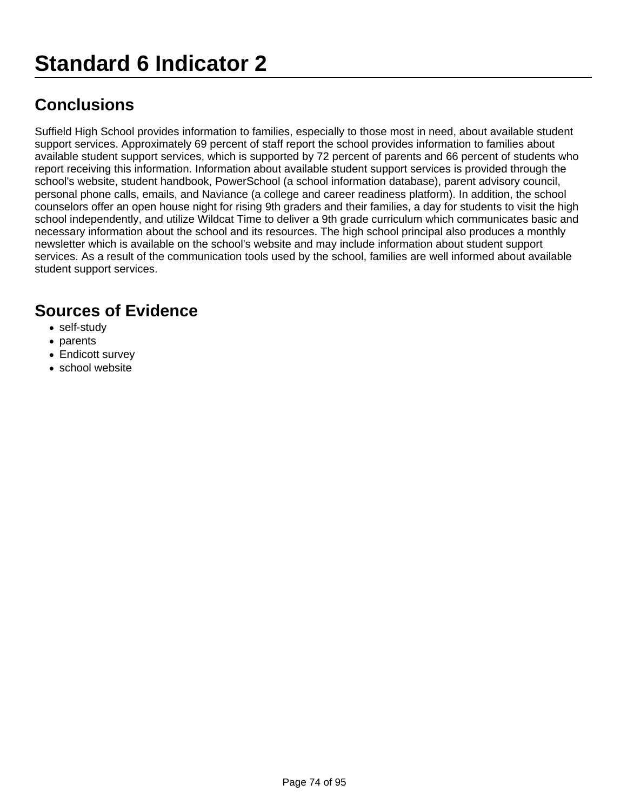Suffield High School provides information to families, especially to those most in need, about available student support services. Approximately 69 percent of staff report the school provides information to families about available student support services, which is supported by 72 percent of parents and 66 percent of students who report receiving this information. Information about available student support services is provided through the school's website, student handbook, PowerSchool (a school information database), parent advisory council, personal phone calls, emails, and Naviance (a college and career readiness platform). In addition, the school counselors offer an open house night for rising 9th graders and their families, a day for students to visit the high school independently, and utilize Wildcat Time to deliver a 9th grade curriculum which communicates basic and necessary information about the school and its resources. The high school principal also produces a monthly newsletter which is available on the school's website and may include information about student support services. As a result of the communication tools used by the school, families are well informed about available student support services.

- self-study
- parents
- Endicott survey
- school website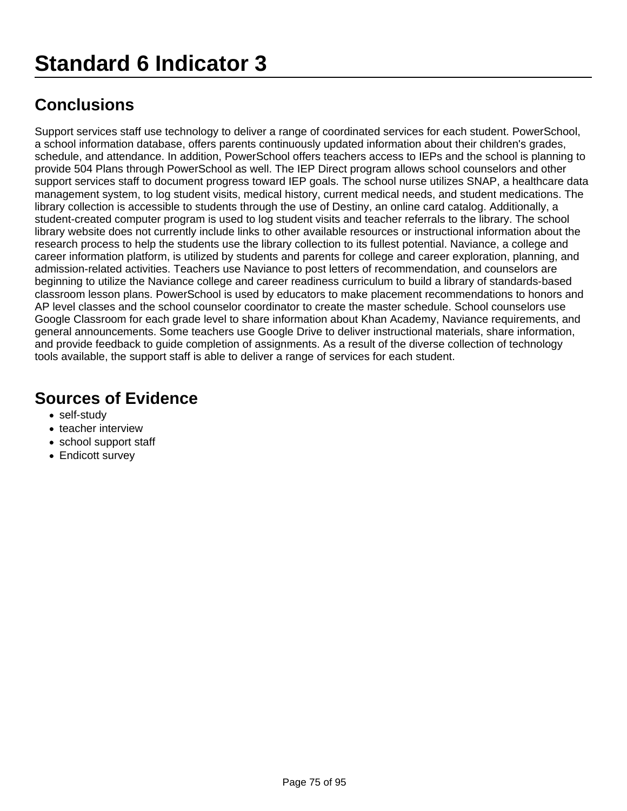Support services staff use technology to deliver a range of coordinated services for each student. PowerSchool, a school information database, offers parents continuously updated information about their children's grades, schedule, and attendance. In addition, PowerSchool offers teachers access to IEPs and the school is planning to provide 504 Plans through PowerSchool as well. The IEP Direct program allows school counselors and other support services staff to document progress toward IEP goals. The school nurse utilizes SNAP, a healthcare data management system, to log student visits, medical history, current medical needs, and student medications. The library collection is accessible to students through the use of Destiny, an online card catalog. Additionally, a student-created computer program is used to log student visits and teacher referrals to the library. The school library website does not currently include links to other available resources or instructional information about the research process to help the students use the library collection to its fullest potential. Naviance, a college and career information platform, is utilized by students and parents for college and career exploration, planning, and admission-related activities. Teachers use Naviance to post letters of recommendation, and counselors are beginning to utilize the Naviance college and career readiness curriculum to build a library of standards-based classroom lesson plans. PowerSchool is used by educators to make placement recommendations to honors and AP level classes and the school counselor coordinator to create the master schedule. School counselors use Google Classroom for each grade level to share information about Khan Academy, Naviance requirements, and general announcements. Some teachers use Google Drive to deliver instructional materials, share information, and provide feedback to guide completion of assignments. As a result of the diverse collection of technology tools available, the support staff is able to deliver a range of services for each student.

- self-study
- teacher interview
- school support staff
- Endicott survey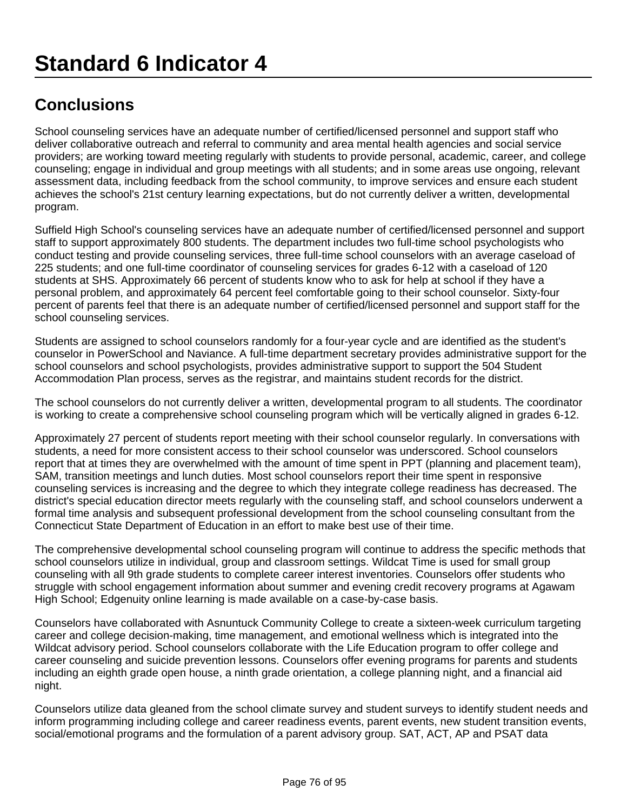School counseling services have an adequate number of certified/licensed personnel and support staff who deliver collaborative outreach and referral to community and area mental health agencies and social service providers; are working toward meeting regularly with students to provide personal, academic, career, and college counseling; engage in individual and group meetings with all students; and in some areas use ongoing, relevant assessment data, including feedback from the school community, to improve services and ensure each student achieves the school's 21st century learning expectations, but do not currently deliver a written, developmental program.

Suffield High School's counseling services have an adequate number of certified/licensed personnel and support staff to support approximately 800 students. The department includes two full-time school psychologists who conduct testing and provide counseling services, three full-time school counselors with an average caseload of 225 students; and one full-time coordinator of counseling services for grades 6-12 with a caseload of 120 students at SHS. Approximately 66 percent of students know who to ask for help at school if they have a personal problem, and approximately 64 percent feel comfortable going to their school counselor. Sixty-four percent of parents feel that there is an adequate number of certified/licensed personnel and support staff for the school counseling services.

Students are assigned to school counselors randomly for a four-year cycle and are identified as the student's counselor in PowerSchool and Naviance. A full-time department secretary provides administrative support for the school counselors and school psychologists, provides administrative support to support the 504 Student Accommodation Plan process, serves as the registrar, and maintains student records for the district.

The school counselors do not currently deliver a written, developmental program to all students. The coordinator is working to create a comprehensive school counseling program which will be vertically aligned in grades 6-12.

Approximately 27 percent of students report meeting with their school counselor regularly. In conversations with students, a need for more consistent access to their school counselor was underscored. School counselors report that at times they are overwhelmed with the amount of time spent in PPT (planning and placement team), SAM, transition meetings and lunch duties. Most school counselors report their time spent in responsive counseling services is increasing and the degree to which they integrate college readiness has decreased. The district's special education director meets regularly with the counseling staff, and school counselors underwent a formal time analysis and subsequent professional development from the school counseling consultant from the Connecticut State Department of Education in an effort to make best use of their time.

The comprehensive developmental school counseling program will continue to address the specific methods that school counselors utilize in individual, group and classroom settings. Wildcat Time is used for small group counseling with all 9th grade students to complete career interest inventories. Counselors offer students who struggle with school engagement information about summer and evening credit recovery programs at Agawam High School; Edgenuity online learning is made available on a case-by-case basis.

Counselors have collaborated with Asnuntuck Community College to create a sixteen-week curriculum targeting career and college decision-making, time management, and emotional wellness which is integrated into the Wildcat advisory period. School counselors collaborate with the Life Education program to offer college and career counseling and suicide prevention lessons. Counselors offer evening programs for parents and students including an eighth grade open house, a ninth grade orientation, a college planning night, and a financial aid night.

Counselors utilize data gleaned from the school climate survey and student surveys to identify student needs and inform programming including college and career readiness events, parent events, new student transition events, social/emotional programs and the formulation of a parent advisory group. SAT, ACT, AP and PSAT data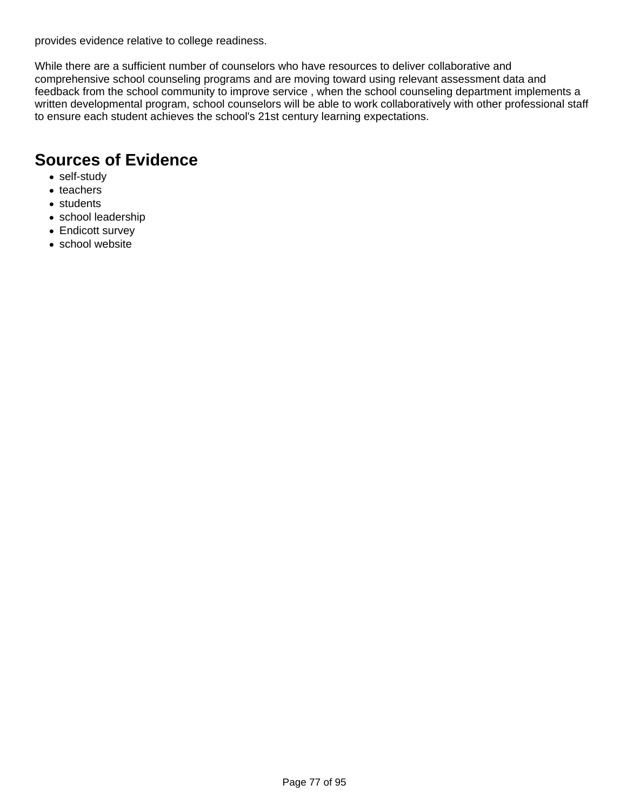provides evidence relative to college readiness.

While there are a sufficient number of counselors who have resources to deliver collaborative and comprehensive school counseling programs and are moving toward using relevant assessment data and feedback from the school community to improve service , when the school counseling department implements a written developmental program, school counselors will be able to work collaboratively with other professional staff to ensure each student achieves the school's 21st century learning expectations.

- self-study
- teachers
- students
- school leadership
- Endicott survey
- school website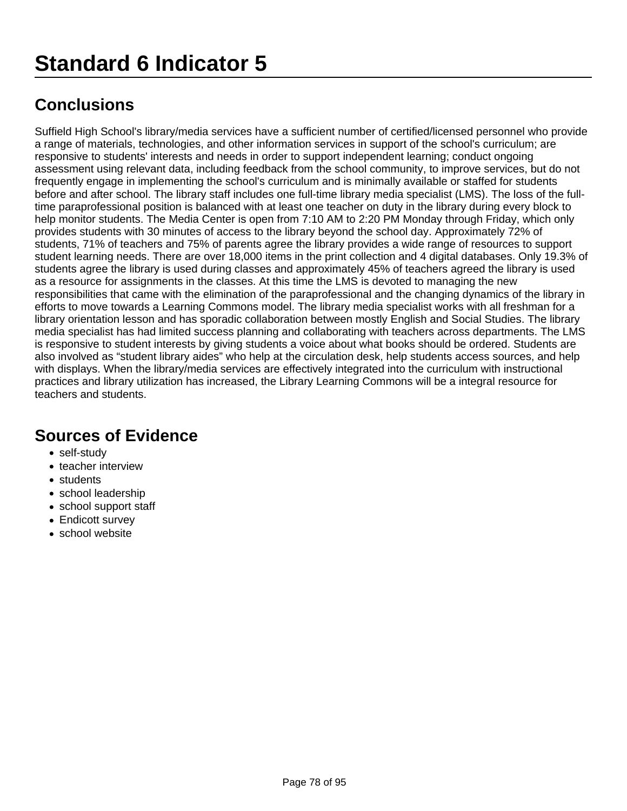Suffield High School's library/media services have a sufficient number of certified/licensed personnel who provide a range of materials, technologies, and other information services in support of the school's curriculum; are responsive to students' interests and needs in order to support independent learning; conduct ongoing assessment using relevant data, including feedback from the school community, to improve services, but do not frequently engage in implementing the school's curriculum and is minimally available or staffed for students before and after school. The library staff includes one full-time library media specialist (LMS). The loss of the fulltime paraprofessional position is balanced with at least one teacher on duty in the library during every block to help monitor students. The Media Center is open from 7:10 AM to 2:20 PM Monday through Friday, which only provides students with 30 minutes of access to the library beyond the school day. Approximately 72% of students, 71% of teachers and 75% of parents agree the library provides a wide range of resources to support student learning needs. There are over 18,000 items in the print collection and 4 digital databases. Only 19.3% of students agree the library is used during classes and approximately 45% of teachers agreed the library is used as a resource for assignments in the classes. At this time the LMS is devoted to managing the new responsibilities that came with the elimination of the paraprofessional and the changing dynamics of the library in efforts to move towards a Learning Commons model. The library media specialist works with all freshman for a library orientation lesson and has sporadic collaboration between mostly English and Social Studies. The library media specialist has had limited success planning and collaborating with teachers across departments. The LMS is responsive to student interests by giving students a voice about what books should be ordered. Students are also involved as "student library aides" who help at the circulation desk, help students access sources, and help with displays. When the library/media services are effectively integrated into the curriculum with instructional practices and library utilization has increased, the Library Learning Commons will be a integral resource for teachers and students.

- self-study
- teacher interview
- students
- school leadership
- school support staff
- Endicott survey
- school website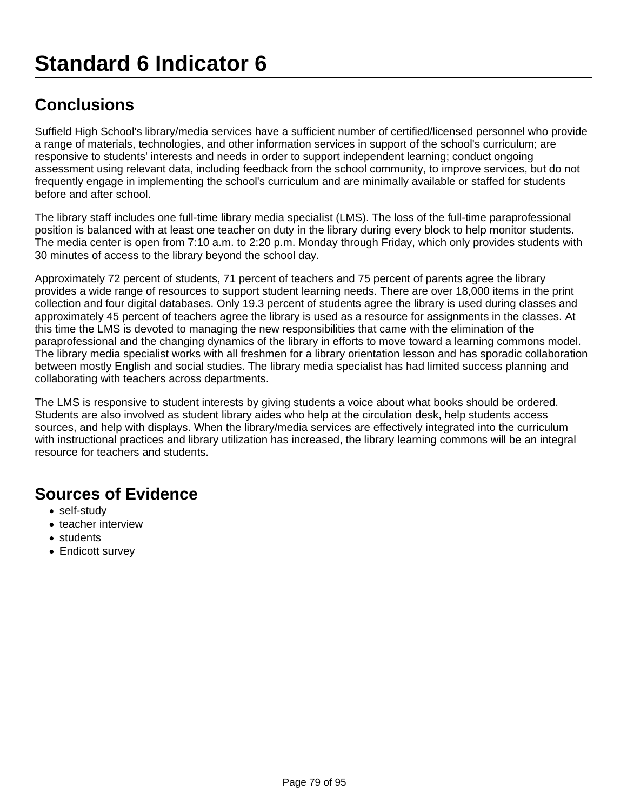Suffield High School's library/media services have a sufficient number of certified/licensed personnel who provide a range of materials, technologies, and other information services in support of the school's curriculum; are responsive to students' interests and needs in order to support independent learning; conduct ongoing assessment using relevant data, including feedback from the school community, to improve services, but do not frequently engage in implementing the school's curriculum and are minimally available or staffed for students before and after school.

The library staff includes one full-time library media specialist (LMS). The loss of the full-time paraprofessional position is balanced with at least one teacher on duty in the library during every block to help monitor students. The media center is open from 7:10 a.m. to 2:20 p.m. Monday through Friday, which only provides students with 30 minutes of access to the library beyond the school day.

Approximately 72 percent of students, 71 percent of teachers and 75 percent of parents agree the library provides a wide range of resources to support student learning needs. There are over 18,000 items in the print collection and four digital databases. Only 19.3 percent of students agree the library is used during classes and approximately 45 percent of teachers agree the library is used as a resource for assignments in the classes. At this time the LMS is devoted to managing the new responsibilities that came with the elimination of the paraprofessional and the changing dynamics of the library in efforts to move toward a learning commons model. The library media specialist works with all freshmen for a library orientation lesson and has sporadic collaboration between mostly English and social studies. The library media specialist has had limited success planning and collaborating with teachers across departments.

The LMS is responsive to student interests by giving students a voice about what books should be ordered. Students are also involved as student library aides who help at the circulation desk, help students access sources, and help with displays. When the library/media services are effectively integrated into the curriculum with instructional practices and library utilization has increased, the library learning commons will be an integral resource for teachers and students.

- self-study
- teacher interview
- students
- Endicott survey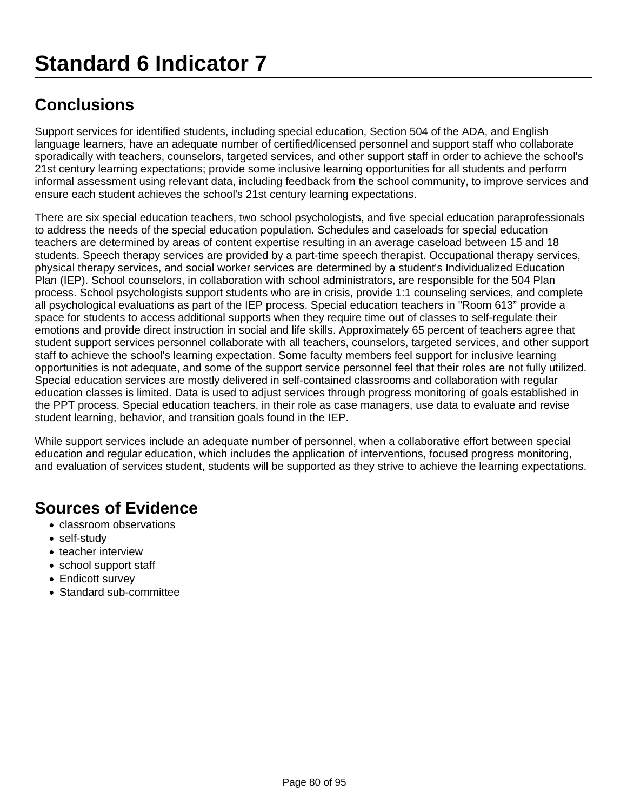Support services for identified students, including special education, Section 504 of the ADA, and English language learners, have an adequate number of certified/licensed personnel and support staff who collaborate sporadically with teachers, counselors, targeted services, and other support staff in order to achieve the school's 21st century learning expectations; provide some inclusive learning opportunities for all students and perform informal assessment using relevant data, including feedback from the school community, to improve services and ensure each student achieves the school's 21st century learning expectations.

There are six special education teachers, two school psychologists, and five special education paraprofessionals to address the needs of the special education population. Schedules and caseloads for special education teachers are determined by areas of content expertise resulting in an average caseload between 15 and 18 students. Speech therapy services are provided by a part-time speech therapist. Occupational therapy services, physical therapy services, and social worker services are determined by a student's Individualized Education Plan (IEP). School counselors, in collaboration with school administrators, are responsible for the 504 Plan process. School psychologists support students who are in crisis, provide 1:1 counseling services, and complete all psychological evaluations as part of the IEP process. Special education teachers in "Room 613" provide a space for students to access additional supports when they require time out of classes to self-regulate their emotions and provide direct instruction in social and life skills. Approximately 65 percent of teachers agree that student support services personnel collaborate with all teachers, counselors, targeted services, and other support staff to achieve the school's learning expectation. Some faculty members feel support for inclusive learning opportunities is not adequate, and some of the support service personnel feel that their roles are not fully utilized. Special education services are mostly delivered in self-contained classrooms and collaboration with regular education classes is limited. Data is used to adjust services through progress monitoring of goals established in the PPT process. Special education teachers, in their role as case managers, use data to evaluate and revise student learning, behavior, and transition goals found in the IEP.

While support services include an adequate number of personnel, when a collaborative effort between special education and regular education, which includes the application of interventions, focused progress monitoring, and evaluation of services student, students will be supported as they strive to achieve the learning expectations.

- classroom observations
- self-study
- teacher interview
- school support staff
- Endicott survey
- Standard sub-committee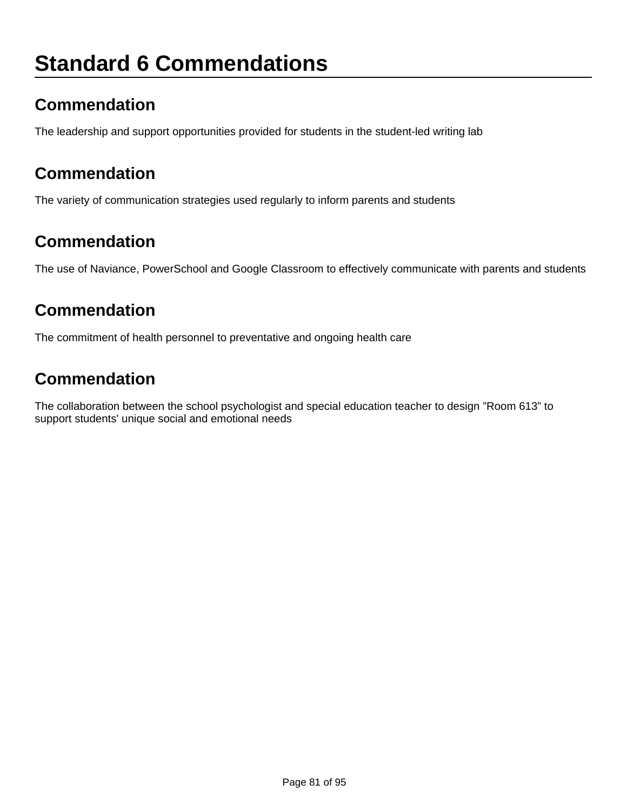## **Standard 6 Commendations**

## **Commendation**

The leadership and support opportunities provided for students in the student-led writing lab

### **Commendation**

The variety of communication strategies used regularly to inform parents and students

### **Commendation**

The use of Naviance, PowerSchool and Google Classroom to effectively communicate with parents and students

### **Commendation**

The commitment of health personnel to preventative and ongoing health care

## **Commendation**

The collaboration between the school psychologist and special education teacher to design "Room 613" to support students' unique social and emotional needs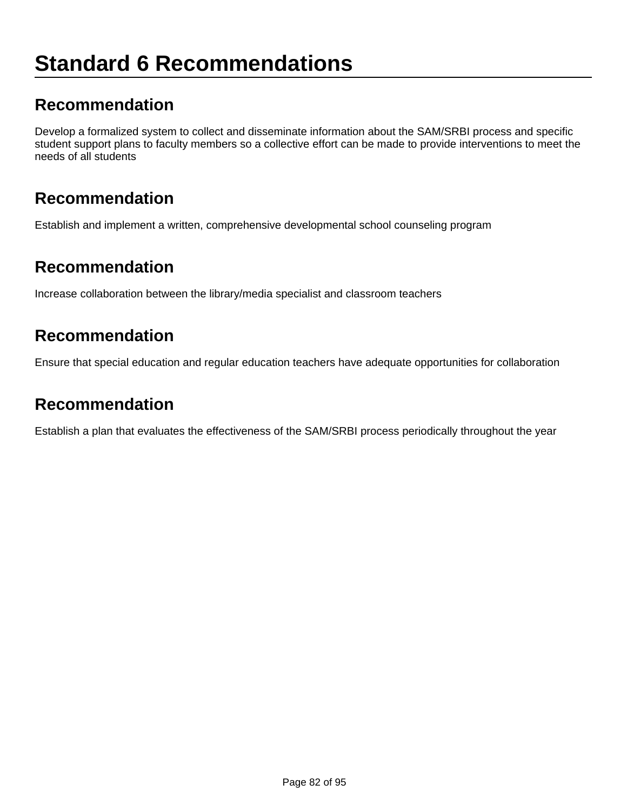## **Standard 6 Recommendations**

### **Recommendation**

Develop a formalized system to collect and disseminate information about the SAM/SRBI process and specific student support plans to faculty members so a collective effort can be made to provide interventions to meet the needs of all students

#### **Recommendation**

Establish and implement a written, comprehensive developmental school counseling program

#### **Recommendation**

Increase collaboration between the library/media specialist and classroom teachers

## **Recommendation**

Ensure that special education and regular education teachers have adequate opportunities for collaboration

#### **Recommendation**

Establish a plan that evaluates the effectiveness of the SAM/SRBI process periodically throughout the year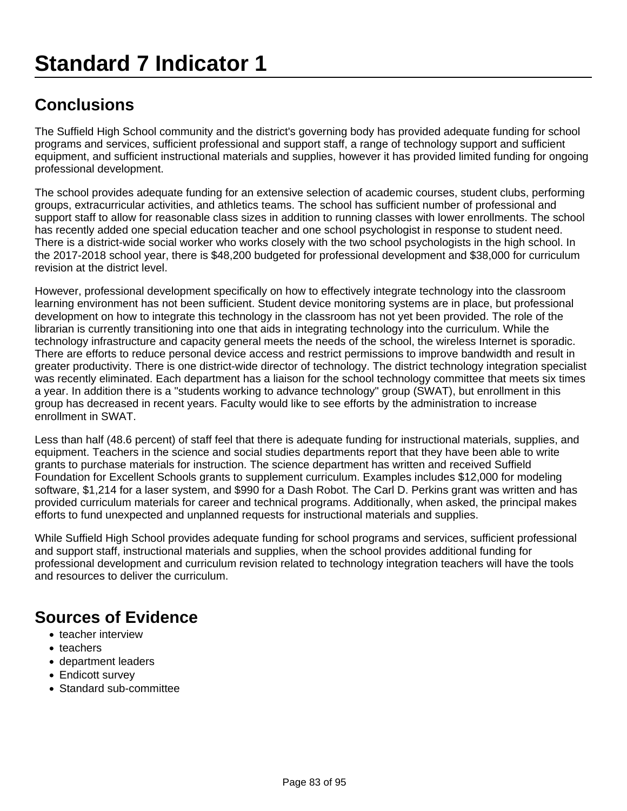The Suffield High School community and the district's governing body has provided adequate funding for school programs and services, sufficient professional and support staff, a range of technology support and sufficient equipment, and sufficient instructional materials and supplies, however it has provided limited funding for ongoing professional development.

The school provides adequate funding for an extensive selection of academic courses, student clubs, performing groups, extracurricular activities, and athletics teams. The school has sufficient number of professional and support staff to allow for reasonable class sizes in addition to running classes with lower enrollments. The school has recently added one special education teacher and one school psychologist in response to student need. There is a district-wide social worker who works closely with the two school psychologists in the high school. In the 2017-2018 school year, there is \$48,200 budgeted for professional development and \$38,000 for curriculum revision at the district level.

However, professional development specifically on how to effectively integrate technology into the classroom learning environment has not been sufficient. Student device monitoring systems are in place, but professional development on how to integrate this technology in the classroom has not yet been provided. The role of the librarian is currently transitioning into one that aids in integrating technology into the curriculum. While the technology infrastructure and capacity general meets the needs of the school, the wireless Internet is sporadic. There are efforts to reduce personal device access and restrict permissions to improve bandwidth and result in greater productivity. There is one district-wide director of technology. The district technology integration specialist was recently eliminated. Each department has a liaison for the school technology committee that meets six times a year. In addition there is a "students working to advance technology" group (SWAT), but enrollment in this group has decreased in recent years. Faculty would like to see efforts by the administration to increase enrollment in SWAT.

Less than half (48.6 percent) of staff feel that there is adequate funding for instructional materials, supplies, and equipment. Teachers in the science and social studies departments report that they have been able to write grants to purchase materials for instruction. The science department has written and received Suffield Foundation for Excellent Schools grants to supplement curriculum. Examples includes \$12,000 for modeling software, \$1,214 for a laser system, and \$990 for a Dash Robot. The Carl D. Perkins grant was written and has provided curriculum materials for career and technical programs. Additionally, when asked, the principal makes efforts to fund unexpected and unplanned requests for instructional materials and supplies.

While Suffield High School provides adequate funding for school programs and services, sufficient professional and support staff, instructional materials and supplies, when the school provides additional funding for professional development and curriculum revision related to technology integration teachers will have the tools and resources to deliver the curriculum.

- teacher interview
- teachers
- department leaders
- Endicott survey
- Standard sub-committee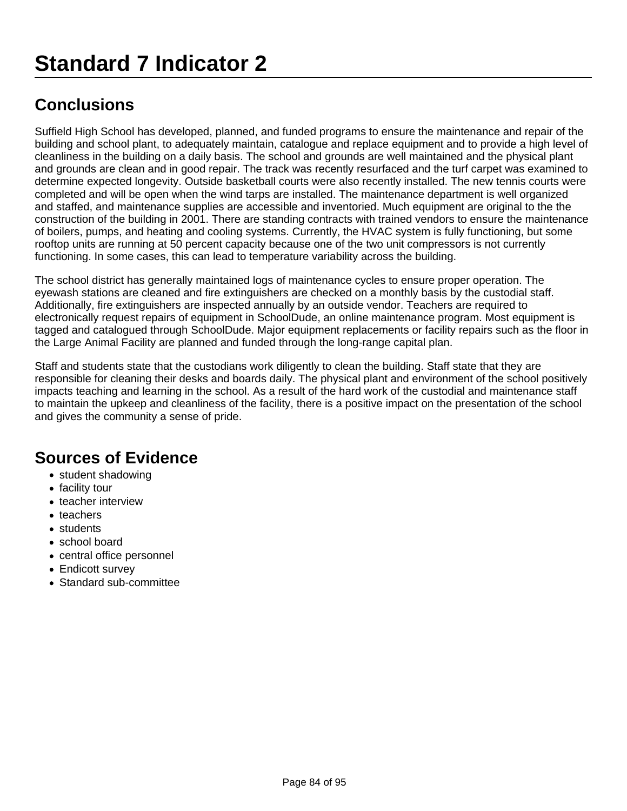Suffield High School has developed, planned, and funded programs to ensure the maintenance and repair of the building and school plant, to adequately maintain, catalogue and replace equipment and to provide a high level of cleanliness in the building on a daily basis. The school and grounds are well maintained and the physical plant and grounds are clean and in good repair. The track was recently resurfaced and the turf carpet was examined to determine expected longevity. Outside basketball courts were also recently installed. The new tennis courts were completed and will be open when the wind tarps are installed. The maintenance department is well organized and staffed, and maintenance supplies are accessible and inventoried. Much equipment are original to the the construction of the building in 2001. There are standing contracts with trained vendors to ensure the maintenance of boilers, pumps, and heating and cooling systems. Currently, the HVAC system is fully functioning, but some rooftop units are running at 50 percent capacity because one of the two unit compressors is not currently functioning. In some cases, this can lead to temperature variability across the building.

The school district has generally maintained logs of maintenance cycles to ensure proper operation. The eyewash stations are cleaned and fire extinguishers are checked on a monthly basis by the custodial staff. Additionally, fire extinguishers are inspected annually by an outside vendor. Teachers are required to electronically request repairs of equipment in SchoolDude, an online maintenance program. Most equipment is tagged and catalogued through SchoolDude. Major equipment replacements or facility repairs such as the floor in the Large Animal Facility are planned and funded through the long-range capital plan.

Staff and students state that the custodians work diligently to clean the building. Staff state that they are responsible for cleaning their desks and boards daily. The physical plant and environment of the school positively impacts teaching and learning in the school. As a result of the hard work of the custodial and maintenance staff to maintain the upkeep and cleanliness of the facility, there is a positive impact on the presentation of the school and gives the community a sense of pride.

- student shadowing
- facility tour
- teacher interview
- teachers
- students
- school board
- central office personnel
- Endicott survey
- Standard sub-committee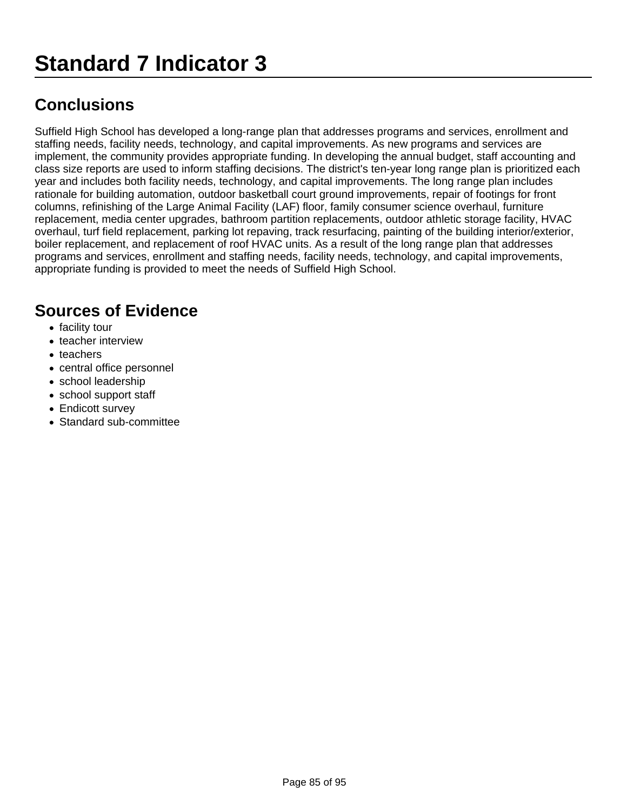Suffield High School has developed a long-range plan that addresses programs and services, enrollment and staffing needs, facility needs, technology, and capital improvements. As new programs and services are implement, the community provides appropriate funding. In developing the annual budget, staff accounting and class size reports are used to inform staffing decisions. The district's ten-year long range plan is prioritized each year and includes both facility needs, technology, and capital improvements. The long range plan includes rationale for building automation, outdoor basketball court ground improvements, repair of footings for front columns, refinishing of the Large Animal Facility (LAF) floor, family consumer science overhaul, furniture replacement, media center upgrades, bathroom partition replacements, outdoor athletic storage facility, HVAC overhaul, turf field replacement, parking lot repaving, track resurfacing, painting of the building interior/exterior, boiler replacement, and replacement of roof HVAC units. As a result of the long range plan that addresses programs and services, enrollment and staffing needs, facility needs, technology, and capital improvements, appropriate funding is provided to meet the needs of Suffield High School.

- facility tour
- teacher interview
- teachers
- central office personnel
- school leadership
- school support staff
- Endicott survey
- Standard sub-committee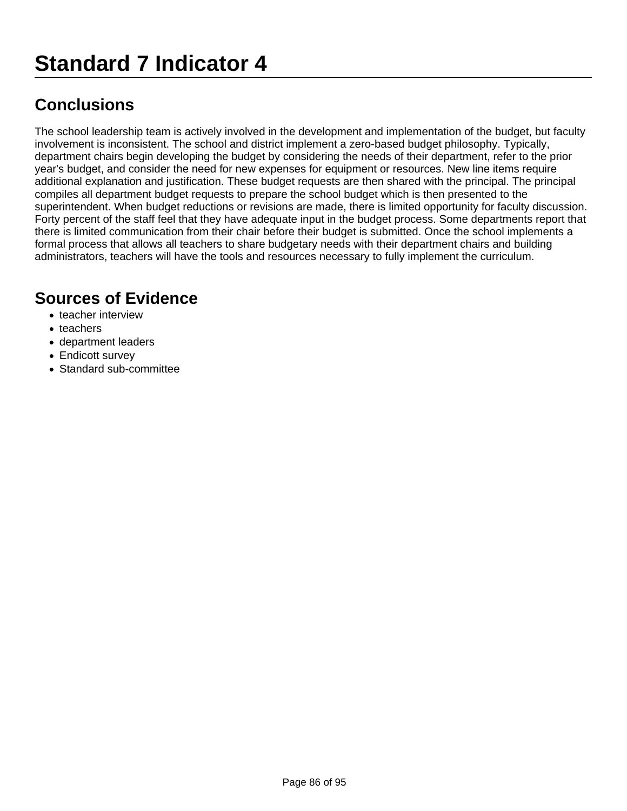The school leadership team is actively involved in the development and implementation of the budget, but faculty involvement is inconsistent. The school and district implement a zero-based budget philosophy. Typically, department chairs begin developing the budget by considering the needs of their department, refer to the prior year's budget, and consider the need for new expenses for equipment or resources. New line items require additional explanation and justification. These budget requests are then shared with the principal. The principal compiles all department budget requests to prepare the school budget which is then presented to the superintendent. When budget reductions or revisions are made, there is limited opportunity for faculty discussion. Forty percent of the staff feel that they have adequate input in the budget process. Some departments report that there is limited communication from their chair before their budget is submitted. Once the school implements a formal process that allows all teachers to share budgetary needs with their department chairs and building administrators, teachers will have the tools and resources necessary to fully implement the curriculum.

- teacher interview
- teachers
- department leaders
- Endicott survey
- Standard sub-committee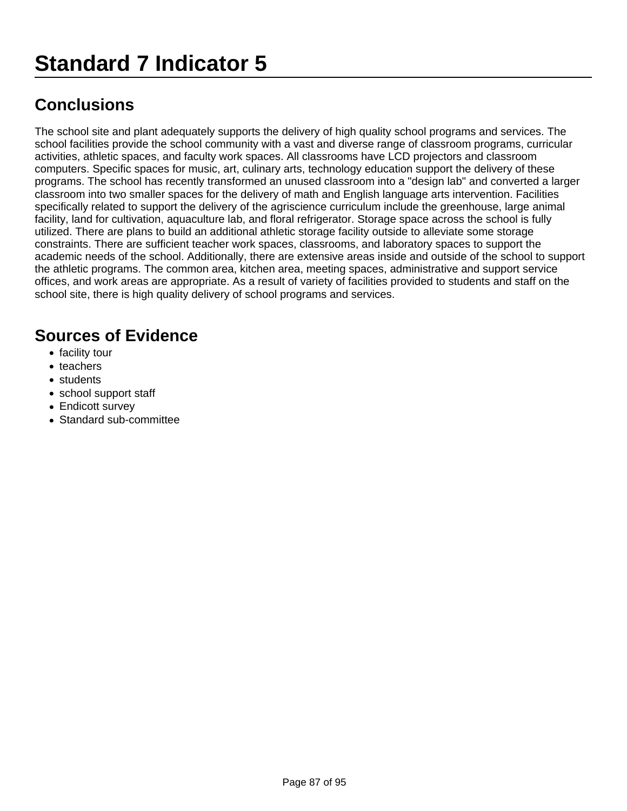The school site and plant adequately supports the delivery of high quality school programs and services. The school facilities provide the school community with a vast and diverse range of classroom programs, curricular activities, athletic spaces, and faculty work spaces. All classrooms have LCD projectors and classroom computers. Specific spaces for music, art, culinary arts, technology education support the delivery of these programs. The school has recently transformed an unused classroom into a "design lab" and converted a larger classroom into two smaller spaces for the delivery of math and English language arts intervention. Facilities specifically related to support the delivery of the agriscience curriculum include the greenhouse, large animal facility, land for cultivation, aquaculture lab, and floral refrigerator. Storage space across the school is fully utilized. There are plans to build an additional athletic storage facility outside to alleviate some storage constraints. There are sufficient teacher work spaces, classrooms, and laboratory spaces to support the academic needs of the school. Additionally, there are extensive areas inside and outside of the school to support the athletic programs. The common area, kitchen area, meeting spaces, administrative and support service offices, and work areas are appropriate. As a result of variety of facilities provided to students and staff on the school site, there is high quality delivery of school programs and services.

- facility tour
- teachers
- students
- school support staff
- Endicott survey
- Standard sub-committee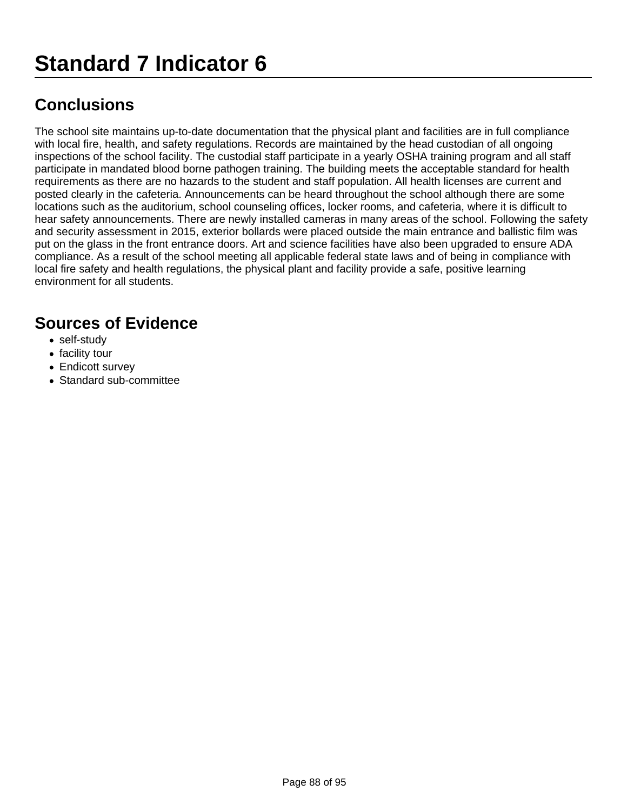The school site maintains up-to-date documentation that the physical plant and facilities are in full compliance with local fire, health, and safety regulations. Records are maintained by the head custodian of all ongoing inspections of the school facility. The custodial staff participate in a yearly OSHA training program and all staff participate in mandated blood borne pathogen training. The building meets the acceptable standard for health requirements as there are no hazards to the student and staff population. All health licenses are current and posted clearly in the cafeteria. Announcements can be heard throughout the school although there are some locations such as the auditorium, school counseling offices, locker rooms, and cafeteria, where it is difficult to hear safety announcements. There are newly installed cameras in many areas of the school. Following the safety and security assessment in 2015, exterior bollards were placed outside the main entrance and ballistic film was put on the glass in the front entrance doors. Art and science facilities have also been upgraded to ensure ADA compliance. As a result of the school meeting all applicable federal state laws and of being in compliance with local fire safety and health regulations, the physical plant and facility provide a safe, positive learning environment for all students.

- self-study
- facility tour
- Endicott survey
- Standard sub-committee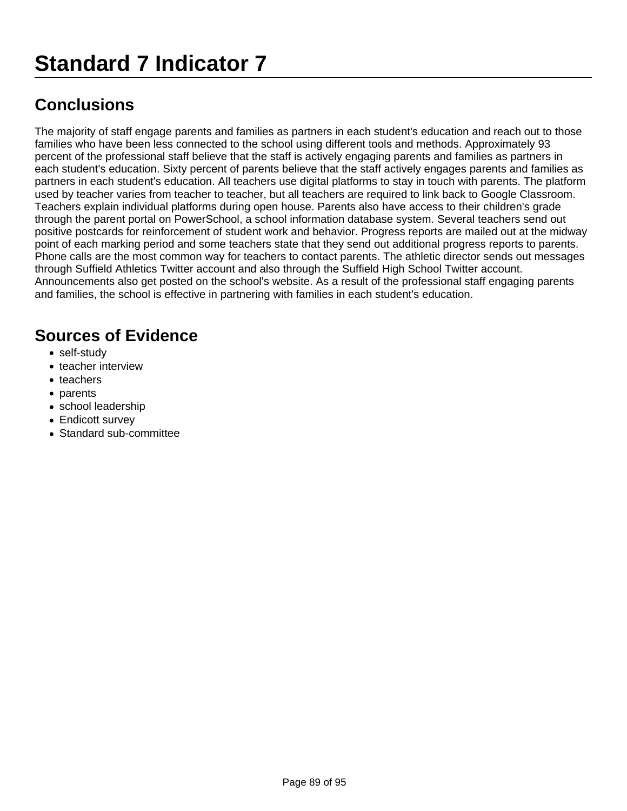The majority of staff engage parents and families as partners in each student's education and reach out to those families who have been less connected to the school using different tools and methods. Approximately 93 percent of the professional staff believe that the staff is actively engaging parents and families as partners in each student's education. Sixty percent of parents believe that the staff actively engages parents and families as partners in each student's education. All teachers use digital platforms to stay in touch with parents. The platform used by teacher varies from teacher to teacher, but all teachers are required to link back to Google Classroom. Teachers explain individual platforms during open house. Parents also have access to their children's grade through the parent portal on PowerSchool, a school information database system. Several teachers send out positive postcards for reinforcement of student work and behavior. Progress reports are mailed out at the midway point of each marking period and some teachers state that they send out additional progress reports to parents. Phone calls are the most common way for teachers to contact parents. The athletic director sends out messages through Suffield Athletics Twitter account and also through the Suffield High School Twitter account. Announcements also get posted on the school's website. As a result of the professional staff engaging parents and families, the school is effective in partnering with families in each student's education.

- self-study
- teacher interview
- teachers
- parents
- school leadership
- Endicott survey
- Standard sub-committee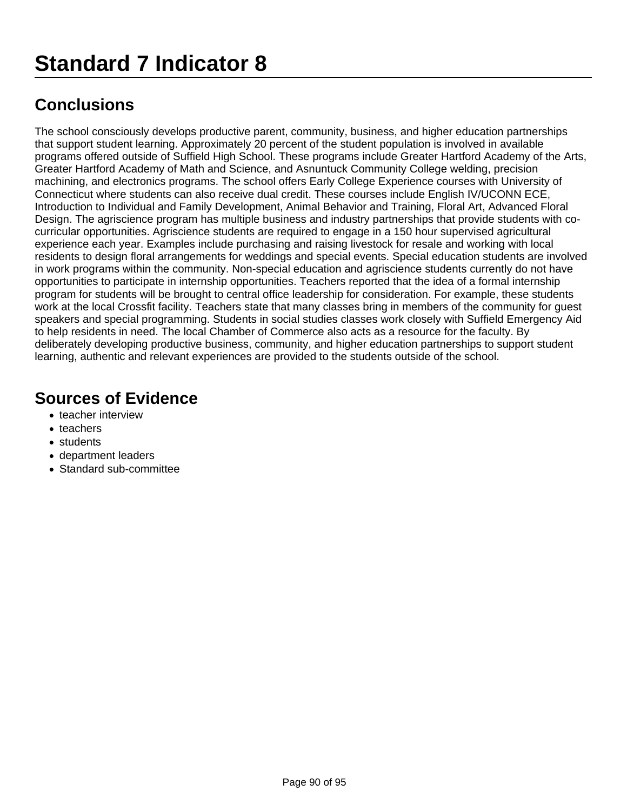The school consciously develops productive parent, community, business, and higher education partnerships that support student learning. Approximately 20 percent of the student population is involved in available programs offered outside of Suffield High School. These programs include Greater Hartford Academy of the Arts, Greater Hartford Academy of Math and Science, and Asnuntuck Community College welding, precision machining, and electronics programs. The school offers Early College Experience courses with University of Connecticut where students can also receive dual credit. These courses include English IV/UCONN ECE, Introduction to Individual and Family Development, Animal Behavior and Training, Floral Art, Advanced Floral Design. The agriscience program has multiple business and industry partnerships that provide students with cocurricular opportunities. Agriscience students are required to engage in a 150 hour supervised agricultural experience each year. Examples include purchasing and raising livestock for resale and working with local residents to design floral arrangements for weddings and special events. Special education students are involved in work programs within the community. Non-special education and agriscience students currently do not have opportunities to participate in internship opportunities. Teachers reported that the idea of a formal internship program for students will be brought to central office leadership for consideration. For example, these students work at the local Crossfit facility. Teachers state that many classes bring in members of the community for guest speakers and special programming. Students in social studies classes work closely with Suffield Emergency Aid to help residents in need. The local Chamber of Commerce also acts as a resource for the faculty. By deliberately developing productive business, community, and higher education partnerships to support student learning, authentic and relevant experiences are provided to the students outside of the school.

- teacher interview
- teachers
- students
- department leaders
- Standard sub-committee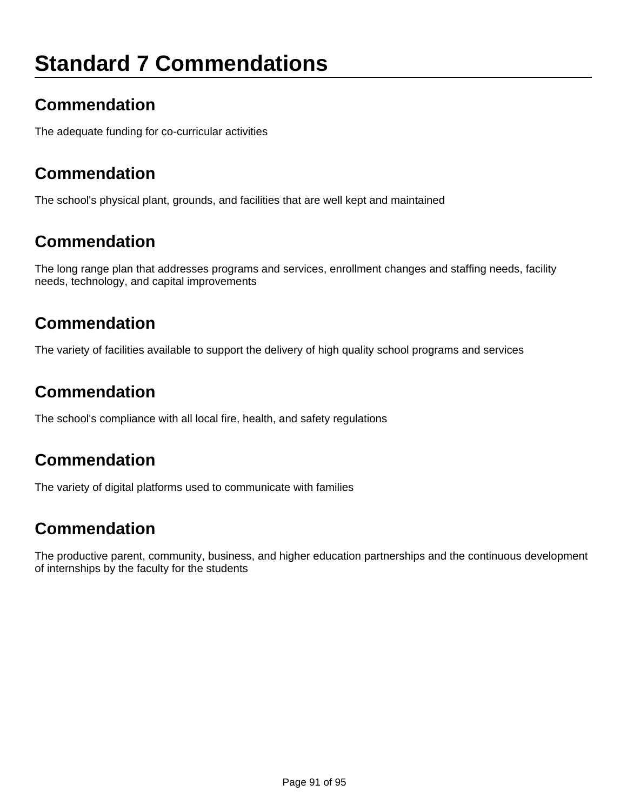## **Standard 7 Commendations**

## **Commendation**

The adequate funding for co-curricular activities

### **Commendation**

The school's physical plant, grounds, and facilities that are well kept and maintained

### **Commendation**

The long range plan that addresses programs and services, enrollment changes and staffing needs, facility needs, technology, and capital improvements

### **Commendation**

The variety of facilities available to support the delivery of high quality school programs and services

### **Commendation**

The school's compliance with all local fire, health, and safety regulations

#### **Commendation**

The variety of digital platforms used to communicate with families

### **Commendation**

The productive parent, community, business, and higher education partnerships and the continuous development of internships by the faculty for the students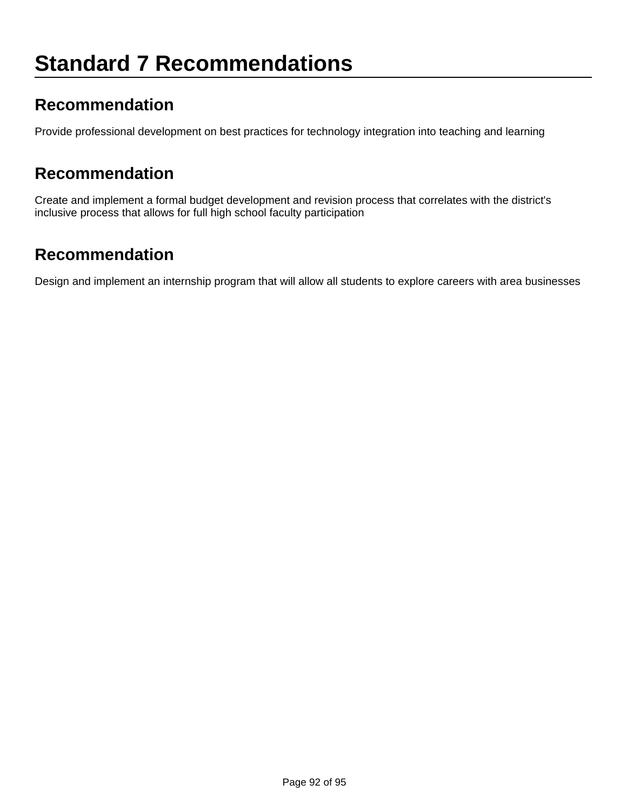### **Recommendation**

Provide professional development on best practices for technology integration into teaching and learning

#### **Recommendation**

Create and implement a formal budget development and revision process that correlates with the district's inclusive process that allows for full high school faculty participation

## **Recommendation**

Design and implement an internship program that will allow all students to explore careers with area businesses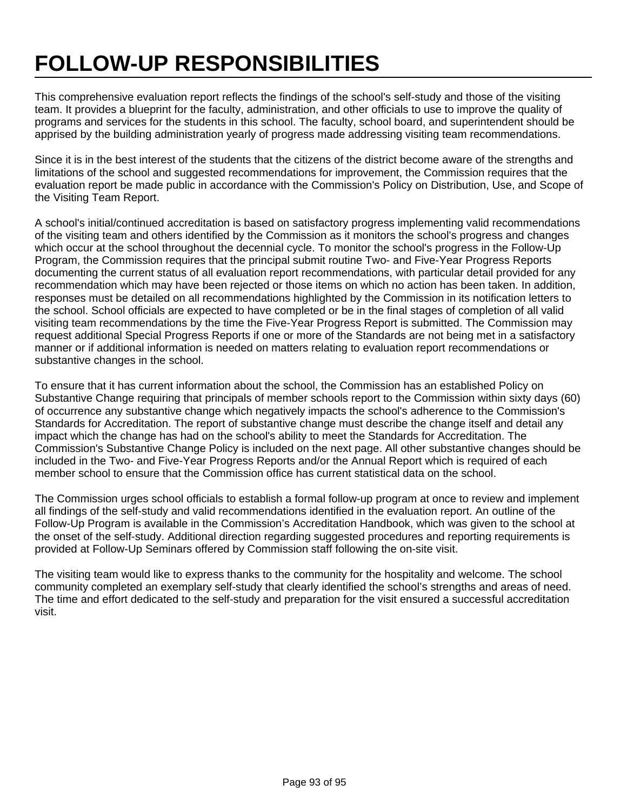# **FOLLOW-UP RESPONSIBILITIES**

This comprehensive evaluation report reflects the findings of the school's self-study and those of the visiting team. It provides a blueprint for the faculty, administration, and other officials to use to improve the quality of programs and services for the students in this school. The faculty, school board, and superintendent should be apprised by the building administration yearly of progress made addressing visiting team recommendations.

Since it is in the best interest of the students that the citizens of the district become aware of the strengths and limitations of the school and suggested recommendations for improvement, the Commission requires that the evaluation report be made public in accordance with the Commission's Policy on Distribution, Use, and Scope of the Visiting Team Report.

A school's initial/continued accreditation is based on satisfactory progress implementing valid recommendations of the visiting team and others identified by the Commission as it monitors the school's progress and changes which occur at the school throughout the decennial cycle. To monitor the school's progress in the Follow-Up Program, the Commission requires that the principal submit routine Two- and Five-Year Progress Reports documenting the current status of all evaluation report recommendations, with particular detail provided for any recommendation which may have been rejected or those items on which no action has been taken. In addition, responses must be detailed on all recommendations highlighted by the Commission in its notification letters to the school. School officials are expected to have completed or be in the final stages of completion of all valid visiting team recommendations by the time the Five-Year Progress Report is submitted. The Commission may request additional Special Progress Reports if one or more of the Standards are not being met in a satisfactory manner or if additional information is needed on matters relating to evaluation report recommendations or substantive changes in the school.

To ensure that it has current information about the school, the Commission has an established Policy on Substantive Change requiring that principals of member schools report to the Commission within sixty days (60) of occurrence any substantive change which negatively impacts the school's adherence to the Commission's Standards for Accreditation. The report of substantive change must describe the change itself and detail any impact which the change has had on the school's ability to meet the Standards for Accreditation. The Commission's Substantive Change Policy is included on the next page. All other substantive changes should be included in the Two- and Five-Year Progress Reports and/or the Annual Report which is required of each member school to ensure that the Commission office has current statistical data on the school.

The Commission urges school officials to establish a formal follow-up program at once to review and implement all findings of the self-study and valid recommendations identified in the evaluation report. An outline of the Follow-Up Program is available in the Commission's Accreditation Handbook, which was given to the school at the onset of the self-study. Additional direction regarding suggested procedures and reporting requirements is provided at Follow-Up Seminars offered by Commission staff following the on-site visit.

The visiting team would like to express thanks to the community for the hospitality and welcome. The school community completed an exemplary self-study that clearly identified the school's strengths and areas of need. The time and effort dedicated to the self-study and preparation for the visit ensured a successful accreditation visit.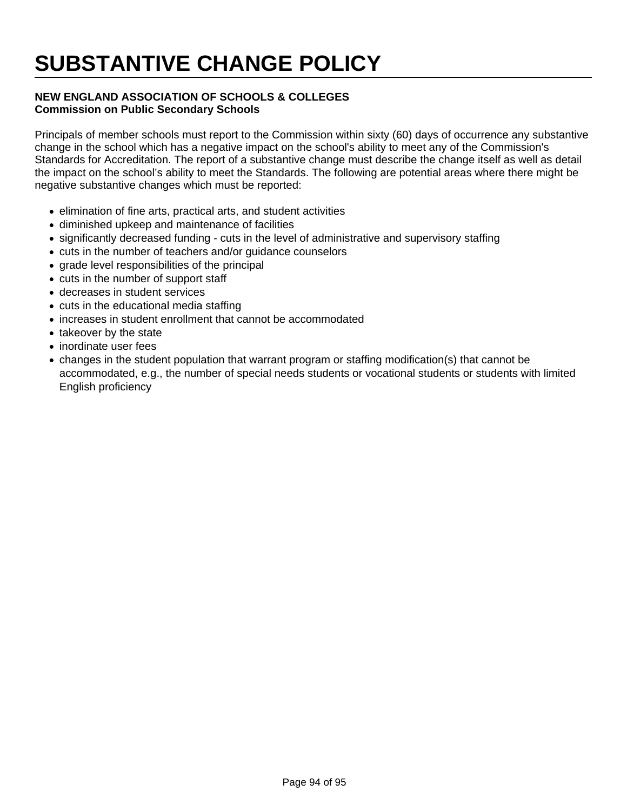## **SUBSTANTIVE CHANGE POLICY**

#### **NEW ENGLAND ASSOCIATION OF SCHOOLS & COLLEGES Commission on Public Secondary Schools**

Principals of member schools must report to the Commission within sixty (60) days of occurrence any substantive change in the school which has a negative impact on the school's ability to meet any of the Commission's Standards for Accreditation. The report of a substantive change must describe the change itself as well as detail the impact on the school's ability to meet the Standards. The following are potential areas where there might be negative substantive changes which must be reported:

- elimination of fine arts, practical arts, and student activities
- diminished upkeep and maintenance of facilities
- significantly decreased funding cuts in the level of administrative and supervisory staffing
- cuts in the number of teachers and/or guidance counselors
- grade level responsibilities of the principal
- cuts in the number of support staff
- decreases in student services
- cuts in the educational media staffing
- increases in student enrollment that cannot be accommodated
- takeover by the state
- inordinate user fees
- changes in the student population that warrant program or staffing modification(s) that cannot be accommodated, e.g., the number of special needs students or vocational students or students with limited English proficiency